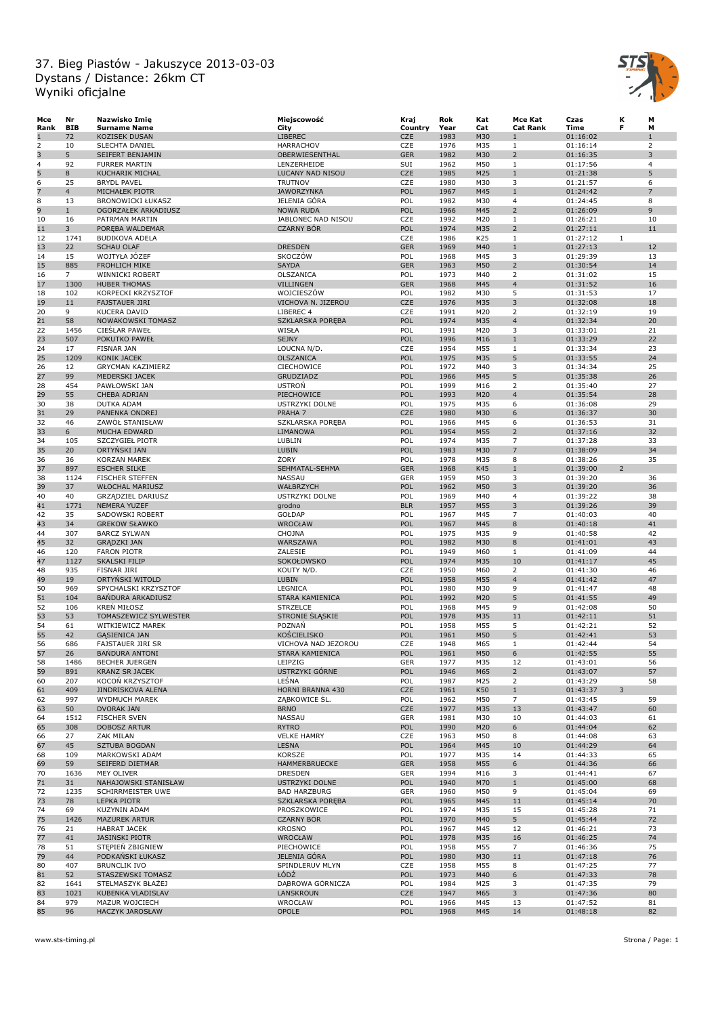

| Мсе  | Nr             | Nazwisko Imię            | Miejscowość           | Kraj       | Rok  | Kat | Mce Kat         | Czas     | К              | M              |
|------|----------------|--------------------------|-----------------------|------------|------|-----|-----------------|----------|----------------|----------------|
| Rank | <b>BIB</b>     | <b>Surname Name</b>      | City                  | Country    | Year | Cat | <b>Cat Rank</b> | Time     | F              | M              |
| 1    | 72             | <b>KOZISEK DUSAN</b>     | <b>LIBEREC</b>        | CZE        | 1983 | M30 | 1               | 01:16:02 |                | $\mathbf{1}$   |
| 2    | 10             | SLECHTA DANIEL           | <b>HARRACHOV</b>      | CZE        | 1976 | M35 | $\mathbf{1}$    | 01:16:14 |                | $\overline{2}$ |
| 3    | 5              | SEIFERT BENJAMIN         | OBERWIESENTHAL        | <b>GER</b> | 1982 | M30 | $\overline{2}$  | 01:16:35 |                | 3              |
| 4    | 92             | <b>FURRER MARTIN</b>     | LENZERHEIDE           | SUI        | 1962 | M50 | $\mathbf{1}$    | 01:17:56 |                | $\overline{4}$ |
| 5    | 8              | KUCHARIK MICHAL          | LUCANY NAD NISOU      | CZE        | 1985 | M25 | $1\,$           | 01:21:38 |                | 5              |
| 6    | 25             | <b>BRYDL PAVEL</b>       | <b>TRUTNOV</b>        | CZE        | 1980 | M30 | 3               | 01:21:57 |                | 6              |
| 7    | $\overline{4}$ | MICHAŁEK PIOTR           | <b>JAWORZYNKA</b>     | POL        | 1967 | M45 | $\mathbf{1}$    | 01:24:42 |                | $\overline{7}$ |
|      |                |                          | JELENIA GÓRA          | POL        |      |     |                 |          |                |                |
| 8    | 13             | <b>BRONOWICKI ŁUKASZ</b> |                       |            | 1982 | M30 | 4               | 01:24:45 |                | 8              |
| 9    | $\mathbf{1}$   | OGORZAŁEK ARKADIUSZ      | <b>NOWA RUDA</b>      | POL        | 1966 | M45 | $\overline{2}$  | 01:26:09 |                | 9              |
| 10   | 16             | PATRMAN MARTIN           | JABLONEC NAD NISOU    | CZE        | 1992 | M20 | $\mathbf{1}$    | 01:26:21 |                | 10             |
| 11   | 3              | POREBA WALDEMAR          | <b>CZARNY BÓR</b>     | POL        | 1974 | M35 | $\overline{2}$  | 01:27:11 |                | 11             |
| 12   | 1741           | <b>BUDIKOVA ADELA</b>    |                       | CZE        | 1986 | K25 | $\mathbf{1}$    | 01:27:12 | $\mathbf{1}$   |                |
| 13   | 22             | <b>SCHAU OLAF</b>        | <b>DRESDEN</b>        | <b>GER</b> | 1969 | M40 | $1\,$           | 01:27:13 |                | 12             |
| 14   | 15             | WOJTYŁA JOZEF            | SKOCZÓW               | POL        | 1968 | M45 | 3               | 01:29:39 |                | 13             |
| 15   | 885            | <b>FROHLICH MIKE</b>     | <b>SAYDA</b>          | <b>GER</b> | 1963 | M50 | $\overline{2}$  | 01:30:54 |                | 14             |
| 16   | $\overline{7}$ | WINNICKI ROBERT          | OLSZANICA             | POL        | 1973 | M40 | 2               | 01:31:02 |                | 15             |
| 17   | 1300           | <b>HUBER THOMAS</b>      | <b>VILLINGEN</b>      | <b>GER</b> | 1968 | M45 | $\overline{4}$  | 01:31:52 |                | 16             |
| 18   | 102            | KORPECKI KRZYSZTOF       | WOJCIESZÓW            | POL        | 1982 | M30 | 5               | 01:31:53 |                | 17             |
| 19   | 11             | <b>FAJSTAUER JIRI</b>    | VICHOVA N. JIZEROU    | CZE        | 1976 | M35 | 3               | 01:32:08 |                | 18             |
|      |                |                          |                       |            |      |     |                 |          |                |                |
| 20   | 9              | <b>KUCERA DAVID</b>      | LIBEREC 4             | CZE        | 1991 | M20 | $\overline{2}$  | 01:32:19 |                | 19             |
| 21   | 58             | NOWAKOWSKI TOMASZ        | SZKLARSKA PORĘBA      | POL        | 1974 | M35 | $\overline{4}$  | 01:32:34 |                | 20             |
| 22   | 1456           | <b>CIESLAR PAWEŁ</b>     | WISŁA                 | POL        | 1991 | M20 | 3               | 01:33:01 |                | 21             |
| 23   | 507            | POKUTKO PAWEŁ            | <b>SEJNY</b>          | POL        | 1996 | M16 | $1\,$           | 01:33:29 |                | 22             |
| 24   | 17             | <b>FISNAR JAN</b>        | LOUCNA N/D.           | CZE        | 1954 | M55 | $\mathbf{1}$    | 01:33:34 |                | 23             |
| 25   | 1209           | KONIK JACEK              | OLSZANICA             | POL        | 1975 | M35 | 5               | 01:33:55 |                | 24             |
| 26   | 12             | <b>GRYCMAN KAZIMIERZ</b> | <b>CIECHOWICE</b>     | POL        | 1972 | M40 | 3               | 01:34:34 |                | 25             |
| 27   | 99             | MEDERSKI JACEK           | GRUDZIADZ             | POL        | 1966 | M45 | 5               | 01:35:38 |                | 26             |
| 28   | 454            | PAWŁOWSKI JAN            | <b>USTRON</b>         | POL        | 1999 | M16 | $\overline{2}$  | 01:35:40 |                | 27             |
| 29   | 55             | CHEBA ADRIAN             | PIECHOWICE            | POL        | 1993 | M20 | $\overline{4}$  | 01:35:54 |                | 28             |
|      |                |                          |                       |            |      |     |                 |          |                |                |
| 30   | 38             | DUTKA ADAM               | USTRZYKI DOLNE        | POL        | 1975 | M35 | 6               | 01:36:08 |                | 29             |
| 31   | 29             | PANENKA ONDREJ           | PRAHA 7               | CZE        | 1980 | M30 | 6               | 01:36:37 |                | 30             |
| 32   | 46             | ZAWÓŁ STANISŁAW          | SZKLARSKA POREBA      | POL        | 1966 | M45 | 6               | 01:36:53 |                | 31             |
| 33   | 6              | MUCHA EDWARD             | LIMANOWA              | POL        | 1954 | M55 | $\overline{2}$  | 01:37:16 |                | 32             |
| 34   | 105            | <b>SZCZYGIEŁ PIOTR</b>   | LUBLIN                | POL        | 1974 | M35 | $\overline{7}$  | 01:37:28 |                | 33             |
| 35   | 20             | ORTYNSKI JAN             | <b>LUBIN</b>          | POL        | 1983 | M30 | $\overline{7}$  | 01:38:09 |                | 34             |
| 36   | 36             | <b>KORZAN MAREK</b>      | ŻORY                  | POL        | 1978 | M35 | 8               | 01:38:26 |                | 35             |
| 37   | 897            | <b>ESCHER SILKE</b>      | SEHMATAL-SEHMA        | <b>GER</b> | 1968 | K45 | $1\,$           | 01:39:00 | $\overline{2}$ |                |
| 38   | 1124           | <b>FISCHER STEFFEN</b>   | NASSAU                | GER        | 1959 | M50 | 3               | 01:39:20 |                | 36             |
| 39   | 37             | <b>WŁOCHAL MARIUSZ</b>   | WAŁBRZYCH             | POL        | 1962 | M50 | 3               | 01:39:20 |                | 36             |
| 40   | 40             | <b>GRZĄDZIEL DARIUSZ</b> | USTRZYKI DOLNE        | POL        | 1969 | M40 | 4               | 01:39:22 |                | 38             |
|      |                |                          |                       |            |      |     |                 |          |                |                |
| 41   | 1771           | <b>NEMERA YUZEF</b>      | grodno                | <b>BLR</b> | 1957 | M55 | 3               | 01:39:26 |                | 39             |
| 42   | 35             | SADOWSKI ROBERT          | GOŁDAP                | POL        | 1967 | M45 | $\overline{7}$  | 01:40:03 |                | 40             |
| 43   | 34             | <b>GREKOW SŁAWKO</b>     | WROCŁAW               | POL        | 1967 | M45 | 8               | 01:40:18 |                | 41             |
| 44   | 307            | <b>BARCZ SYLWAN</b>      | CHOJNA                | POL        | 1975 | M35 | 9               | 01:40:58 |                | 42             |
| 45   | 32             | <b>GRĄDZKI JAN</b>       | WARSZAWA              | POL        | 1982 | M30 | 8               | 01:41:01 |                | 43             |
| 46   | 120            | <b>FARON PIOTR</b>       | ZALESIE               | POL        | 1949 | M60 | $\mathbf{1}$    | 01:41:09 |                | 44             |
| 47   | 1127           | <b>SKALSKI FILIP</b>     | SOKOŁOWSKO            | POL        | 1974 | M35 | 10              | 01:41:17 |                | 45             |
| 48   | 935            | FISNAR JIRI              | KOUTY N/D.            | CZE        | 1950 | M60 | $\overline{2}$  | 01:41:30 |                | 46             |
| 49   | 19             | ORTYŃSKI WITOLD          | <b>LUBIN</b>          | POL        | 1958 | M55 | $\overline{4}$  | 01:41:42 |                | 47             |
| 50   | 969            | SPYCHALSKI KRZYSZTOF     | LEGNICA               | POL        | 1980 | M30 | 9               | 01:41:47 |                | 48             |
| 51   | 104            | <b>BANDURA ARKADIUSZ</b> | STARA KAMIENICA       | POL        | 1992 | M20 | 5               | 01:41:55 |                | 49             |
| 52   | 106            | <b>KREN MIŁOSZ</b>       | <b>STRZELCE</b>       | POL        | 1968 | M45 | 9               | 01:42:08 |                | 50             |
|      | 53             |                          |                       | POL        | 1978 | M35 | 11              |          |                | 51             |
| 53   |                | TOMASZEWICZ SYLWESTER    | STRONIE SLĄSKIE       |            |      |     |                 | 01:42:11 |                |                |
| 54   | 61             | WITKIEWICZ MAREK         | POZNAŃ                | POL        | 1958 | M55 | 5               | 01:42:21 |                | 52             |
| 55   | 42             | <b>GASIENICA JAN</b>     | <b>KOŚCIELISKO</b>    | POL        | 1961 | M50 | 5               | 01:42:41 |                | 53             |
| 56   | 686            | FAJSTAUER JIRI SR        | VICHOVA NAD JEZOROU   | CZE        | 1948 | M65 | $\mathbf{1}$    | 01:42:44 |                | 54             |
| 57   | 26             | <b>BANDURA ANTONI</b>    | STARA KAMIENICA       | POL        | 1961 | M50 | 6               | 01:42:55 |                | 55             |
| 58   | 1486           | <b>BECHER JUERGEN</b>    | LEIPZIG               | GER        | 1977 | M35 | 12              | 01:43:01 |                | 56             |
| 59   | 891            | <b>KRANZ SR JACEK</b>    | USTRZYKI GÓRNE        | POL        | 1946 | M65 | $\overline{2}$  | 01:43:07 |                | 57             |
| 60   | 207            | KOCON KRZYSZTOF          | LEŚNA                 | POL        | 1987 | M25 | $\overline{2}$  | 01:43:29 |                | 58             |
| 61   | 409            | JINDRISKOVA ALENA        | HORNI BRANNA 430      | CZE        | 1961 | K50 | $\mathbf{1}$    | 01:43:37 | 3              |                |
| 62   | 997            | WYDMUCH MAREK            | ZĄBKOWICE SL.         | POL        | 1962 | M50 | $\overline{7}$  | 01:43:45 |                | 59             |
| 63   | 50             | <b>DVORAK JAN</b>        | <b>BRNO</b>           | CZE        | 1977 | M35 | 13              | 01:43:47 |                | 60             |
| 64   | 1512           | <b>FISCHER SVEN</b>      | <b>NASSAU</b>         | <b>GER</b> | 1981 | M30 | 10              | 01:44:03 |                | 61             |
| 65   | 308            | <b>DOBOSZ ARTUR</b>      | <b>RYTRO</b>          | POL        | 1990 | M20 | 6               | 01:44:04 |                | 62             |
| 66   | 27             | ZAK MILAN                | <b>VELKE HAMRY</b>    | CZE        | 1963 | M50 | 8               | 01:44:08 |                | 63             |
|      |                |                          |                       |            |      |     |                 |          |                |                |
| 67   | 45             | SZTUBA BOGDAN            | LEŚNA                 | POL        | 1964 | M45 | 10              | 01:44:29 |                | 64             |
| 68   | 109            | MARKOWSKI ADAM           | KORSZE                | POL        | 1977 | M35 | 14              | 01:44:33 |                | 65             |
| 69   | 59             | SEIFERD DIETMAR          | HAMMERBRUECKE         | <b>GER</b> | 1958 | M55 | 6               | 01:44:36 |                | 66             |
| 70   | 1636           | MEY OLIVER               | <b>DRESDEN</b>        | GER        | 1994 | M16 | 3               | 01:44:41 |                | 67             |
| 71   | 31             | NAHAJOWSKI STANISŁAW     | <b>USTRZYKI DOLNE</b> | POL        | 1940 | M70 | $\mathbf{1}$    | 01:45:00 |                | 68             |
| 72   | 1235           | SCHIRRMEISTER UWE        | <b>BAD HARZBURG</b>   | <b>GER</b> | 1960 | M50 | 9               | 01:45:04 |                | 69             |
| 73   | 78             | <b>LEPKA PIOTR</b>       | SZKLARSKA POREBA      | POL        | 1965 | M45 | 11              | 01:45:14 |                | 70             |
| 74   | 69             | KUZYNIN ADAM             | PROSZKOWICE           | POL        | 1974 | M35 | 15              | 01:45:28 |                | 71             |
| 75   | 1426           | <b>MAZUREK ARTUR</b>     | <b>CZARNY BÓR</b>     | POL        | 1970 | M40 | 5               | 01:45:44 |                | 72             |
| 76   | 21             | <b>HABRAT JACEK</b>      | <b>KROSNO</b>         | POL        | 1967 | M45 | 12              | 01:46:21 |                | 73             |
| 77   | 41             | <b>JASINSKI PIOTR</b>    | WROCŁAW               | POL        | 1978 | M35 | 16              | 01:46:25 |                | 74             |
| 78   | 51             | STEPIEN ZBIGNIEW         | PIECHOWICE            | POL        | 1958 | M55 | $\overline{7}$  | 01:46:36 |                | 75             |
|      |                |                          |                       |            |      |     |                 |          |                |                |
| 79   | 44             | PODKAŃSKI ŁUKASZ         | JELENIA GÓRA          | POL        | 1980 | M30 | $11\,$          | 01:47:18 |                | 76             |
| 80   | 407            | <b>BRUNCLIK IVO</b>      | SPINDLERUV MLYN       | CZE        | 1958 | M55 | 8               | 01:47:25 |                | 77             |
| 81   | 52             | STASZEWSKI TOMASZ        | ŁÓDŹ                  | POL        | 1973 | M40 | 6               | 01:47:33 |                | 78             |
| 82   | 1641           | STELMASZYK BŁAŻEJ        | DĄBROWA GÓRNICZA      | POL        | 1984 | M25 | 3               | 01:47:35 |                | 79             |
| 83   | 1021           | KUBENKA VLADISLAV        | LANSKROUN             | CZE        | 1947 | M65 | 3               | 01:47:36 |                | 80             |
| 84   | 979            | MAZUR WOJCIECH           | WROCŁAW               | POL        | 1966 | M45 | 13              | 01:47:52 |                | 81             |
| 85   | 96             | HACZYK JAROSŁAW          | OPOLE                 | POL        | 1968 | M45 | 14              | 01:48:18 |                | 82             |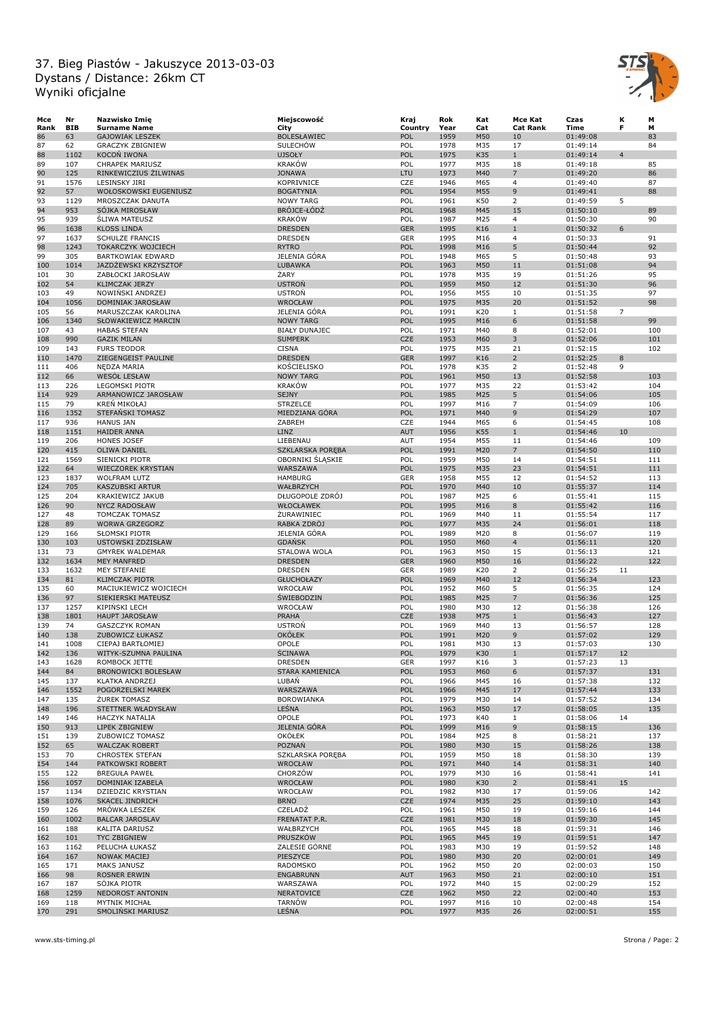

| Mce  | Nr         | Nazwisko Imię             | Miejscowość             | Kraj       | Rok  | Kat | Mce Kat         | Czas     | κ              | М   |
|------|------------|---------------------------|-------------------------|------------|------|-----|-----------------|----------|----------------|-----|
| Rank | <b>BIB</b> | <b>Surname Name</b>       | City                    | Country    | Year | Cat | <b>Cat Rank</b> | Time     | F              | М   |
| 86   | 63         | <b>GAJOWIAK LESZEK</b>    | <b>BOLESŁAWIEC</b>      | POL        | 1959 | M50 | 10              | 01:49:08 |                | 83  |
| 87   | 62         | <b>GRACZYK ZBIGNIEW</b>   | <b>SULECHOW</b>         | POL        | 1978 | M35 | 17              | 01:49:14 |                | 84  |
| 88   | 1102       | <b>KOCON IWONA</b>        | <b>UJSOŁY</b>           | POL        | 1975 | K35 | $\mathbf{1}$    | 01:49:14 | $\overline{4}$ |     |
| 89   | 107        | <b>CHRAPEK MARIUSZ</b>    | <b>KRAKÓW</b>           | POL        | 1977 | M35 | 18              | 01:49:18 |                | 85  |
| 90   | 125        | RINKEWICZIUS ŻILWINAS     | <b>JONAWA</b>           | LTU        | 1973 | M40 | $\overline{7}$  | 01:49:20 |                | 86  |
| 91   | 1576       | <b>LESINSKY JIRI</b>      | <b>KOPRIVNICE</b>       | CZE        | 1946 | M65 | $\overline{4}$  | 01:49:40 |                | 87  |
| 92   | 57         | WOŁOSKOWSKI EUGENIUSZ     | <b>BOGATYNIA</b>        | POL        | 1954 | M55 | 9               | 01:49:41 |                | 88  |
|      |            |                           |                         |            |      |     |                 |          |                |     |
| 93   | 1129       | MROSZCZAK DANUTA          | <b>NOWY TARG</b>        | POL        | 1961 | K50 | $\overline{2}$  | 01:49:59 | 5              |     |
| 94   | 953        | SÓJKA MIROSŁAW            | BRÓJCE-ŁÓDŹ             | POL        | 1968 | M45 | 15              | 01:50:10 |                | 89  |
| 95   | 939        | <b>SLIWA MATEUSZ</b>      | <b>KRAKÓW</b>           | POL        | 1987 | M25 | $\overline{4}$  | 01:50:30 |                | 90  |
| 96   | 1638       | <b>KLOSS LINDA</b>        | <b>DRESDEN</b>          | <b>GER</b> | 1995 | K16 | $\mathbf{1}$    | 01:50:32 | 6              |     |
| 97   | 1637       | <b>SCHULZE FRANCIS</b>    | <b>DRESDEN</b>          | GER        | 1995 | M16 | $\overline{4}$  | 01:50:33 |                | 91  |
| 98   | 1243       | TOKARCZYK WOJCIECH        | <b>RYTRO</b>            | POL        | 1998 | M16 | 5               | 01:50:44 |                | 92  |
| 99   | 305        | <b>BARTKOWIAK EDWARD</b>  | JELENIA GÓRA            | POL        | 1948 | M65 | 5               | 01:50:48 |                | 93  |
| 100  | 1014       | JAZDZEWSKI KRZYSZTOF      | <b>LUBAWKA</b>          | POL        | 1963 | M50 | 11              | 01:51:08 |                | 94  |
| 101  | 30         | ZABŁOCKI JAROSŁAW         | ŻARY                    | POL        | 1978 | M35 | 19              | 01:51:26 |                | 95  |
|      |            |                           | <b>USTRON</b>           | POL        |      |     | 12              |          |                | 96  |
| 102  | 54         | <b>KLIMCZAK JERZY</b>     |                         |            | 1959 | M50 |                 | 01:51:30 |                |     |
| 103  | 49         | NOWIŃSKI ANDRZEJ          | <b>USTRON</b>           | POL        | 1956 | M55 | 10              | 01:51:35 |                | 97  |
| 104  | 1056       | DOMINIAK JAROSŁAW         | WROCŁAW                 | POL        | 1975 | M35 | 20              | 01:51:52 |                | 98  |
| 105  | 56         | MARUSZCZAK KAROLINA       | JELENIA GÓRA            | POL        | 1991 | K20 | $\mathbf{1}$    | 01:51:58 | $\overline{7}$ |     |
| 106  | 1340       | SŁOWAKIEWICZ MARCIN       | <b>NOWY TARG</b>        | POL        | 1995 | M16 | 6               | 01:51:58 |                | 99  |
| 107  | 43         | <b>HABAS STEFAN</b>       | <b>BIAŁY DUNAJEC</b>    | POL        | 1971 | M40 | 8               | 01:52:01 |                | 100 |
| 108  | 990        | <b>GAZIK MILAN</b>        | <b>SUMPERK</b>          | <b>CZE</b> | 1953 | M60 | 3               | 01:52:06 |                | 101 |
| 109  | 143        | <b>FURS TEODOR</b>        | <b>CISNA</b>            | POL        | 1975 | M35 | 21              | 01:52:15 |                | 102 |
| 110  | 1470       | ZIEGENGEIST PAULINE       | <b>DRESDEN</b>          | <b>GER</b> | 1997 | K16 | $\overline{2}$  | 01:52:25 | 8              |     |
| 111  | 406        | NEDZA MARIA               | KOŚCIELISKO             | POL        | 1978 | K35 | 2               | 01:52:48 | 9              |     |
|      | 66         |                           | <b>NOWY TARG</b>        | POL        | 1961 | M50 | 13              | 01:52:58 |                | 103 |
| 112  |            | WESOŁ LESŁAW              |                         |            |      |     |                 |          |                |     |
| 113  | 226        | LEGOMSKI PIOTR            | <b>KRAKÓW</b>           | POL        | 1977 | M35 | 22              | 01:53:42 |                | 104 |
| 114  | 929        | ARMANOWICZ JAROSŁAW       | <b>SEJNY</b>            | POL        | 1985 | M25 | 5               | 01:54:06 |                | 105 |
| 115  | 79         | KREN MIKOŁAJ              | <b>STRZELCE</b>         | POL        | 1997 | M16 | $\overline{7}$  | 01:54:09 |                | 106 |
| 116  | 1352       | STEFAŃSKI TOMASZ          | MIEDZIANA GÓRA          | POL        | 1971 | M40 | 9               | 01:54:29 |                | 107 |
| 117  | 936        | <b>HANUS JAN</b>          | ZABREH                  | CZE        | 1944 | M65 | 6               | 01:54:45 |                | 108 |
| 118  | 1151       | <b>HAIDER ANNA</b>        | <b>LINZ</b>             | <b>AUT</b> | 1956 | K55 | $\mathbf{1}$    | 01:54:46 | 10             |     |
| 119  | 206        | <b>HONES JOSEF</b>        | LIEBENAU                | AUT        | 1954 | M55 | 11              | 01:54:46 |                | 109 |
| 120  | 415        | <b>OLIWA DANIEL</b>       | <b>SZKLARSKA POREBA</b> | POL        | 1991 | M20 | $\overline{7}$  | 01:54:50 |                | 110 |
| 121  | 1569       | SIENICKI PIOTR            | OBORNIKI SLĄSKIE        | POL        | 1959 | M50 | 14              | 01:54:51 |                | 111 |
|      | 64         | <b>WIECZOREK KRYSTIAN</b> | WARSZAWA                | POL        | 1975 | M35 | 23              |          |                | 111 |
| 122  |            |                           |                         |            |      |     |                 | 01:54:51 |                |     |
| 123  | 1837       | <b>WOLFRAM LUTZ</b>       | <b>HAMBURG</b>          | GER        | 1958 | M55 | 12              | 01:54:52 |                | 113 |
| 124  | 705        | KASZUBSKI ARTUR           | WAŁBRZYCH               | POL        | 1970 | M40 | 10              | 01:55:37 |                | 114 |
| 125  | 204        | KRAKIEWICZ JAKUB          | DŁUGOPOLE ZDRÓJ         | POL        | 1987 | M25 | 6               | 01:55:41 |                | 115 |
| 126  | 90         | <b>NYCZ RADOSŁAW</b>      | WŁOCŁAWEK               | POL        | 1995 | M16 | 8               | 01:55:42 |                | 116 |
| 127  | 48         | <b>TOMCZAK TOMASZ</b>     | ŻURAWINIEC              | POL        | 1969 | M40 | 11              | 01:55:54 |                | 117 |
| 128  | 89         | <b>WORWA GRZEGORZ</b>     | RABKA ZDRÓJ             | POL        | 1977 | M35 | 24              | 01:56:01 |                | 118 |
| 129  | 166        | <b>SŁOMSKI PIOTR</b>      | JELENIA GÓRA            | POL        | 1989 | M20 | 8               | 01:56:07 |                | 119 |
| 130  | 103        | USTOWSKI ZDZISŁAW         | <b>GDANSK</b>           | POL        | 1950 | M60 | $\overline{4}$  | 01:56:11 |                | 120 |
| 131  | 73         | <b>GMYREK WALDEMAR</b>    | STALOWA WOLA            | POL        | 1963 | M50 | 15              | 01:56:13 |                | 121 |
| 132  | 1634       | <b>MEY MANFRED</b>        | <b>DRESDEN</b>          | <b>GER</b> | 1960 | M50 | 16              | 01:56:22 |                | 122 |
|      |            |                           |                         |            |      |     |                 |          |                |     |
| 133  | 1632       | MEY STEFANIE              | <b>DRESDEN</b>          | GER        | 1989 | K20 | $\overline{2}$  | 01:56:25 | 11             |     |
| 134  | 81         | <b>KLIMCZAK PIOTR</b>     | <b>GŁUCHOŁAZY</b>       | POL        | 1969 | M40 | 12              | 01:56:34 |                | 123 |
| 135  | 60         | MACIUKIEWICZ WOJCIECH     | WROCŁAW                 | POL        | 1952 | M60 | 5               | 01:56:35 |                | 124 |
| 136  | 97         | SIEKIERSKI MATEUSZ        | ŚWIEBODZIN              | POL        | 1985 | M25 | $\overline{7}$  | 01:56:36 |                | 125 |
| 137  | 1257       | <b>KIPINSKI LECH</b>      | WROCŁAW                 | POL        | 1980 | M30 | 12              | 01:56:38 |                | 126 |
| 138  | 1801       | <b>HAUPT JAROSŁAW</b>     | <b>PRAHA</b>            | <b>CZE</b> | 1938 | M75 | $\mathbf{1}$    | 01:56:43 |                | 127 |
| 139  | 74         | GASZCZYK ROMAN            | <b>USTRON</b>           | POL        | 1969 | M40 | 13              | 01:56:57 |                | 128 |
| 140  | 138        | ZUBOWICZ ŁUKASZ           | <b>OKÓŁEK</b>           | POL        | 1991 | M20 | 9               | 01:57:02 |                | 129 |
| 141  | 1008       | CIEPAJ BARTŁOMIEJ         | OPOLE                   | POL        | 1981 | M30 | 13              | 01:57:03 |                | 130 |
| 142  | 136        | WITYK-SZUMNA PAULINA      | <b>ŚCINAWA</b>          | POL        | 1979 | K30 | $\mathbf{1}$    | 01:57:17 | 12             |     |
| 143  | 1628       | ROMBOCK JETTE             | <b>DRESDEN</b>          | GER        | 1997 | K16 | 3               | 01:57:23 | 13             |     |
| 144  | 84         | BRONOWICKI BOLESŁAW       | STARA KAMIENICA         | POL        | 1953 | M60 | 6               | 01:57:37 |                | 131 |
| 145  | 137        | KLATKA ANDRZEJ            | LUBAŃ                   | POL        | 1966 | M45 | 16              | 01:57:38 |                | 132 |
|      |            |                           |                         |            |      |     |                 |          |                |     |
| 146  | 1552       | POGORZELSKI MAREK         | WARSZAWA                | POL        | 1966 | M45 | 17              | 01:57:44 |                | 133 |
| 147  | 135        | <b>ŻUREK TOMASZ</b>       | <b>BOROWIANKA</b>       | POL        | 1979 | M30 | 14              | 01:57:52 |                | 134 |
| 148  | 196        | STETTNER WŁADYSŁAW        | LEŚNA                   | POL        | 1963 | M50 | 17              | 01:58:05 |                | 135 |
| 149  | 146        | <b>HACZYK NATALIA</b>     | OPOLE                   | POL        | 1973 | K40 | $\mathbf{1}$    | 01:58:06 | 14             |     |
| 150  | 913        | LIPEK ZBIGNIEW            | JELENIA GÓRA            | POL        | 1999 | M16 | 9               | 01:58:15 |                | 136 |
| 151  | 139        | ZUBOWICZ TOMASZ           | <b>OKÓŁEK</b>           | POL        | 1984 | M25 | 8               | 01:58:21 |                | 137 |
| 152  | 65         | <b>WALCZAK ROBERT</b>     | POZNAŃ                  | POL        | 1980 | M30 | 15              | 01:58:26 |                | 138 |
| 153  | 70         | <b>CHROSTEK STEFAN</b>    | SZKLARSKA PORĘBA        | POL        | 1959 | M50 | 18              | 01:58:30 |                | 139 |
| 154  | 144        | PATKOWSKI ROBERT          | WROCŁAW                 | POL        | 1971 | M40 | 14              | 01:58:31 |                | 140 |
| 155  | 122        | <b>BREGUŁA PAWEŁ</b>      | CHORZÓW                 | POL        | 1979 | M30 | 16              | 01:58:41 |                | 141 |
|      |            |                           |                         |            |      |     |                 |          |                |     |
| 156  | 1057       | DOMINIAK IZABELA          | <b>WROCŁAW</b>          | POL        | 1980 | K30 | $2^{\circ}$     | 01:58:41 | 15             |     |
| 157  | 1134       | DZIEDZIC KRYSTIAN         | WROCŁAW                 | POL        | 1982 | M30 | 17              | 01:59:06 |                | 142 |
| 158  | 1076       | SKACEL JINDRICH           | <b>BRNO</b>             | CZE        | 1974 | M35 | 25              | 01:59:10 |                | 143 |
| 159  | 126        | MRÓWKA LESZEK             | CZELADŹ                 | POL        | 1961 | M50 | 19              | 01:59:16 |                | 144 |
| 160  | 1002       | <b>BALCAR JAROSLAV</b>    | FRENATAT P.R.           | <b>CZE</b> | 1981 | M30 | 18              | 01:59:30 |                | 145 |
| 161  | 188        | KALITA DARIUSZ            | WAŁBRZYCH               | POL        | 1965 | M45 | 18              | 01:59:31 |                | 146 |
| 162  | 101        | TYC ZBIGNIEW              | PRUSZKÓW                | POL        | 1965 | M45 | 19              | 01:59:51 |                | 147 |
| 163  | 1162       | PELUCHA ŁUKASZ            | ZALESIE GÓRNE           | POL        | 1983 | M30 | 19              | 01:59:52 |                | 148 |
| 164  | 167        | NOWAK MACIEJ              | PIESZYCE                | POL        | 1980 | M30 | 20              | 02:00:01 |                | 149 |
| 165  | 171        | MAKS JANUSZ               | RADOMSKO                | POL        | 1962 | M50 | 20              | 02:00:03 |                | 150 |
|      |            |                           |                         |            |      |     |                 |          |                |     |
| 166  | 98         | <b>ROSNER ERWIN</b>       | <b>ENGABRUNN</b>        | <b>AUT</b> | 1963 | M50 | 21              | 02:00:10 |                | 151 |
| 167  | 187        | SÓJKA PIOTR               | WARSZAWA                | POL        | 1972 | M40 | 15              | 02:00:29 |                | 152 |
| 168  | 1259       | NEDOROST ANTONIN          | NERATOVICE              | <b>CZE</b> | 1962 | M50 | 22              | 02:00:40 |                | 153 |
| 169  | 118        | MYTNIK MICHAŁ             | <b>TARNÓW</b>           | POL        | 1997 | M16 | 10              | 02:00:48 |                | 154 |
| 170  | 291        | SMOLINSKI MARIUSZ         | LEŚNA                   | POL        | 1977 | M35 | 26              | 02:00:51 |                | 155 |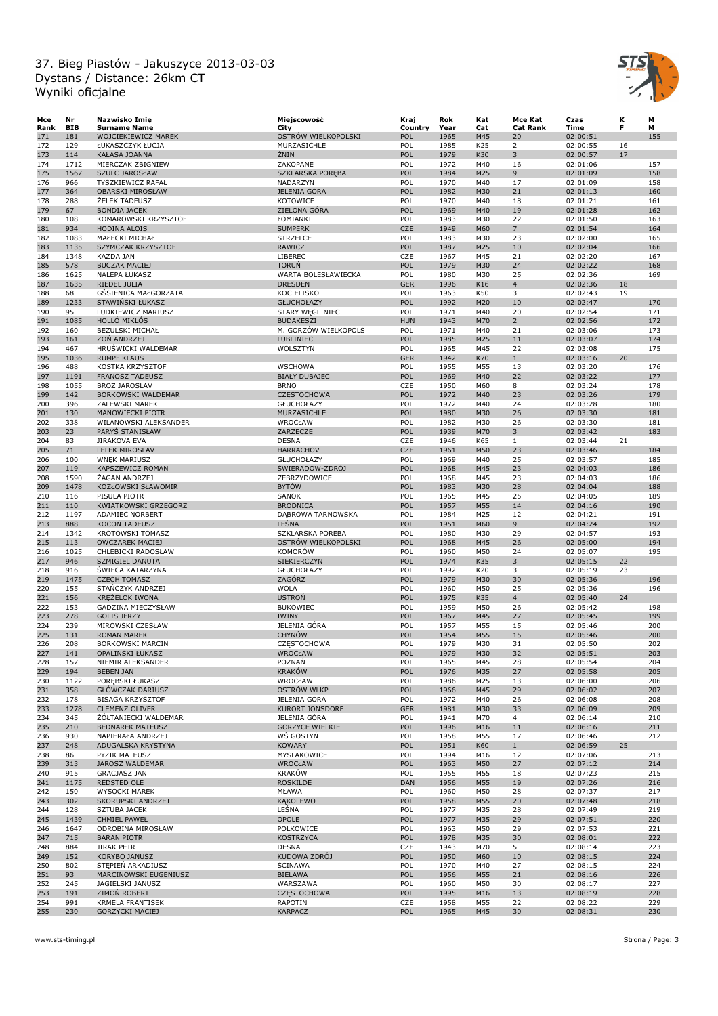

| Mce  | Nr         | Nazwisko Imię               | Miejscowość             | Kraj       | Rok  | Kat | Mce Kat         | Czas     | κ  | М   |
|------|------------|-----------------------------|-------------------------|------------|------|-----|-----------------|----------|----|-----|
| Rank | <b>BIB</b> | <b>Surname Name</b>         | City                    | Country    | Year | Cat | <b>Cat Rank</b> | Time     | F  | м   |
| 171  | 181        | WOJCIEKIEWICZ MAREK         | OSTRÓW WIELKOPOLSKI     | POL        | 1965 | M45 | 20              | 02:00:51 |    | 155 |
| 172  | 129        | ŁUKASZCZYK ŁUCJA            | MURZASICHLE             | POL        | 1985 | K25 | $\overline{2}$  | 02:00:55 | 16 |     |
| 173  | 114        | <b>KAŁASA JOANNA</b>        | ŻNIN                    | POL        | 1979 | K30 | 3               | 02:00:57 | 17 |     |
| 174  | 1712       | MIERCZAK ZBIGNIEW           | ZAKOPANE                | POL        | 1972 | M40 | 16              | 02:01:06 |    | 157 |
| 175  | 1567       | <b>SZULC JAROSŁAW</b>       | <b>SZKLARSKA POREBA</b> | POL        | 1984 | M25 | 9               | 02:01:09 |    | 158 |
| 176  | 966        | <b>TYSZKIEWICZ RAFAŁ</b>    | NADARZYN                | POL        | 1970 | M40 | 17              | 02:01:09 |    | 158 |
| 177  | 364        | <b>OBARSKI MIROSŁAW</b>     | JELENIA GÓRA            | POL        | 1982 | M30 | 21              | 02:01:13 |    | 160 |
| 178  | 288        | <b><i>ZELEK TADEUSZ</i></b> | <b>KOTOWICE</b>         | POL        | 1970 | M40 | 18              | 02:01:21 |    | 161 |
| 179  | 67         | <b>BONDIA JACEK</b>         | ZIELONA GÓRA            | POL        | 1969 | M40 | 19              | 02:01:28 |    | 162 |
|      |            |                             |                         | POL        |      |     | 22              |          |    |     |
| 180  | 108        | KOMAROWSKI KRZYSZTOF        | ŁOMIANKI                |            | 1983 | M30 |                 | 02:01:50 |    | 163 |
| 181  | 934        | <b>HODINA ALOIS</b>         | <b>SUMPERK</b>          | CZE        | 1949 | M60 | $7\overline{ }$ | 02:01:54 |    | 164 |
| 182  | 1083       | MAŁECKI MICHAŁ              | <b>STRZELCE</b>         | POL        | 1983 | M30 | 23              | 02:02:00 |    | 165 |
| 183  | 1135       | SZYMCZAK KRZYSZTOF          | RAWICZ                  | POL        | 1987 | M25 | 10              | 02:02:04 |    | 166 |
| 184  | 1348       | KAZDA JAN                   | LIBEREC                 | CZE        | 1967 | M45 | 21              | 02:02:20 |    | 167 |
| 185  | 578        | <b>BUCZAK MACIEJ</b>        | TORUŃ                   | POL        | 1979 | M30 | 24              | 02:02:22 |    | 168 |
| 186  | 1625       | <b>NALEPA ŁUKASZ</b>        | WARTA BOLESŁAWIECKA     | POL        | 1980 | M30 | 25              | 02:02:36 |    | 169 |
| 187  | 1635       | RIEDEL JULIA                | <b>DRESDEN</b>          | <b>GER</b> | 1996 | K16 | $\overline{4}$  | 02:02:36 | 18 |     |
| 188  | 68         | GSSIENICA MAŁGORZATA        | KOCIELISKO              | POL        | 1963 | K50 | 3               | 02:02:43 | 19 |     |
| 189  | 1233       | STAWIŃSKI ŁUKASZ            | <b>GŁUCHOŁAZY</b>       | POL        | 1992 | M20 | 10              | 02:02:47 |    | 170 |
| 190  | 95         | LUDKIEWICZ MARIUSZ          | STARY WĘGLINIEC         | POL        | 1971 | M40 | 20              | 02:02:54 |    | 171 |
| 191  | 1085       | HOLLÓ MIKLÓS                | <b>BUDAKESZI</b>        | <b>HUN</b> | 1943 | M70 | $\overline{2}$  | 02:02:56 |    | 172 |
| 192  | 160        | <b>BEZULSKI MICHAŁ</b>      | M. GORZÓW WIELKOPOLS    | POL        | 1971 | M40 | 21              | 02:03:06 |    | 173 |
| 193  | 161        | ZON ANDRZEJ                 | LUBLINIEC               | POL        | 1985 | M25 | 11              | 02:03:07 |    | 174 |
|      |            |                             |                         |            |      |     |                 |          |    |     |
| 194  | 467        | HRUŠWICKI WALDEMAR          | WOLSZTYN                | POL        | 1965 | M45 | 22              | 02:03:08 |    | 175 |
| 195  | 1036       | <b>RUMPF KLAUS</b>          |                         | <b>GER</b> | 1942 | K70 | $\mathbf{1}$    | 02:03:16 | 20 |     |
| 196  | 488        | KOSTKA KRZYSZTOF            | <b>WSCHOWA</b>          | POL        | 1955 | M55 | 13              | 02:03:20 |    | 176 |
| 197  | 1191       | <b>FRANOSZ TADEUSZ</b>      | <b>BIAŁY DUBAJEC</b>    | POL        | 1969 | M40 | 22              | 02:03:22 |    | 177 |
| 198  | 1055       | <b>BROZ JAROSLAV</b>        | <b>BRNO</b>             | CZE        | 1950 | M60 | 8               | 02:03:24 |    | 178 |
| 199  | 142        | BORKOWSKI WALDEMAR          | <b>CZĘSTOCHOWA</b>      | POL        | 1972 | M40 | 23              | 02:03:26 |    | 179 |
| 200  | 396        | <b>ZALEWSKI MAREK</b>       | <b>GŁUCHOŁAZY</b>       | POL        | 1972 | M40 | 24              | 02:03:28 |    | 180 |
| 201  | 130        | MANOWIECKI PIOTR            | MURZASICHLE             | POL        | 1980 | M30 | 26              | 02:03:30 |    | 181 |
| 202  | 338        | WILANOWSKI ALEKSANDER       | WROCŁAW                 | POL        | 1982 | M30 | 26              | 02:03:30 |    | 181 |
| 203  | 23         | PARYS STANISŁAW             | ZARZECZE                | POL        | 1939 | M70 | 3               | 02:03:42 |    | 183 |
| 204  | 83         | JIRAKOVA EVA                | <b>DESNA</b>            | CZE        | 1946 | K65 | $\mathbf{1}$    | 02:03:44 | 21 |     |
|      |            |                             |                         |            |      |     |                 |          |    |     |
| 205  | 71         | <b>LELEK MIROSLAV</b>       | <b>HARRACHOV</b>        | CZE        | 1961 | M50 | 23              | 02:03:46 |    | 184 |
| 206  | 100        | <b>WNEK MARIUSZ</b>         | <b>GŁUCHOŁAZY</b>       | POL        | 1969 | M40 | 25              | 02:03:57 |    | 185 |
| 207  | 119        | KAPSZEWICZ ROMAN            | ŚWIERADÓW-ZDRÓJ         | POL        | 1968 | M45 | 23              | 02:04:03 |    | 186 |
| 208  | 1590       | ZAGAN ANDRZEJ               | ZEBRZYDOWICE            | POL        | 1968 | M45 | 23              | 02:04:03 |    | 186 |
| 209  | 1478       | KOZŁOWSKI SŁAWOMIR          | <b>BYTÓW</b>            | POL        | 1983 | M30 | 28              | 02:04:04 |    | 188 |
| 210  | 116        | PISULA PIOTR                | <b>SANOK</b>            | POL        | 1965 | M45 | 25              | 02:04:05 |    | 189 |
| 211  | 110        | KWIATKOWSKI GRZEGORZ        | <b>BRODNICA</b>         | POL        | 1957 | M55 | 14              | 02:04:16 |    | 190 |
| 212  | 1197       | ADAMIEC NORBERT             | DĄBROWA TARNOWSKA       | POL        | 1984 | M25 | 12              | 02:04:21 |    | 191 |
| 213  | 888        | <b>KOCON TADEUSZ</b>        | LEŚNA                   | POL        | 1951 | M60 | 9               | 02:04:24 |    | 192 |
|      |            |                             |                         |            |      |     |                 |          |    |     |
| 214  | 1342       | KROTOWSKI TOMASZ            | SZKLARSKA POREBA        | POL        | 1980 | M30 | 29              | 02:04:57 |    | 193 |
| 215  | 113        | <b>OWCZAREK MACIEJ</b>      | OSTRÓW WIELKOPOLSKI     | POL        | 1968 | M45 | 26              | 02:05:00 |    | 194 |
| 216  | 1025       | CHLEBICKI RADOSŁAW          | KOMORÓW                 | POL        | 1960 | M50 | 24              | 02:05:07 |    | 195 |
| 217  | 946        | SZMIGIEL DANUTA             | SIEKIERCZYN             | POL        | 1974 | K35 | 3               | 02:05:15 | 22 |     |
| 218  | 916        | <b>SWIECA KATARZYNA</b>     | <b>GŁUCHOŁAZY</b>       | POL        | 1992 | K20 | 3               | 02:05:19 | 23 |     |
| 219  | 1475       | <b>CZECH TOMASZ</b>         | ZAGÓRZ                  | POL        | 1979 | M30 | 30              | 02:05:36 |    | 196 |
| 220  | 155        | STANCZYK ANDRZEJ            | <b>WOLA</b>             | POL        | 1960 | M50 | 25              | 02:05:36 |    | 196 |
| 221  | 156        | KREŻELOK IWONA              | <b>USTROŃ</b>           | POL        | 1975 | K35 | $\overline{4}$  | 02:05:40 | 24 |     |
| 222  | 153        | GADZINA MIECZYSŁAW          | <b>BUKOWIEC</b>         | POL        | 1959 | M50 | 26              | 02:05:42 |    | 198 |
| 223  | 278        | <b>GOLIS JERZY</b>          | IWINY                   | POL        | 1967 | M45 | 27              | 02:05:45 |    | 199 |
| 224  | 239        | MIROWSKI CZESŁAW            | JELENIA GÓRA            | POL        | 1957 | M55 | 15              | 02:05:46 |    | 200 |
| 225  | 131        | <b>ROMAN MAREK</b>          | <b>CHYNÓW</b>           | POL        | 1954 | M55 | 15              | 02:05:46 |    | 200 |
|      |            |                             |                         |            |      |     |                 |          |    |     |
| 226  | 208        | <b>BORKOWSKI MARCIN</b>     | <b>CZĘSTOCHOWA</b>      | POL        | 1979 | M30 | 31              | 02:05:50 |    | 202 |
| 227  | 141        | OPALIŃSKI ŁUKASZ            | <b>WROCŁAW</b>          | POL        | 1979 | M30 | 32              | 02:05:51 |    | 203 |
| 228  | 157        | NIEMIR ALEKSANDER           | POZNAŃ                  | POL        | 1965 | M45 | 28              | 02:05:54 |    | 204 |
| 229  | 194        | <b>BEBEN JAN</b>            | <b>KRAKÓW</b>           | POL        | 1976 | M35 | 27              | 02:05:58 |    | 205 |
| 230  | 1122       | POREBSKI ŁUKASZ             | WROCŁAW                 | POL        | 1986 | M25 | 13              | 02:06:00 |    | 206 |
| 231  | 358        | <b>GŁÓWCZAK DARIUSZ</b>     | OSTRÓW WLKP             | POL        | 1966 | M45 | 29              | 02:06:02 |    | 207 |
| 232  | 178        | <b>BISAGA KRZYSZTOF</b>     | <b>JELENIA GORA</b>     | POL        | 1972 | M40 | 26              | 02:06:08 |    | 208 |
| 233  | 1278       | <b>CLEMENZ OLIVER</b>       | <b>KURORT JONSDORF</b>  | <b>GER</b> | 1981 | M30 | 33              | 02:06:09 |    | 209 |
| 234  | 345        | ŻÓŁTANIECKI WALDEMAR        | JELENIA GÓRA            | POL        | 1941 | M70 | $\overline{4}$  | 02:06:14 |    | 210 |
| 235  | 210        | <b>BEDNAREK MATEUSZ</b>     | <b>GORZYCE WIELKIE</b>  | POL        | 1996 | M16 | 11              | 02:06:16 |    | 211 |
| 236  | 930        | NAPIERAŁA ANDRZEJ           | WŚ GOSTYŃ               | POL        | 1958 | M55 | 17              | 02:06:46 |    | 212 |
|      |            |                             |                         |            |      |     |                 |          |    |     |
| 237  | 248        | ADUGALSKA KRYSTYNA          | <b>KOWARY</b>           | POL        | 1951 | K60 | $\mathbf{1}$    | 02:06:59 | 25 |     |
| 238  | 86         | PYZIK MATEUSZ               | MYSLAKOWICE             | POL        | 1994 | M16 | 12              | 02:07:06 |    | 213 |
| 239  | 313        | JAROSZ WALDEMAR             | <b>WROCŁAW</b>          | POL        | 1963 | M50 | 27              | 02:07:12 |    | 214 |
| 240  | 915        | <b>GRACJASZ JAN</b>         | KRAKÓW                  | POL        | 1955 | M55 | 18              | 02:07:23 |    | 215 |
| 241  | 1175       | REDSTED OLE                 | <b>ROSKILDE</b>         | DAN        | 1956 | M55 | 19              | 02:07:26 |    | 216 |
| 242  | 150        | <b>WYSOCKI MAREK</b>        | MŁAWA                   | POL        | 1960 | M50 | 28              | 02:07:37 |    | 217 |
| 243  | 302        | SKORUPSKI ANDRZEJ           | <b>KAKOLEWO</b>         | POL        | 1958 | M55 | 20              | 02:07:48 |    | 218 |
| 244  | 128        | SZTUBA JACEK                | LEŚNA                   | POL        | 1977 | M35 | 28              | 02:07:49 |    | 219 |
| 245  | 1439       | <b>CHMIEL PAWEŁ</b>         | OPOLE                   | POL        | 1977 | M35 | 29              | 02:07:51 |    | 220 |
|      |            |                             |                         |            |      |     |                 |          |    |     |
| 246  | 1647       | ODROBINA MIROSŁAW           | POLKOWICE               | POL        | 1963 | M50 | 29              | 02:07:53 |    | 221 |
| 247  | 715        | <b>BARAN PIOTR</b>          | <b>KOSTRZYCA</b>        | POL        | 1978 | M35 | 30              | 02:08:01 |    | 222 |
| 248  | 884        | JIRAK PETR                  | <b>DESNA</b>            | CZE        | 1943 | M70 | 5               | 02:08:14 |    | 223 |
| 249  | 152        | KORYBO JANUSZ               | KUDOWA ZDRÓJ            | POL        | 1950 | M60 | 10              | 02:08:15 |    | 224 |
| 250  | 802        | STEPIEN ARKADIUSZ           | <b>SCINAWA</b>          | POL        | 1970 | M40 | 27              | 02:08:15 |    | 224 |
| 251  | 93         | MARCINOWSKI EUGENIUSZ       | <b>BIELAWA</b>          | POL        | 1956 | M55 | 21              | 02:08:16 |    | 226 |
| 252  | 245        | JAGIELSKI JANUSZ            | WARSZAWA                | POL        | 1960 | M50 | 30              | 02:08:17 |    | 227 |
| 253  | 191        | <b>ZIMON ROBERT</b>         | <b>CZĘSTOCHOWA</b>      | POL        | 1995 | M16 | 13              | 02:08:19 |    | 228 |
| 254  | 991        | <b>KRMELA FRANTISEK</b>     | RAPOTIN                 | CZE        | 1958 | M55 | 22              | 02:08:22 |    | 229 |
| 255  | 230        | <b>GORZYCKI MACIEJ</b>      | <b>KARPACZ</b>          | POL        | 1965 | M45 | 30              | 02:08:31 |    | 230 |
|      |            |                             |                         |            |      |     |                 |          |    |     |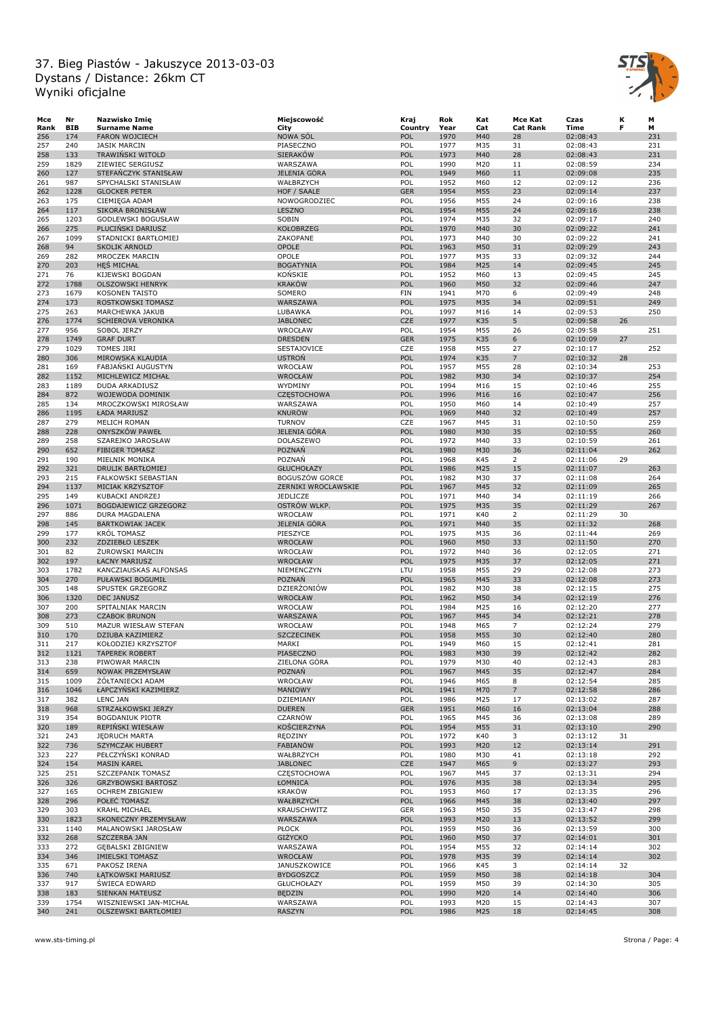

| Mce  | Nr         | Nazwisko Imię             | Miejscowość           | Kraj       | Rok  | Kat | Mce Kat         | Czas     | к  | М   |
|------|------------|---------------------------|-----------------------|------------|------|-----|-----------------|----------|----|-----|
| Rank | <b>BIB</b> | <b>Surname Name</b>       | City                  | Country    | Year | Cat | <b>Cat Rank</b> | Time     | F  | м   |
| 256  | 174        | <b>FARON WOJCIECH</b>     | <b>NOWA SOL</b>       | POL        | 1970 | M40 | 28              | 02:08:43 |    | 231 |
| 257  | 240        | <b>JASIK MARCIN</b>       | PIASECZNO             | POL        | 1977 | M35 | 31              | 02:08:43 |    | 231 |
|      |            |                           |                       |            |      |     |                 |          |    |     |
| 258  | 133        | TRAWINSKI WITOLD          | <b>SIERAKÓW</b>       | POL        | 1973 | M40 | 28              | 02:08:43 |    | 231 |
| 259  | 1829       | ZIEWIEC SERGIUSZ          | WARSZAWA              | POL        | 1990 | M20 | 11              | 02:08:59 |    | 234 |
| 260  | 127        | STEFANCZYK STANISŁAW      | JELENIA GÓRA          | POL        | 1949 | M60 | 11              | 02:09:08 |    | 235 |
| 261  | 987        | SPYCHALSKI STANISŁAW      | WAŁBRZYCH             | POL        | 1952 | M60 | 12              | 02:09:12 |    | 236 |
| 262  | 1228       | <b>GLOCKER PETER</b>      | HOF / SAALE           | <b>GER</b> | 1954 | M55 | 23              | 02:09:14 |    | 237 |
| 263  | 175        | CIEMIĘGA ADAM             | NOWOGRODZIEC          | POL        | 1956 | M55 | 24              | 02:09:16 |    | 238 |
| 264  | 117        | <b>SIKORA BRONISŁAW</b>   | LESZNO                | POL        | 1954 | M55 | 24              | 02:09:16 |    | 238 |
|      |            |                           |                       |            |      |     |                 |          |    |     |
| 265  | 1203       | GODLEWSKI BOGUSŁAW        | SOBIN                 | POL        | 1974 | M35 | 32              | 02:09:17 |    | 240 |
| 266  | 275        | PLUCINSKI DARIUSZ         | <b>KOŁOBRZEG</b>      | POL        | 1970 | M40 | 30              | 02:09:22 |    | 241 |
| 267  | 1099       | STADNICKI BARTŁOMIEJ      | ZAKOPANE              | POL        | 1973 | M40 | 30              | 02:09:22 |    | 241 |
| 268  | 94         | SKOLIK ARNOLD             | OPOLE                 | POL        | 1963 | M50 | 31              | 02:09:29 |    | 243 |
| 269  | 282        | MROCZEK MARCIN            | OPOLE                 | POL        | 1977 | M35 | 33              | 02:09:32 |    | 244 |
| 270  | 203        | <b>HES MICHAL</b>         | <b>BOGATYNIA</b>      | POL        | 1984 | M25 | 14              | 02:09:45 |    | 245 |
| 271  | 76         | KIJEWSKI BOGDAN           | KOŃSKIE               | POL        | 1952 | M60 | 13              | 02:09:45 |    | 245 |
|      |            | <b>OLSZOWSKI HENRYK</b>   | <b>KRAKÓW</b>         |            |      |     |                 |          |    |     |
| 272  | 1788       |                           |                       | POL        | 1960 | M50 | 32              | 02:09:46 |    | 247 |
| 273  | 1679       | <b>KOSONEN TAISTO</b>     | SOMERO                | <b>FIN</b> | 1941 | M70 | 6               | 02:09:49 |    | 248 |
| 274  | 173        | ROSTKOWSKI TOMASZ         | WARSZAWA              | POL        | 1975 | M35 | 34              | 02:09:51 |    | 249 |
| 275  | 263        | MARCHEWKA JAKUB           | LUBAWKA               | POL        | 1997 | M16 | 14              | 02:09:53 |    | 250 |
| 276  | 1774       | SCHIEROVA VERONIKA        | <b>JABLONEC</b>       | <b>CZE</b> | 1977 | K35 | 5               | 02:09:58 | 26 |     |
| 277  | 956        | SOBOL JERZY               | WROCŁAW               | POL        | 1954 | M55 | 26              | 02:09:58 |    | 251 |
| 278  | 1749       | <b>GRAF DURT</b>          | <b>DRESDEN</b>        | <b>GER</b> | 1975 | K35 | 6               | 02:10:09 | 27 |     |
| 279  | 1029       | <b>TOMES JIRI</b>         | SESTAJOVICE           | CZE        | 1958 | M55 | 27              | 02:10:17 |    | 252 |
|      |            |                           |                       |            |      |     |                 |          |    |     |
| 280  | 306        | MIROWSKA KLAUDIA          | <b>USTROŃ</b>         | POL        | 1974 | K35 | $\overline{7}$  | 02:10:32 | 28 |     |
| 281  | 169        | <b>FABJANSKI AUGUSTYN</b> | WROCŁAW               | POL        | 1957 | M55 | 28              | 02:10:34 |    | 253 |
| 282  | 1152       | MICHLEWICZ MICHAŁ         | <b>WROCŁAW</b>        | POL        | 1982 | M30 | 34              | 02:10:37 |    | 254 |
| 283  | 1189       | DUDA ARKADIUSZ            | WYDMINY               | POL        | 1994 | M16 | 15              | 02:10:46 |    | 255 |
| 284  | 872        | WOJEWODA DOMINIK          | <b>CZESTOCHOWA</b>    | POL        | 1996 | M16 | 16              | 02:10:47 |    | 256 |
| 285  | 134        | MROCZKOWSKI MIROSŁAW      | WARSZAWA              | POL        | 1950 | M60 | 14              | 02:10:49 |    | 257 |
| 286  | 1195       |                           | <b>KNURÓW</b>         | POL        | 1969 | M40 |                 |          |    | 257 |
|      |            | ŁADA MARIUSZ              |                       |            |      |     | 32              | 02:10:49 |    |     |
| 287  | 279        | MELICH ROMAN              | <b>TURNOV</b>         | CZE        | 1967 | M45 | 31              | 02:10:50 |    | 259 |
| 288  | 228        | <b>ONYSZKÓW PAWEŁ</b>     | <b>JELENIA GÓRA</b>   | POL        | 1980 | M30 | 35              | 02:10:55 |    | 260 |
| 289  | 258        | SZAREJKO JAROSŁAW         | DOLASZEWO             | POL        | 1972 | M40 | 33              | 02:10:59 |    | 261 |
| 290  | 652        | <b>FIBIGER TOMASZ</b>     | POZNAŃ                | POL        | 1980 | M30 | 36              | 02:11:04 |    | 262 |
| 291  | 190        | MIELNIK MONIKA            | POZNAŃ                | POL        | 1968 | K45 | $\overline{2}$  | 02:11:06 | 29 |     |
| 292  | 321        | <b>DRULIK BARTŁOMIEJ</b>  | <b>GŁUCHOŁAZY</b>     | POL        | 1986 | M25 | 15              | 02:11:07 |    | 263 |
|      |            |                           |                       |            |      |     |                 |          |    |     |
| 293  | 215        | FALKOWSKI SEBASTIAN       | <b>BOGUSZÓW GORCE</b> | POL        | 1982 | M30 | 37              | 02:11:08 |    | 264 |
| 294  | 1137       | MICIAK KRZYSZTOF          | ZERNIKI WROCLAWSKIE   | POL        | 1967 | M45 | 32              | 02:11:09 |    | 265 |
| 295  | 149        | KUBACKI ANDRZEJ           | JEDLICZE              | POL        | 1971 | M40 | 34              | 02:11:19 |    | 266 |
| 296  | 1071       | BOGDAJEWICZ GRZEGORZ      | OSTRÓW WLKP.          | POL        | 1975 | M35 | 35              | 02:11:29 |    | 267 |
| 297  | 886        | DURA MAGDALENA            | WROCŁAW               | POL        | 1971 | K40 | $\overline{2}$  | 02:11:29 | 30 |     |
| 298  | 145        | <b>BARTKOWIAK JACEK</b>   | JELENIA GÓRA          | POL        | 1971 | M40 | 35              | 02:11:32 |    | 268 |
| 299  | 177        | <b>KRÓL TOMASZ</b>        | PIESZYCE              | POL        | 1975 | M35 | 36              | 02:11:44 |    | 269 |
| 300  | 232        | ZDZIEBŁO LESZEK           | WROCŁAW               | POL        | 1960 | M50 | 33              | 02:11:50 |    | 270 |
|      |            |                           |                       |            |      |     |                 |          |    |     |
| 301  | 82         | ZUROWSKI MARCIN           | WROCŁAW               | POL        | 1972 | M40 | 36              | 02:12:05 |    | 271 |
| 302  | 197        | ŁACNY MARIUSZ             | <b>WROCŁAW</b>        | POL        | 1975 | M35 | 37              | 02:12:05 |    | 271 |
| 303  | 1782       | KANCZIAUSKAS ALFONSAS     | NIEMENCZYN            | LTU        | 1958 | M55 | 29              | 02:12:08 |    | 273 |
| 304  | 270        | PUŁAWSKI BOGUMIŁ          | POZNAŃ                | POL        | 1965 | M45 | 33              | 02:12:08 |    | 273 |
| 305  | 148        | SPUSTEK GRZEGORZ          | DZIERŻONIÓW           | POL        | 1982 | M30 | 38              | 02:12:15 |    | 275 |
| 306  | 1320       | <b>DEC JANUSZ</b>         | <b>WROCŁAW</b>        | POL        | 1962 | M50 | 34              | 02:12:19 |    | 276 |
|      |            |                           |                       |            |      |     |                 |          |    |     |
| 307  | 200        | SPITALNIAK MARCIN         | WROCŁAW               | POL        | 1984 | M25 | 16              | 02:12:20 |    | 277 |
| 308  | 273        | <b>CZABOK BRUNON</b>      | WARSZAWA              | POL        | 1967 | M45 | 34              | 02:12:21 |    | 278 |
| 309  | 510        | MAZUR WIESŁAW STEFAN      | WROCŁAW               | POL        | 1948 | M65 | $\overline{7}$  | 02:12:24 |    | 279 |
| 310  | 170        | DZIUBA KAZIMIERZ          | <b>SZCZECINEK</b>     | POL        | 1958 | M55 | 30              | 02:12:40 |    | 280 |
| 311  | 217        | KOŁODZIEJ KRZYSZTOF       | MARKI                 | POL        | 1949 | M60 | 15              | 02:12:41 |    | 281 |
| 312  | 1121       | <b>TAPEREK ROBERT</b>     | PIASECZNO             | POL        | 1983 | M30 | 39              | 02:12:42 |    | 282 |
| 313  | 238        | PIWOWAR MARCIN            | ZIELONA GÓRA          | POL        | 1979 | M30 | 40              | 02:12:43 |    | 283 |
| 314  | 659        | NOWAK PRZEMYSŁAW          | <b>POZNAN</b>         | POL        | 1967 | M45 | 35              |          |    | 284 |
|      |            |                           |                       |            |      |     |                 | 02:12:47 |    |     |
| 315  | 1009       | ŻÓŁTANIECKI ADAM          | WROCŁAW               | POL        | 1946 | M65 | 8               | 02:12:54 |    | 285 |
| 316  | 1046       | ŁAPCZYŃSKI KAZIMIERZ      | MANIOWY               | POL        | 1941 | M70 | $7\overline{ }$ | 02:12:58 |    | 286 |
| 317  | 382        | LENC JAN                  | DZIEMIANY             | POL        | 1986 | M25 | 17              | 02:13:02 |    | 287 |
| 318  | 968        | STRZAŁKOWSKI JERZY        | <b>DUEREN</b>         | <b>GER</b> | 1951 | M60 | 16              | 02:13:04 |    | 288 |
| 319  | 354        | <b>BOGDANIUK PIOTR</b>    | CZARNÓW               | POL        | 1965 | M45 | 36              | 02:13:08 |    | 289 |
| 320  | 189        | REPINSKI WIESŁAW          | KOŚCIERZYNA           | POL        | 1954 | M55 | 31              | 02:13:10 |    | 290 |
| 321  | 243        | <b>JEDRUCH MARTA</b>      | RĘDZINY               | POL        | 1972 | K40 | 3               | 02:13:12 | 31 |     |
|      |            |                           |                       |            |      |     |                 |          |    |     |
| 322  | 736        | <b>SZYMCZAK HUBERT</b>    | <b>FABIANÓW</b>       | POL        | 1993 | M20 | 12              | 02:13:14 |    | 291 |
| 323  | 227        | PEŁCZYNSKI KONRAD         | WAŁBRZYCH             | POL        | 1980 | M30 | 41              | 02:13:18 |    | 292 |
| 324  | 154        | <b>MASIN KAREL</b>        | <b>JABLONEC</b>       | <b>CZE</b> | 1947 | M65 | 9               | 02:13:27 |    | 293 |
| 325  | 251        | SZCZEPANIK TOMASZ         | <b>CZESTOCHOWA</b>    | POL        | 1967 | M45 | 37              | 02:13:31 |    | 294 |
| 326  | 326        | GRZYBOWSKI BARTOSZ        | ŁOMNICA               | POL        | 1976 | M35 | 38              | 02:13:34 |    | 295 |
| 327  | 165        | <b>OCHREM ZBIGNIEW</b>    | <b>KRAKÓW</b>         | POL        | 1953 | M60 | 17              | 02:13:35 |    | 296 |
|      |            |                           |                       |            |      |     |                 |          |    |     |
| 328  | 296        | POŁEĆ TOMASZ              | WAŁBRZYCH             | POL        | 1966 | M45 | 38              | 02:13:40 |    | 297 |
| 329  | 303        | KRAHL MICHAEL             | KRAUSCHWITZ           | <b>GER</b> | 1963 | M50 | 35              | 02:13:47 |    | 298 |
| 330  | 1823       | SKONECZNY PRZEMYSŁAW      | WARSZAWA              | POL        | 1993 | M20 | 13              | 02:13:52 |    | 299 |
| 331  | 1140       | MALANOWSKI JAROSŁAW       | <b>PŁOCK</b>          | POL        | 1959 | M50 | 36              | 02:13:59 |    | 300 |
| 332  | 268        | SZCZERBA JAN              | <b>GIŻYCKO</b>        | POL        | 1960 | M50 | 37              | 02:14:01 |    | 301 |
| 333  | 272        | GĘBALSKI ZBIGNIEW         | WARSZAWA              | POL        | 1954 | M55 | 32              | 02:14:14 |    | 302 |
|      |            |                           |                       |            |      |     |                 |          |    |     |
| 334  | 346        | <b>IMIELSKI TOMASZ</b>    | WROCŁAW               | POL        | 1978 | M35 | 39              | 02:14:14 |    | 302 |
| 335  | 671        | PAKOSZ IRENA              | JANUSZKOWICE          | POL        | 1966 | K45 | 3               | 02:14:14 | 32 |     |
| 336  | 740        | ŁĄTKOWSKI MARIUSZ         | <b>BYDGOSZCZ</b>      | POL        | 1959 | M50 | 38              | 02:14:18 |    | 304 |
| 337  | 917        | <b>SWIECA EDWARD</b>      | <b>GŁUCHOŁAZY</b>     | POL        | 1959 | M50 | 39              | 02:14:30 |    | 305 |
| 338  | 183        | SIENKAN MATEUSZ           | <b>BEDZIN</b>         | POL        | 1990 | M20 | 14              | 02:14:40 |    | 306 |
| 339  | 1754       | WISZNIEWSKI JAN-MICHAŁ    | WARSZAWA              | POL        | 1993 | M20 | 15              | 02:14:43 |    | 307 |
| 340  | 241        | OLSZEWSKI BARTŁOMIEJ      | <b>RASZYN</b>         | POL        | 1986 | M25 | 18              | 02:14:45 |    | 308 |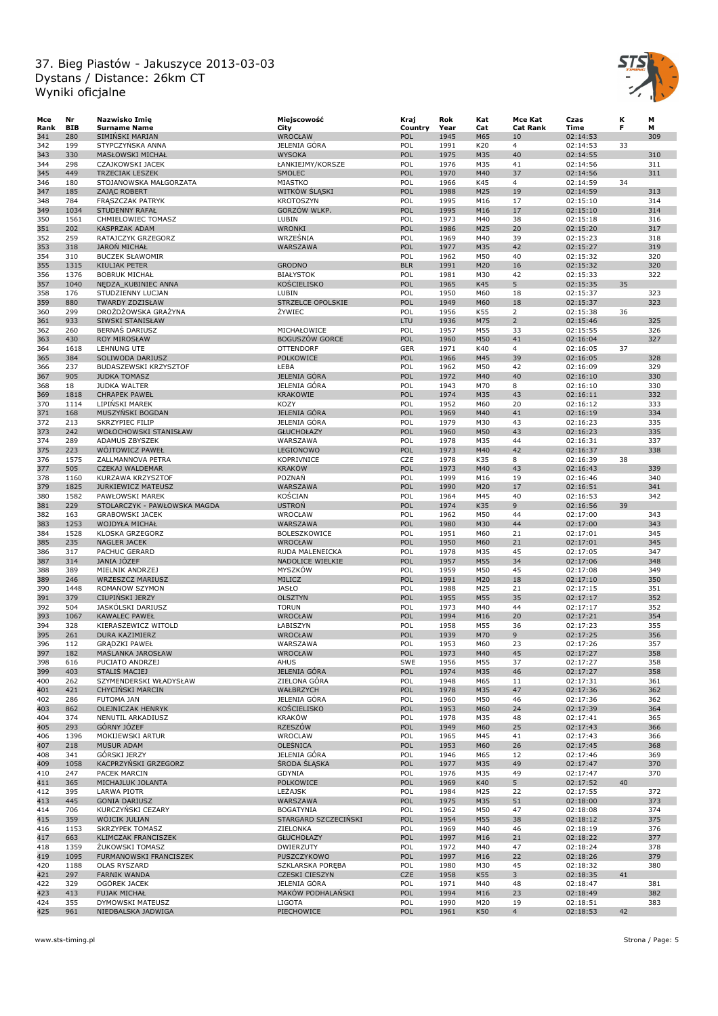

| Мсе  | Nr         | Nazwisko Imię                | Miejscowość              | Kraj       | Rok  | Kat | Mce Kat         | Czas     | к  | M   |
|------|------------|------------------------------|--------------------------|------------|------|-----|-----------------|----------|----|-----|
| Rank | <b>BIB</b> | <b>Surname Name</b>          | City                     | Country    | Year | Cat | <b>Cat Rank</b> | Time     | F  | м   |
| 341  | 280        | SIMINSKI MARIAN              | <b>WROCŁAW</b>           | POL        | 1945 | M65 | 10              | 02:14:53 |    | 309 |
| 342  | 199        | STYPCZYŃSKA ANNA             | JELENIA GÓRA             | POL        | 1991 | K20 | $\overline{4}$  | 02:14:53 | 33 |     |
| 343  | 330        | MASŁOWSKI MICHAŁ             | <b>WYSOKA</b>            | POL        | 1975 | M35 | 40              | 02:14:55 |    | 310 |
|      | 298        |                              |                          | POL        | 1976 | M35 | 41              |          |    | 311 |
| 344  |            | CZAJKOWSKI JACEK             | ŁANKIEJMY/KORSZE         |            |      |     |                 | 02:14:56 |    |     |
| 345  | 449        | <b>TRZECIAK LESZEK</b>       | SMOLEC                   | POL        | 1970 | M40 | 37              | 02:14:56 |    | 311 |
| 346  | 180        | STOJANOWSKA MAŁGORZATA       | MIASTKO                  | POL        | 1966 | K45 | $\overline{4}$  | 02:14:59 | 34 |     |
| 347  | 185        | <b>ZAJAC ROBERT</b>          | WITKOW SLASKI            | POL        | 1988 | M25 | 19              | 02:14:59 |    | 313 |
| 348  | 784        | FRASZCZAK PATRYK             | <b>KROTOSZYN</b>         | POL        | 1995 | M16 | 17              | 02:15:10 |    | 314 |
| 349  | 1034       | <b>STUDENNY RAFAŁ</b>        | GORZÓW WLKP.             | POL        | 1995 | M16 | 17              | 02:15:10 |    | 314 |
| 350  | 1561       | CHMIELOWIEC TOMASZ           | LUBIN                    | POL        | 1973 | M40 | 38              | 02:15:18 |    | 316 |
| 351  | 202        | <b>KASPRZAK ADAM</b>         | <b>WRONKI</b>            | POL        | 1986 | M25 | 20              | 02:15:20 |    | 317 |
|      | 259        |                              |                          | POL        |      |     |                 |          |    |     |
| 352  |            | RATAJCZYK GRZEGORZ           | WRZEŚNIA                 |            | 1969 | M40 | 39              | 02:15:23 |    | 318 |
| 353  | 318        | <b>JARON MICHAŁ</b>          | WARSZAWA                 | POL        | 1977 | M35 | 42              | 02:15:27 |    | 319 |
| 354  | 310        | <b>BUCZEK SŁAWOMIR</b>       |                          | POL        | 1962 | M50 | 40              | 02:15:32 |    | 320 |
| 355  | 1315       | KIULIAK PETER                | <b>GRODNO</b>            | <b>BLR</b> | 1991 | M20 | 16              | 02:15:32 |    | 320 |
| 356  | 1376       | <b>BOBRUK MICHAŁ</b>         | <b>BIAŁYSTOK</b>         | POL        | 1981 | M30 | 42              | 02:15:33 |    | 322 |
| 357  | 1040       | NEDZA KUBINIEC ANNA          | <b>KOŚCIELISKO</b>       | POL        | 1965 | K45 | 5               | 02:15:35 | 35 |     |
| 358  | 176        | STUDZIENNY LUCJAN            | LUBIN                    | POL        | 1950 | M60 | 18              | 02:15:37 |    | 323 |
| 359  | 880        | <b>TWARDY ZDZISŁAW</b>       | <b>STRZELCE OPOLSKIE</b> | POL        | 1949 | M60 | 18              | 02:15:37 |    | 323 |
|      | 299        |                              | ŻYWIEC                   | POL        |      |     |                 |          |    |     |
| 360  |            | DROŻDŻOWSKA GRAŻYNA          |                          |            | 1956 | K55 | $\overline{2}$  | 02:15:38 | 36 |     |
| 361  | 933        | SIWSKI STANISŁAW             |                          | LTU        | 1936 | M75 | $\overline{2}$  | 02:15:46 |    | 325 |
| 362  | 260        | BERNAS DARIUSZ               | MICHAŁOWICE              | POL        | 1957 | M55 | 33              | 02:15:55 |    | 326 |
| 363  | 430        | ROY MIROSŁAW                 | <b>BOGUSZÓW GORCE</b>    | POL        | 1960 | M50 | 41              | 02:16:04 |    | 327 |
| 364  | 1618       | LEHNUNG UTE                  | <b>OTTENDORF</b>         | <b>GER</b> | 1971 | K40 | $\overline{4}$  | 02:16:05 | 37 |     |
| 365  | 384        | SOLIWODA DARIUSZ             | POLKOWICE                | POL        | 1966 | M45 | 39              | 02:16:05 |    | 328 |
| 366  | 237        | BUDASZEWSKI KRZYSZTOF        | ŁEBA                     | POL        | 1962 | M50 | 42              | 02:16:09 |    | 329 |
| 367  | 905        | <b>JUDKA TOMASZ</b>          | <b>JELENIA GÓRA</b>      | POL        | 1972 | M40 | 40              | 02:16:10 |    | 330 |
|      |            |                              |                          |            |      |     |                 |          |    |     |
| 368  | 18         | <b>JUDKA WALTER</b>          | JELENIA GÓRA             | POL        | 1943 | M70 | 8               | 02:16:10 |    | 330 |
| 369  | 1818       | <b>CHRAPEK PAWEŁ</b>         | <b>KRAKOWIE</b>          | POL        | 1974 | M35 | 43              | 02:16:11 |    | 332 |
| 370  | 1114       | LIPINSKI MAREK               | KOZY                     | POL        | 1952 | M60 | 20              | 02:16:12 |    | 333 |
| 371  | 168        | MUSZYŃSKI BOGDAN             | JELENIA GÓRA             | POL        | 1969 | M40 | 41              | 02:16:19 |    | 334 |
| 372  | 213        | <b>SKRZYPIEC FILIP</b>       | JELENIA GÓRA             | POL        | 1979 | M30 | 43              | 02:16:23 |    | 335 |
| 373  | 242        | WOŁOCHOWSKI STANISŁAW        | <b>GŁUCHOŁAZY</b>        | POL        | 1960 | M50 | 43              | 02:16:23 |    | 335 |
|      |            | ADAMUS ZBYSZEK               |                          | POL        |      |     |                 |          |    |     |
| 374  | 289        |                              | WARSZAWA                 |            | 1978 | M35 | 44              | 02:16:31 |    | 337 |
| 375  | 223        | WÓJTOWICZ PAWEŁ              | LEGIONOWO                | POL        | 1973 | M40 | 42              | 02:16:37 |    | 338 |
| 376  | 1575       | ZALLMANNOVA PETRA            | KOPRIVNICE               | CZE        | 1978 | K35 | 8               | 02:16:39 | 38 |     |
| 377  | 505        | CZEKAJ WALDEMAR              | <b>KRAKÓW</b>            | POL        | 1973 | M40 | 43              | 02:16:43 |    | 339 |
| 378  | 1160       | KURZAWA KRZYSZTOF            | POZNAŃ                   | POL        | 1999 | M16 | 19              | 02:16:46 |    | 340 |
| 379  | 1825       | <b>JURKIEWICZ MATEUSZ</b>    | WARSZAWA                 | POL        | 1990 | M20 | 17              | 02:16:51 |    | 341 |
| 380  | 1582       | PAWŁOWSKI MAREK              | KOŚCIAN                  | POL        | 1964 | M45 | 40              | 02:16:53 |    | 342 |
|      |            |                              |                          |            |      |     |                 |          |    |     |
| 381  | 229        | STOLARCZYK - PAWŁOWSKA MAGDA | <b>USTRON</b>            | POL        | 1974 | K35 | 9               | 02:16:56 | 39 |     |
| 382  | 163        | <b>GRABOWSKI JACEK</b>       | WROCŁAW                  | POL        | 1962 | M50 | 44              | 02:17:00 |    | 343 |
| 383  | 1253       | WOJDYŁA MICHAŁ               | WARSZAWA                 | POL        | 1980 | M30 | 44              | 02:17:00 |    | 343 |
| 384  | 1528       | KLOSKA GRZEGORZ              | BOLESZKOWICE             | POL        | 1951 | M60 | 21              | 02:17:01 |    | 345 |
| 385  | 235        | <b>NAGLER JACEK</b>          | <b>WROCŁAW</b>           | POL        | 1950 | M60 | 21              | 02:17:01 |    | 345 |
| 386  | 317        | PACHUC GERARD                | RUDA MALENEICKA          | POL        | 1978 | M35 | 45              | 02:17:05 |    | 347 |
| 387  | 314        | JANIA JÓZEF                  | NADOLICE WIELKIE         | POL        | 1957 | M55 | 34              | 02:17:06 |    | 348 |
|      |            |                              |                          |            |      |     |                 |          |    |     |
| 388  | 389        | MIELNIK ANDRZEJ              | MYSZKOW                  | POL        | 1959 | M50 | 45              | 02:17:08 |    | 349 |
| 389  | 246        | <b>WRZESZCZ MARIUSZ</b>      | MILICZ                   | POL        | 1991 | M20 | 18              | 02:17:10 |    | 350 |
| 390  | 1448       | ROMANOW SZYMON               | <b>JASŁO</b>             | POL        | 1988 | M25 | 21              | 02:17:15 |    | 351 |
| 391  | 379        | CIUPIŃSKI JERZY              | <b>OLSZTYN</b>           | POL        | 1955 | M55 | 35              | 02:17:17 |    | 352 |
| 392  | 504        | JASKÓLSKI DARIUSZ            | <b>TORUN</b>             | POL        | 1973 | M40 | 44              | 02:17:17 |    | 352 |
| 393  | 1067       | KAWALEC PAWEŁ                | WROCŁAW                  | POL        | 1994 | M16 | 20              | 02:17:21 |    | 354 |
| 394  | 328        | KIERASZEWICZ WITOLD          | ŁABISZYN                 | POL        | 1958 | M55 | 36              | 02:17:23 |    | 355 |
|      |            |                              |                          |            |      |     |                 |          |    |     |
| 395  | 261        | DURA KAZIMIERZ               | WROCŁAW                  | POL        | 1939 | M70 | 9               | 02:17:25 |    | 356 |
| 396  | 112        | <b>GRADZKI PAWEŁ</b>         | WARSZAWA                 | POL        | 1953 | M60 | 23              | 02:17:26 |    | 357 |
| 397  | 182        | MAŚLANKA JAROSŁAW            | <b>WROCŁAW</b>           | POL        | 1973 | M40 | 45              | 02:17:27 |    | 358 |
| 398  | 616        | PUCIATO ANDRZEJ              | <b>AHUS</b>              | <b>SWE</b> | 1956 | M55 | 37              | 02:17:27 |    | 358 |
| 399  | 403        | STALIS MACIEJ                | JELENIA GÓRA             | POL        | 1974 | M35 | 46              | 02:17:27 |    | 358 |
| 400  | 262        | SZYMENDERSKI WŁADYSŁAW       | ZIELONA GÓRA             | POL        | 1948 | M65 | 11              | 02:17:31 |    | 361 |
| 401  | 421        | CHYCIŃSKI MARCIN             | WAŁBRZYCH                | POL        | 1978 | M35 | 47              | 02:17:36 |    | 362 |
| 402  | 286        | <b>FUTOMA JAN</b>            | JELENIA GÓRA             | POL        | 1960 | M50 | 46              | 02:17:36 |    | 362 |
|      |            |                              |                          |            |      |     |                 |          |    |     |
| 403  | 862        | OLEJNICZAK HENRYK            | KOŚCIELISKO              | POL        | 1953 | M60 | 24              | 02:17:39 |    | 364 |
| 404  | 374        | NENUTIL ARKADIUSZ            | <b>KRAKÓW</b>            | POL        | 1978 | M35 | 48              | 02:17:41 |    | 365 |
| 405  | 293        | GÓRNY JÓZEF                  | RZESZÓW                  | POL        | 1949 | M60 | 25              | 02:17:43 |    | 366 |
| 406  | 1396       | MOKIJEWSKI ARTUR             | WROCLAW                  | POL        | 1965 | M45 | 41              | 02:17:43 |    | 366 |
| 407  | 218        | <b>MUSUR ADAM</b>            | <b>OLEŚNICA</b>          | POL        | 1953 | M60 | 26              | 02:17:45 |    | 368 |
| 408  | 341        | <b>GORSKI JERZY</b>          | JELENIA GÓRA             | POL        | 1946 | M65 | 12              | 02:17:46 |    | 369 |
| 409  | 1058       | KACPRZYŃSKI GRZEGORZ         | SRODA SLĄSKA             | POL        | 1977 | M35 | 49              | 02:17:47 |    | 370 |
|      |            |                              |                          |            |      |     |                 |          |    |     |
| 410  | 247        | PACEK MARCIN                 | GDYNIA                   | POL        | 1976 | M35 | 49              | 02:17:47 |    | 370 |
| 411  | 365        | MICHAJLUK JOLANTA            | POLKOWICE                | POL        | 1969 | K40 | 5               | 02:17:52 | 40 |     |
| 412  | 395        | <b>LARWA PIOTR</b>           | LEŻAJSK                  | POL        | 1984 | M25 | 22              | 02:17:55 |    | 372 |
| 413  | 445        | <b>GONIA DARIUSZ</b>         | WARSZAWA                 | POL        | 1975 | M35 | 51              | 02:18:00 |    | 373 |
| 414  | 706        | KURCZYŃSKI CEZARY            | <b>BOGATYNIA</b>         | POL        | 1962 | M50 | 47              | 02:18:08 |    | 374 |
| 415  | 359        | WOJCIK JULIAN                | STARGARD SZCZECIŃSKI     | POL        | 1954 | M55 | 38              | 02:18:12 |    | 375 |
|      | 1153       | SKRZYPEK TOMASZ              | ZIELONKA                 | POL        |      |     |                 |          |    | 376 |
| 416  |            |                              |                          |            | 1969 | M40 | 46              | 02:18:19 |    |     |
| 417  | 663        | KLIMCZAK FRANCISZEK          | <b>GŁUCHOŁAZY</b>        | POL        | 1997 | M16 | 21              | 02:18:22 |    | 377 |
| 418  | 1359       | ZUKOWSKI TOMASZ              | <b>DWIERZUTY</b>         | POL        | 1972 | M40 | 47              | 02:18:24 |    | 378 |
| 419  | 1095       | FURMANOWSKI FRANCISZEK       | PUSZCZYKOWO              | POL        | 1997 | M16 | 22              | 02:18:26 |    | 379 |
| 420  | 1188       | OLAS RYSZARD                 | SZKLARSKA PORĘBA         | POL        | 1980 | M30 | 45              | 02:18:32 |    | 380 |
| 421  | 297        | <b>FARNIK WANDA</b>          | <b>CZESKI CIESZYN</b>    | <b>CZE</b> | 1958 | K55 | 3               | 02:18:35 | 41 |     |
| 422  | 329        | OGÓREK JACEK                 | JELENIA GÓRA             | POL        | 1971 | M40 | 48              | 02:18:47 |    | 381 |
| 423  | 413        | FUJAK MICHAŁ                 | MAKÓW PODHALAŃSKI        | POL        | 1994 | M16 | 23              | 02:18:49 |    | 382 |
|      |            |                              |                          |            |      |     |                 |          |    |     |
| 424  | 355        | DYMOWSKI MATEUSZ             | <b>LIGOTA</b>            | POL        | 1990 | M20 | 19              | 02:18:51 |    | 383 |
| 425  | 961        | NIEDBALSKA JADWIGA           | PIECHOWICE               | POL        | 1961 | K50 | $\overline{4}$  | 02:18:53 | 42 |     |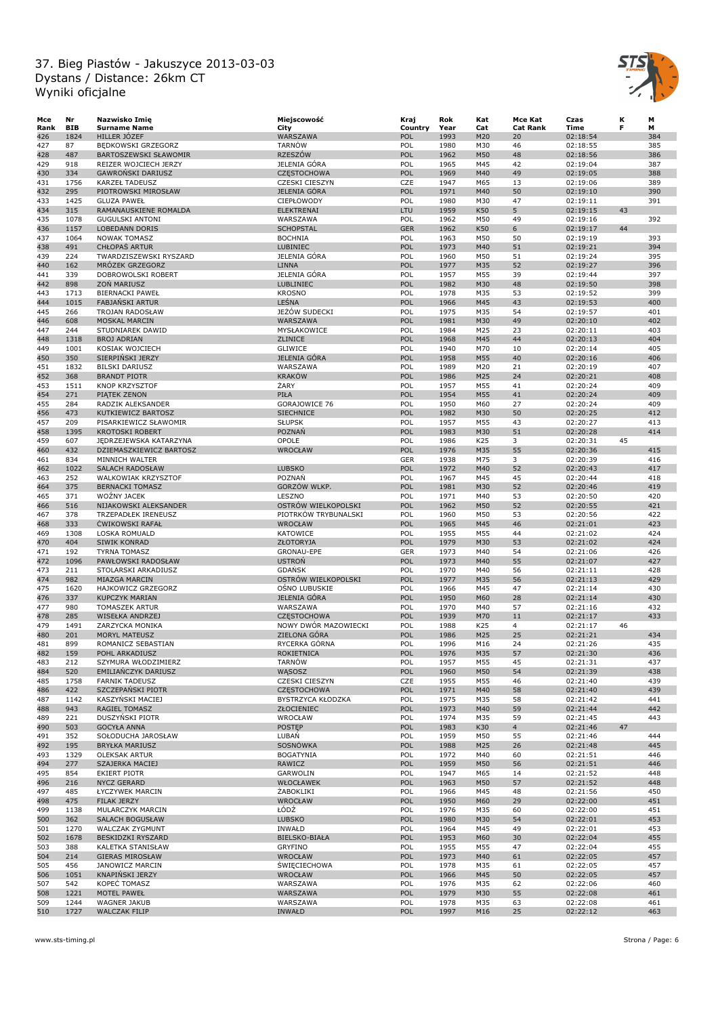

| Mce  | Nr         | Nazwisko Imię           | Miejscowość           | Kraj       | Rok  | Kat | Mce Kat         | Czas     | к  | М   |
|------|------------|-------------------------|-----------------------|------------|------|-----|-----------------|----------|----|-----|
| Rank | <b>BIB</b> | <b>Surname Name</b>     | City                  | Country    | Year | Cat | <b>Cat Rank</b> | Time     | F  | м   |
| 426  | 1824       | HILLER JOZEF            | WARSZAWA              | POL        | 1993 | M20 | 20              | 02:18:54 |    | 384 |
| 427  | 87         | BĘDKOWSKI GRZEGORZ      | <b>TARNÓW</b>         | POL        | 1980 | M30 | 46              | 02:18:55 |    | 385 |
| 428  | 487        | BARTOSZEWSKI SŁAWOMIR   | <b>RZESZÓW</b>        | POL        | 1962 | M50 | 48              | 02:18:56 |    | 386 |
| 429  | 918        | REIZER WOJCIECH JERZY   | JELENIA GÓRA          | POL        | 1965 | M45 | 42              | 02:19:04 |    | 387 |
| 430  | 334        | GAWROŃSKI DARIUSZ       | <b>CZESTOCHOWA</b>    | POL        | 1969 | M40 | 49              | 02:19:05 |    | 388 |
| 431  | 1756       | <b>KARZEŁ TADEUSZ</b>   | <b>CZESKI CIESZYN</b> | CZE        | 1947 | M65 | 13              | 02:19:06 |    | 389 |
|      |            |                         |                       |            |      |     |                 |          |    |     |
| 432  | 295        | PIOTROWSKI MIROSŁAW     | JELENIA GÓRA          | POL        | 1971 | M40 | 50              | 02:19:10 |    | 390 |
| 433  | 1425       | <b>GLUZA PAWEŁ</b>      | CIEPŁOWODY            | POL        | 1980 | M30 | 47              | 02:19:11 |    | 391 |
| 434  | 315        | RAMANAUSKIENE ROMALDA   | <b>ELEKTRENAI</b>     | LTU        | 1959 | K50 | 5               | 02:19:15 | 43 |     |
| 435  | 1078       | <b>GUGULSKI ANTONI</b>  | WARSZAWA              | POL        | 1962 | M50 | 49              | 02:19:16 |    | 392 |
| 436  | 1157       | <b>LOBEDANN DORIS</b>   | <b>SCHOPSTAL</b>      | <b>GER</b> | 1962 | K50 | 6               | 02:19:17 | 44 |     |
| 437  | 1064       | <b>NOWAK TOMASZ</b>     | <b>BOCHNIA</b>        | POL        | 1963 | M50 | 50              | 02:19:19 |    | 393 |
| 438  | 491        | <b>CHŁOPAS ARTUR</b>    | <b>LUBINIEC</b>       | POL        | 1973 | M40 | 51              | 02:19:21 |    | 394 |
| 439  | 224        | TWARDZISZEWSKI RYSZARD  | JELENIA GÓRA          | POL        | 1960 | M50 | 51              | 02:19:24 |    | 395 |
| 440  | 162        | MRÖZEK GRZEGORZ         | <b>LINNA</b>          | POL        | 1977 | M35 | 52              | 02:19:27 |    | 396 |
|      |            |                         |                       |            |      |     |                 |          |    |     |
| 441  | 339        | DOBROWOLSKI ROBERT      | JELENIA GÓRA          | POL        | 1957 | M55 | 39              | 02:19:44 |    | 397 |
| 442  | 898        | ZON MARIUSZ             | LUBLINIEC             | POL        | 1982 | M30 | 48              | 02:19:50 |    | 398 |
| 443  | 1713       | <b>BIERNACKI PAWEŁ</b>  | <b>KROSNO</b>         | POL        | 1978 | M35 | 53              | 02:19:52 |    | 399 |
| 444  | 1015       | <b>FABJANSKI ARTUR</b>  | LEŚNA                 | POL        | 1966 | M45 | 43              | 02:19:53 |    | 400 |
| 445  | 266        | TROJAN RADOSŁAW         | JEŻÓW SUDECKI         | POL        | 1975 | M35 | 54              | 02:19:57 |    | 401 |
| 446  | 608        | MOSKAL MARCIN           | WARSZAWA              | POL        | 1981 | M30 | 49              | 02:20:10 |    | 402 |
| 447  | 244        | STUDNIAREK DAWID        | MYSŁAKOWICE           | POL        | 1984 | M25 | 23              | 02:20:11 |    | 403 |
| 448  | 1318       | <b>BROJ ADRIAN</b>      | ZLINICE               | POL        | 1968 | M45 | 44              | 02:20:13 |    | 404 |
| 449  | 1001       | KOSIAK WOJCIECH         | <b>GLIWICE</b>        | POL        | 1940 | M70 | 10              | 02:20:14 |    | 405 |
|      |            |                         |                       | POL        | 1958 |     |                 |          |    |     |
| 450  | 350        | SIERPINSKI JERZY        | JELENIA GÓRA          |            |      | M55 | 40              | 02:20:16 |    | 406 |
| 451  | 1832       | <b>BILSKI DARIUSZ</b>   | WARSZAWA              | POL        | 1989 | M20 | 21              | 02:20:19 |    | 407 |
| 452  | 368        | <b>BRANDT PIOTR</b>     | <b>KRAKÓW</b>         | POL        | 1986 | M25 | 24              | 02:20:21 |    | 408 |
| 453  | 1511       | <b>KNOP KRZYSZTOF</b>   | ŻARY                  | POL        | 1957 | M55 | 41              | 02:20:24 |    | 409 |
| 454  | 271        | PIATEK ZENON            | PIŁA                  | POL        | 1954 | M55 | 41              | 02:20:24 |    | 409 |
| 455  | 284        | RADZIK ALEKSANDER       | GORAJOWICE 76         | POL        | 1950 | M60 | 27              | 02:20:24 |    | 409 |
| 456  | 473        | KUTKIEWICZ BARTOSZ      | <b>SIECHNICE</b>      | POL        | 1982 | M30 | 50              | 02:20:25 |    | 412 |
| 457  | 209        | PISARKIEWICZ SŁAWOMIR   | <b>SŁUPSK</b>         | POL        | 1957 | M55 | 43              | 02:20:27 |    | 413 |
|      |            | <b>KROTOSKI ROBERT</b>  |                       |            |      |     |                 |          |    |     |
| 458  | 1395       |                         | <b>POZNAŃ</b>         | POL        | 1983 | M30 | 51              | 02:20:28 |    | 414 |
| 459  | 607        | JEDRZEJEWSKA KATARZYNA  | OPOLE                 | POL        | 1986 | K25 | 3               | 02:20:31 | 45 |     |
| 460  | 432        | DZIEMASZKIEWICZ BARTOSZ | WROCŁAW               | POL        | 1976 | M35 | 55              | 02:20:36 |    | 415 |
| 461  | 834        | MINNICH WALTER          |                       | GER        | 1938 | M75 | 3               | 02:20:39 |    | 416 |
| 462  | 1022       | <b>SALACH RADOSŁAW</b>  | <b>LUBSKO</b>         | POL        | 1972 | M40 | 52              | 02:20:43 |    | 417 |
| 463  | 252        | WALKOWIAK KRZYSZTOF     | POZNAŃ                | POL        | 1967 | M45 | 45              | 02:20:44 |    | 418 |
| 464  | 375        | <b>BERNACKI TOMASZ</b>  | GORZÓW WLKP.          | POL        | 1981 | M30 | 52              | 02:20:46 |    | 419 |
| 465  | 371        | <b>WOŻNY JACEK</b>      | LESZNO                | POL        | 1971 | M40 | 53              | 02:20:50 |    | 420 |
|      | 516        |                         | OSTRÓW WIELKOPOLSKI   | POL        | 1962 | M50 | 52              |          |    | 421 |
| 466  |            | NIJAKOWSKI ALEKSANDER   |                       |            |      |     |                 | 02:20:55 |    |     |
| 467  | 378        | TRZEPADŁEK IRENEUSZ     | PIOTRKÓW TRYBUNALSKI  | POL        | 1960 | M50 | 53              | 02:20:56 |    | 422 |
| 468  | 333        | <b>CWIKOWSKI RAFAŁ</b>  | WROCŁAW               | POL        | 1965 | M45 | 46              | 02:21:01 |    | 423 |
| 469  | 1308       | LOSKA ROMUALD           | <b>KATOWICE</b>       | POL        | 1955 | M55 | 44              | 02:21:02 |    | 424 |
| 470  | 404        | <b>SIWIK KONRAD</b>     | ZŁOTORYJA             | POL        | 1979 | M30 | 53              | 02:21:02 |    | 424 |
| 471  | 192        | <b>TYRNA TOMASZ</b>     | GRONAU-EPE            | GER        | 1973 | M40 | 54              | 02:21:06 |    | 426 |
| 472  | 1096       | PAWŁOWSKI RADOSŁAW      | <b>USTRON</b>         | POL        | 1973 | M40 | 55              | 02:21:07 |    | 427 |
| 473  | 211        | STOLARSKI ARKADIUSZ     | <b>GDANSK</b>         | POL        | 1970 | M40 | 56              | 02:21:11 |    | 428 |
| 474  | 982        | <b>MIAZGA MARCIN</b>    | OSTRÓW WIELKOPOLSKI   | POL        | 1977 | M35 | 56              | 02:21:13 |    | 429 |
| 475  | 1620       | HAJKOWICZ GRZEGORZ      | OŚNO LUBUSKIE         | POL        | 1966 | M45 | 47              | 02:21:14 |    | 430 |
| 476  | 337        | <b>KUPCZYK MARIAN</b>   | <b>JELENIA GÓRA</b>   | POL        | 1950 | M60 | 28              | 02:21:14 |    | 430 |
|      |            |                         |                       |            |      |     |                 |          |    |     |
| 477  | 980        | TOMASZEK ARTUR          | WARSZAWA              | POL        | 1970 | M40 | 57              | 02:21:16 |    | 432 |
| 478  | 285        | WISEŁKA ANDRZEJ         | <b>CZĘSTOCHOWA</b>    | POL        | 1939 | M70 | 11              | 02:21:17 |    | 433 |
| 479  | 1491       | ZARZYCKA MONIKA         | NOWY DWÓR MAZOWIECKI  | POL        | 1988 | K25 | $\overline{4}$  | 02:21:17 | 46 |     |
| 480  | 201        | MORYL MATEUSZ           | ZIELONA GÓRA          | POL        | 1986 | M25 | 25              | 02:21:21 |    | 434 |
| 481  | 899        | ROMANICZ SEBASTIAN      | RYCERKA GÓRNA         | POL        | 1996 | M16 | 24              | 02:21:26 |    | 435 |
| 482  | 159        | POHL ARKADIUSZ          | <b>ROKIETNICA</b>     | POL        | 1976 | M35 | 57              | 02:21:30 |    | 436 |
| 483  | 212        | SZYMURA WŁODZIMIERZ     | <b>TARNÓW</b>         | POL        | 1957 | M55 | 45              | 02:21:31 |    | 437 |
| 484  | 520        | EMILIAŃCZYK DARIUSZ     | WASOSZ                | POL        | 1960 | M50 | 54              | 02:21:39 |    | 438 |
| 485  | 1758       | <b>FARNIK TADEUSZ</b>   | CZESKI CIESZYN        | CZE        | 1955 | M55 | 46              | 02:21:40 |    | 439 |
|      |            | SZCZEPAŃSKI PIOTR       |                       |            |      |     |                 |          |    |     |
| 486  | 422        |                         | CZĘSTOCHOWA           | POL        | 1971 | M40 | 58              | 02:21:40 |    | 439 |
| 487  | 1142       | KASZYŃSKI MACIEJ        | BYSTRZYCA KŁODZKA     | POL        | 1975 | M35 | 58              | 02:21:42 |    | 441 |
| 488  | 943        | RAGIEL TOMASZ           | ZŁOCIENIEC            | POL        | 1973 | M40 | 59              | 02:21:44 |    | 442 |
| 489  | 221        | DUSZYŃSKI PIOTR         | WROCŁAW               | POL        | 1974 | M35 | 59              | 02:21:45 |    | 443 |
| 490  | 503        | <b>GOCYŁA ANNA</b>      | <b>POSTEP</b>         | POL        | 1983 | K30 | $\overline{4}$  | 02:21:46 | 47 |     |
| 491  | 352        | SOŁODUCHA JAROSŁAW      | LUBAN                 | POL        | 1959 | M50 | 55              | 02:21:46 |    | 444 |
| 492  | 195        | <b>BRYŁKA MARIUSZ</b>   | SOSNÓWKA              | POL        | 1988 | M25 | 26              | 02:21:48 |    | 445 |
| 493  | 1329       | <b>OLEKSAK ARTUR</b>    | <b>BOGATYNIA</b>      | POL        | 1972 | M40 | 60              | 02:21:51 |    | 446 |
|      |            |                         |                       |            |      |     |                 |          |    |     |
| 494  | 277        | SZAJERKA MACIEJ         | <b>RAWICZ</b>         | POL        | 1959 | M50 | 56              | 02:21:51 |    | 446 |
| 495  | 854        | <b>EKIERT PIOTR</b>     | GARWOLIN              | POL        | 1947 | M65 | 14              | 02:21:52 |    | 448 |
| 496  | 216        | <b>NYCZ GERARD</b>      | WŁOCŁAWEK             | POL        | 1963 | M50 | 57              | 02:21:52 |    | 448 |
| 497  | 485        | ŁYCZYWEK MARCIN         | ŻABOKLIKI             | POL        | 1966 | M45 | 48              | 02:21:56 |    | 450 |
| 498  | 475        | FILAK JERZY             | WROCŁAW               | POL        | 1950 | M60 | 29              | 02:22:00 |    | 451 |
| 499  | 1138       | MULARCZYK MARCIN        | ŁÓDŹ                  | POL        | 1976 | M35 | 60              | 02:22:00 |    | 451 |
| 500  | 362        | SALACH BOGUSŁAW         | <b>LUBSKO</b>         | POL        | 1980 | M30 | 54              | 02:22:01 |    | 453 |
| 501  | 1270       | WALCZAK ZYGMUNT         | INWAŁD                | POL        | 1964 | M45 | 49              | 02:22:01 |    | 453 |
| 502  | 1678       |                         | <b>BIELSKO-BIAŁA</b>  | POL        | 1953 | M60 | 30              | 02:22:04 |    | 455 |
|      |            | BESKIDZKI RYSZARD       |                       |            |      |     |                 |          |    |     |
| 503  | 388        | KALETKA STANISŁAW       | <b>GRYFINO</b>        | POL        | 1955 | M55 | 47              | 02:22:04 |    | 455 |
| 504  | 214        | <b>GIERAS MIROSŁAW</b>  | <b>WROCŁAW</b>        | POL        | 1973 | M40 | 61              | 02:22:05 |    | 457 |
| 505  | 456        | JANOWICZ MARCIN         | <b>SWIECIECHOWA</b>   | POL        | 1978 | M35 | 61              | 02:22:05 |    | 457 |
| 506  | 1051       | KNAPIŃSKI JERZY         | WROCŁAW               | POL        | 1966 | M45 | 50              | 02:22:05 |    | 457 |
| 507  | 542        | KOPEC TOMASZ            | WARSZAWA              | POL        | 1976 | M35 | 62              | 02:22:06 |    | 460 |
| 508  | 1221       | MOTEL PAWEŁ             | WARSZAWA              | POL        | 1979 | M30 | 55              | 02:22:08 |    | 461 |
| 509  | 1244       | WAGNER JAKUB            | WARSZAWA              | POL        | 1978 | M35 | 63              | 02:22:08 |    | 461 |
| 510  | 1727       | <b>WALCZAK FILIP</b>    | INWAŁD                | POL        | 1997 | M16 | 25              | 02:22:12 |    | 463 |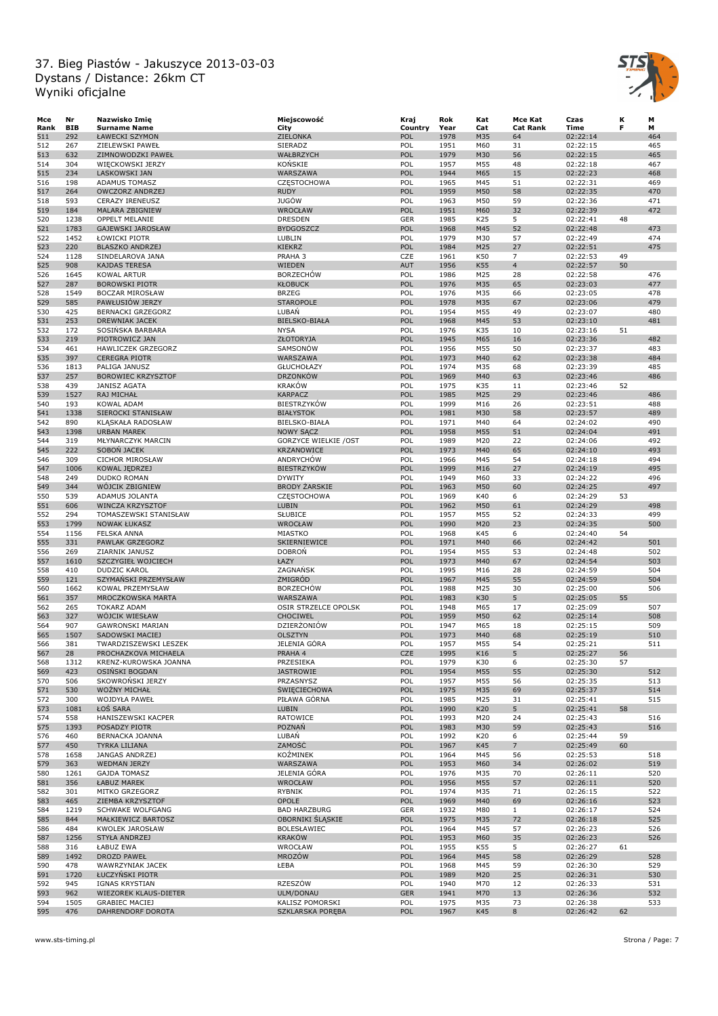

| Мсе  | Nr         | Nazwisko Imię             | Miejscowość                  | Kraj       | Rok  | Kat | Mce Kat         | Czas     | К  | М   |
|------|------------|---------------------------|------------------------------|------------|------|-----|-----------------|----------|----|-----|
| Rank | <b>BIB</b> | <b>Surname Name</b>       | City                         | Country    | Year | Cat | <b>Cat Rank</b> | Time     | F  | м   |
| 511  | 292        | ŁAWECKI SZYMON            | ZIELONKA                     | POL        | 1978 | M35 | 64              | 02:22:14 |    | 464 |
| 512  | 267        | ZIELEWSKI PAWEŁ           | SIERADZ                      | POL        | 1951 | M60 | 31              | 02:22:15 |    | 465 |
| 513  | 632        | ZIMNOWODZKI PAWEŁ         | WAŁBRZYCH                    | POL        | 1979 | M30 | 56              | 02:22:15 |    | 465 |
| 514  | 304        | WIĘCKOWSKI JERZY          | KOŃSKIE                      | POL        | 1957 | M55 | 48              | 02:22:18 |    | 467 |
| 515  | 234        | LASKOWSKI JAN             | WARSZAWA                     | POL        | 1944 | M65 | 15              | 02:22:23 |    | 468 |
| 516  | 198        | <b>ADAMUS TOMASZ</b>      | CZĘSTOCHOWA                  | POL        | 1965 | M45 | 51              | 02:22:31 |    | 469 |
| 517  | 264        | OWCZORZ ANDRZEJ           | <b>RUDY</b>                  | POL        | 1959 | M50 | 58              | 02:22:35 |    | 470 |
| 518  | 593        | <b>CERAZY IRENEUSZ</b>    | <b>JUGÓW</b>                 | POL        | 1963 | M50 | 59              | 02:22:36 |    | 471 |
| 519  | 184        | MALARA ZBIGNIEW           | WROCŁAW                      | POL        | 1951 | M60 | 32              | 02:22:39 |    | 472 |
| 520  | 1238       | OPPELT MELANIE            | <b>DRESDEN</b>               | GER        | 1985 | K25 | 5               | 02:22:41 | 48 |     |
|      |            |                           |                              | POL        |      |     | 52              |          |    | 473 |
| 521  | 1783       | GAJEWSKI JAROSŁAW         | <b>BYDGOSZCZ</b>             |            | 1968 | M45 |                 | 02:22:48 |    |     |
| 522  | 1452       | ŁOWICKI PIOTR             | LUBLIN                       | POL        | 1979 | M30 | 57              | 02:22:49 |    | 474 |
| 523  | 220        | <b>BLASZKO ANDRZEJ</b>    | <b>KIEKRZ</b>                | POL        | 1984 | M25 | 27              | 02:22:51 |    | 475 |
| 524  | 1128       | SINDELAROVA JANA          | PRAHA 3                      | CZE        | 1961 | K50 | $\overline{7}$  | 02:22:53 | 49 |     |
| 525  | 908        | <b>KAJDAS TERESA</b>      | WIEDEN                       | <b>AUT</b> | 1956 | K55 | $\overline{4}$  | 02:22:57 | 50 |     |
| 526  | 1645       | <b>KOWAL ARTUR</b>        | <b>BORZECHOW</b>             | POL        | 1986 | M25 | 28              | 02:22:58 |    | 476 |
| 527  | 287        | <b>BOROWSKI PIOTR</b>     | <b>KŁOBUCK</b>               | POL        | 1976 | M35 | 65              | 02:23:03 |    | 477 |
| 528  | 1549       | <b>BOCZAR MIROSŁAW</b>    | <b>BRZEG</b>                 | POL        | 1976 | M35 | 66              | 02:23:05 |    | 478 |
| 529  | 585        | PAWŁUSIÓW JERZY           | <b>STAROPOLE</b>             | POL        | 1978 | M35 | 67              | 02:23:06 |    | 479 |
| 530  | 425        | BERNACKI GRZEGORZ         | LUBAN                        | POL        | 1954 | M55 | 49              | 02:23:07 |    | 480 |
| 531  | 253        | DREWNIAK JACEK            | <b>BIELSKO-BIAŁA</b>         | POL        | 1968 | M45 | 53              | 02:23:10 |    | 481 |
| 532  | 172        | SOSIŃSKA BARBARA          | <b>NYSA</b>                  | POL        | 1976 | K35 | 10              | 02:23:16 | 51 |     |
| 533  | 219        | PIOTROWICZ JAN            | ZŁOTORYJA                    | POL        | 1945 | M65 | 16              | 02:23:36 |    | 482 |
|      |            |                           |                              |            |      |     | 50              |          |    |     |
| 534  | 461        | HAWLICZEK GRZEGORZ        | SAMSONÓW<br>WARSZAWA         | POL        | 1956 | M55 |                 | 02:23:37 |    | 483 |
| 535  | 397        | <b>CEREGRA PIOTR</b>      |                              | POL        | 1973 | M40 | 62              | 02:23:38 |    | 484 |
| 536  | 1813       | PALIGA JANUSZ             | GŁUCHOŁAZY                   | POL        | 1974 | M35 | 68              | 02:23:39 |    | 485 |
| 537  | 257        | <b>BOROWIEC KRZYSZTOF</b> | <b>DRZONKÓW</b>              | POL        | 1969 | M40 | 63              | 02:23:46 |    | 486 |
| 538  | 439        | <b>JANISZ AGATA</b>       | <b>KRAKÓW</b>                | POL        | 1975 | K35 | 11              | 02:23:46 | 52 |     |
| 539  | 1527       | RAJ MICHAŁ                | <b>KARPACZ</b>               | POL        | 1985 | M25 | 29              | 02:23:46 |    | 486 |
| 540  | 193        | KOWAL ADAM                | <b>BIESTRZYKÓW</b>           | POL        | 1999 | M16 | 26              | 02:23:51 |    | 488 |
| 541  | 1338       | SIEROCKI STANISŁAW        | <b>BIAŁYSTOK</b>             | POL        | 1981 | M30 | 58              | 02:23:57 |    | 489 |
| 542  | 890        | KLĄSKAŁA RADOSŁAW         | BIELSKO-BIAŁA                | POL        | 1971 | M40 | 64              | 02:24:02 |    | 490 |
| 543  | 1398       | <b>URBAN MAREK</b>        | <b>NOWY SACZ</b>             | POL        | 1958 | M55 | 51              | 02:24:04 |    | 491 |
| 544  | 319        | MŁYNARCZYK MARCIN         | <b>GORZYCE WIELKIE / OST</b> | POL        | 1989 | M20 | 22              | 02:24:06 |    | 492 |
| 545  | 222        | SOBON JACEK               | <b>KRZANOWICE</b>            | POL        | 1973 | M40 | 65              | 02:24:10 |    | 493 |
| 546  | 309        | <b>CICHOR MIROSŁAW</b>    | <b>ANDRYCHOW</b>             | POL        | 1966 | M45 | 54              | 02:24:18 |    | 494 |
|      |            |                           |                              |            |      |     |                 |          |    |     |
| 547  | 1006       | KOWAL JEDRZEJ             | <b>BIESTRZYKÓW</b>           | POL        | 1999 | M16 | 27              | 02:24:19 |    | 495 |
| 548  | 249        | <b>DUDKO ROMAN</b>        | <b>DYWITY</b>                | POL        | 1949 | M60 | 33              | 02:24:22 |    | 496 |
| 549  | 344        | WÓJCIK ZBIGNIEW           | <b>BRODY ZARSKIE</b>         | POL        | 1963 | M50 | 60              | 02:24:25 |    | 497 |
| 550  | 539        | ADAMUS JOLANTA            | CZĘSTOCHOWA                  | POL        | 1969 | K40 | 6               | 02:24:29 | 53 |     |
| 551  | 606        | <b>WINCZA KRZYSZTOF</b>   | <b>LUBIN</b>                 | POL        | 1962 | M50 | 61              | 02:24:29 |    | 498 |
| 552  | 294        | TOMASZEWSKI STANISŁAW     | SŁUBICE                      | POL        | 1957 | M55 | 52              | 02:24:33 |    | 499 |
| 553  | 1799       | <b>NOWAK ŁUKASZ</b>       | WROCŁAW                      | POL        | 1990 | M20 | 23              | 02:24:35 |    | 500 |
| 554  | 1156       | <b>FELSKA ANNA</b>        | MIASTKO                      | POL        | 1968 | K45 | 6               | 02:24:40 | 54 |     |
| 555  | 331        | PAWLAK GRZEGORZ           | SKIERNIEWICE                 | POL        | 1971 | M40 | 66              | 02:24:42 |    | 501 |
| 556  | 269        | ZIARNIK JANUSZ            | <b>DOBRON</b>                | POL        | 1954 | M55 | 53              | 02:24:48 |    | 502 |
| 557  | 1610       | SZCZYGIEŁ WOJCIECH        | ŁAZY                         | POL        | 1973 | M40 | 67              | 02:24:54 |    | 503 |
| 558  | 410        | <b>DUDZIC KAROL</b>       | ZAGNAŃSK                     | POL        | 1995 | M16 | 28              | 02:24:59 |    | 504 |
| 559  | 121        | SZYMAŃSKI PRZEMYSŁAW      | ŻMIGRÓD                      | POL        | 1967 | M45 | 55              | 02:24:59 |    | 504 |
| 560  | 1662       | KOWAL PRZEMYSŁAW          | <b>BORZECHÓW</b>             | POL        | 1988 | M25 | 30              | 02:25:00 |    | 506 |
|      |            |                           |                              |            |      |     |                 |          |    |     |
| 561  | 357        | MROCZKOWSKA MARTA         | WARSZAWA                     | POL        | 1983 | K30 | 5               | 02:25:05 | 55 |     |
| 562  | 265        | <b>TOKARZ ADAM</b>        | OSIR STRZELCE OPOLSK         | POL        | 1948 | M65 | 17              | 02:25:09 |    | 507 |
| 563  | 327        | WÖJCIK WIESŁAW            | CHOCIWEL                     | POL        | 1959 | M50 | 62              | 02:25:14 |    | 508 |
| 564  | 907        | <b>GAWRONSKI MARIAN</b>   | DZIERŻONIÓW                  | POL        | 1947 | M65 | 18              | 02:25:15 |    | 509 |
| 565  | 1507       | SADOWSKI MACIEJ           | <b>OLSZTYN</b>               | POL        | 1973 | M40 | 68              | 02:25:19 |    | 510 |
| 566  | 381        | TWARDZISZEWSKI LESZEK     | JELENIA GÓRA                 | POL        | 1957 | M55 | 54              | 02:25:21 |    | 511 |
| 567  | 28         | PROCHAZKOVA MICHAELA      | PRAHA 4                      | CZE        | 1995 | K16 | 5               | 02:25:27 | 56 |     |
| 568  | 1312       | KRENZ-KUROWSKA JOANNA     | PRZESIEKA                    | POL        | 1979 | K30 | 6               | 02:25:30 | 57 |     |
| 569  | 423        | <b>OSINSKI BOGDAN</b>     | <b>JASTROWIE</b>             | POL        | 1954 | M55 | 55              | 02:25:30 |    | 512 |
| 570  | 506        | SKOWROŃSKI JERZY          | PRZASNYSZ                    | POL        | 1957 | M55 | 56              | 02:25:35 |    | 513 |
| 571  | 530        | WOŹNY MICHAŁ              | <b>SWIECIECHOWA</b>          | POL        | 1975 | M35 | 69              | 02:25:37 |    | 514 |
| 572  | 300        | WOJDYŁA PAWEŁ             | PIŁAWA GÓRNA                 | POL        | 1985 | M25 | 31              | 02:25:41 |    | 515 |
| 573  | 1081       | ŁOŚ SARA                  | LUBIN                        | POL        | 1990 | K20 | 5               | 02:25:41 | 58 |     |
|      |            |                           |                              |            |      |     |                 |          |    |     |
| 574  | 558        | HANISZEWSKI KACPER        | <b>RATOWICE</b>              | POL        | 1993 | M20 | 24              | 02:25:43 |    | 516 |
| 575  | 1393       | POSADZY PIOTR             | <b>POZNAN</b>                | POL        | 1983 | M30 | 59              | 02:25:43 |    | 516 |
| 576  | 460        | BERNACKA JOANNA           | LUBAŃ                        | POL        | 1992 | K20 | 6               | 02:25:44 | 59 |     |
| 577  | 450        | <b>TYRKA LILIANA</b>      | ZAMOŚĆ                       | POL        | 1967 | K45 | $\overline{7}$  | 02:25:49 | 60 |     |
| 578  | 1658       | JANGAS ANDRZEJ            | KOŹMINEK                     | POL        | 1964 | M45 | 56              | 02:25:53 |    | 518 |
| 579  | 363        | <b>WEDMAN JERZY</b>       | WARSZAWA                     | POL        | 1953 | M60 | 34              | 02:26:02 |    | 519 |
| 580  | 1261       | <b>GAJDA TOMASZ</b>       | JELENIA GÓRA                 | POL        | 1976 | M35 | 70              | 02:26:11 |    | 520 |
| 581  | 356        | ŁABUZ MAREK               | WROCŁAW                      | POL        | 1956 | M55 | 57              | 02:26:11 |    | 520 |
| 582  | 301        | MITKO GRZEGORZ            | RYBNIK                       | POL        | 1974 | M35 | 71              | 02:26:15 |    | 522 |
| 583  | 465        | ZIEMBA KRZYSZTOF          | <b>OPOLE</b>                 | POL        | 1969 | M40 | 69              | 02:26:16 |    | 523 |
| 584  | 1219       | SCHWAKE WOLFGANG          | <b>BAD HARZBURG</b>          | GER        | 1932 | M80 | $\mathbf{1}$    | 02:26:17 |    | 524 |
| 585  | 844        |                           | OBORNIKI ŚLĄSKIE             | POL        | 1975 | M35 |                 | 02:26:18 |    | 525 |
|      |            | MAŁKIEWICZ BARTOSZ        |                              |            |      |     | 72              |          |    |     |
| 586  | 484        | <b>KWOLEK JAROSŁAW</b>    | BOLESŁAWIEC                  | POL        | 1964 | M45 | 57              | 02:26:23 |    | 526 |
| 587  | 1256       | STYŁA ANDRZEJ             | <b>KRAKÓW</b>                | POL        | 1953 | M60 | 35              | 02:26:23 |    | 526 |
| 588  | 316        | ŁABUZ EWA                 | WROCŁAW                      | POL        | 1955 | K55 | 5               | 02:26:27 | 61 |     |
| 589  | 1492       | DROZD PAWEŁ               | MROZÓW                       | POL        | 1964 | M45 | 58              | 02:26:29 |    | 528 |
| 590  | 478        | WAWRZYNIAK JACEK          | ŁEBA                         | POL        | 1968 | M45 | 59              | 02:26:30 |    | 529 |
| 591  | 1720       | ŁUCZYŃSKI PIOTR           |                              | POL        | 1989 | M20 | 25              | 02:26:31 |    | 530 |
| 592  | 945        | IGNAS KRYSTIAN            | RZESZÓW                      | POL        | 1940 | M70 | 12              | 02:26:33 |    | 531 |
| 593  | 962        | WIEZOREK KLAUS-DIETER     | ULM/DONAU                    | <b>GER</b> | 1941 | M70 | 13              | 02:26:36 |    | 532 |
| 594  | 1505       | <b>GRABIEC MACIEJ</b>     | KALISZ POMORSKI              | POL        | 1975 | M35 | 73              | 02:26:38 |    | 533 |
| 595  | 476        | DAHRENDORF DOROTA         | SZKLARSKA PORĘBA             | POL        | 1967 | K45 | 8               |          | 62 |     |
|      |            |                           |                              |            |      |     |                 | 02:26:42 |    |     |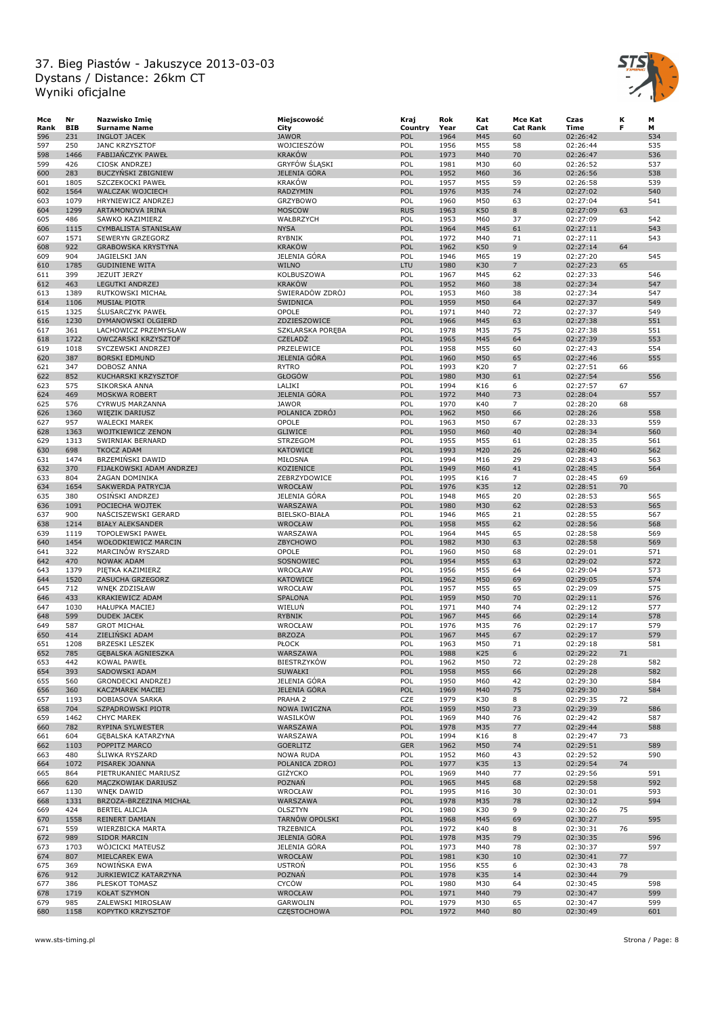

| Mce  | Nr         | Nazwisko Imię                               | Miejscowość        | Kraj       | Rok  | Kat             | Mce Kat         | Czas     | к  | М   |
|------|------------|---------------------------------------------|--------------------|------------|------|-----------------|-----------------|----------|----|-----|
| Rank | <b>BIB</b> | <b>Surname Name</b>                         | City               | Country    | Year | Cat             | <b>Cat Rank</b> | Time     | F  | M   |
| 596  | 231        | <b>INGLOT JACEK</b>                         | <b>JAWOR</b>       | POL        | 1964 | M45             | 60              | 02:26:42 |    | 534 |
| 597  | 250        | <b>JANC KRZYSZTOF</b>                       | WOJCIESZÓW         | POL        | 1956 | M55             | 58              | 02:26:44 |    | 535 |
| 598  | 1466       | FABIJAŃCZYK PAWEŁ                           | <b>KRAKÓW</b>      | POL        | 1973 | M40             | 70              | 02:26:47 |    | 536 |
| 599  | 426        | CIOSK ANDRZEJ                               | GRYFÓW ŚLĄSKI      | POL        | 1981 | M30             | 60              | 02:26:52 |    | 537 |
| 600  | 283        | BUCZYŃSKI ZBIGNIEW                          | JELENIA GÓRA       | POL        | 1952 | M60             | 36              | 02:26:56 |    | 538 |
| 601  | 1805       | SZCZEKOCKI PAWEŁ                            | <b>KRAKÓW</b>      | POL        | 1957 | M55             | 59              | 02:26:58 |    | 539 |
| 602  | 1564       | <b>WALCZAK WOJCIECH</b>                     | <b>RADZYMIN</b>    | POL        | 1976 | M35             | 74              | 02:27:02 |    | 540 |
| 603  | 1079       | HRYNIEWICZ ANDRZEJ                          | <b>GRZYBOWO</b>    | POL        | 1960 | M50             | 63              | 02:27:04 |    | 541 |
| 604  | 1299       | ARTAMONOVA IRINA                            | <b>MOSCOW</b>      | <b>RUS</b> | 1963 | K50             | 8               | 02:27:09 | 63 |     |
| 605  | 486        | SAWKO KAZIMIERZ                             | WAŁBRZYCH          | POL        | 1953 | M60             | 37              | 02:27:09 |    | 542 |
| 606  | 1115       | CYMBALISTA STANISŁAW                        | <b>NYSA</b>        | POL        | 1964 | M45             | 61              | 02:27:11 |    | 543 |
| 607  | 1571       | SEWERYN GRZEGORZ                            | <b>RYBNIK</b>      | POL        | 1972 | M40             | 71              | 02:27:11 |    | 543 |
| 608  | 922        | <b>GRABOWSKA KRYSTYNA</b>                   | <b>KRAKÓW</b>      | POL        | 1962 | K50             | 9               | 02:27:14 | 64 |     |
| 609  | 904        | JAGIELSKI JAN                               | JELENIA GÓRA       | POL        | 1946 | M65             | 19              | 02:27:20 |    | 545 |
| 610  | 1785       | <b>GUDINIENE WITA</b>                       | <b>WILNO</b>       | LTU        | 1980 | K30             | $\overline{7}$  | 02:27:23 | 65 |     |
| 611  | 399        | JEZUIT JERZY                                | KOLBUSZOWA         | POL        | 1967 | M45             | 62              | 02:27:33 |    | 546 |
| 612  | 463        | <b>LEGUTKI ANDRZEJ</b>                      | <b>KRAKÓW</b>      | POL        | 1952 | M60             | 38              | 02:27:34 |    | 547 |
| 613  | 1389       | RUTKOWSKI MICHAŁ                            | ŚWIERADÓW ZDRÓJ    | POL        | 1953 | M60             | 38              | 02:27:34 |    | 547 |
| 614  | 1106       | <b>MUSIAŁ PIOTR</b>                         | <b>SWIDNICA</b>    | POL        | 1959 | M50             | 64              | 02:27:37 |    | 549 |
| 615  | 1325       | <b>SLUSARCZYK PAWEŁ</b>                     | OPOLE              | POL        | 1971 | M40             | 72              | 02:27:37 |    | 549 |
|      | 1230       |                                             |                    | POL        | 1966 |                 | 63              |          |    | 551 |
| 616  |            | DYMANOWSKI OLGIERD                          | ZDZIESZOWICE       |            |      | M45             |                 | 02:27:38 |    |     |
| 617  | 361        | LACHOWICZ PRZEMYSŁAW                        | SZKLARSKA PORĘBA   | POL        | 1978 | M35             | 75              | 02:27:38 |    | 551 |
| 618  | 1722       | OWCZARSKI KRZYSZTOF                         | <b>CZELADŻ</b>     | POL        | 1965 | M45             | 64              | 02:27:39 |    | 553 |
| 619  | 1018       | SYCZEWSKI ANDRZEJ                           | PRZELEWICE         | POL        | 1958 | M55             | 60              | 02:27:43 |    | 554 |
| 620  | 387        | <b>BORSKI EDMUND</b>                        | JELENIA GÓRA       | POL        | 1960 | M50             | 65              | 02:27:46 |    | 555 |
| 621  | 347        | DOBOSZ ANNA                                 | <b>RYTRO</b>       | POL        | 1993 | K20             | 7               | 02:27:51 | 66 |     |
| 622  | 852        | KUCHARSKI KRZYSZTOF                         | GŁOGÓW             | POL        | 1980 | M30             | 61              | 02:27:54 |    | 556 |
| 623  | 575        | SIKORSKA ANNA                               | LALIKI             | POL        | 1994 | K16             | 6               | 02:27:57 | 67 |     |
| 624  | 469        | MOSKWA ROBERT                               | JELENIA GÓRA       | POL        | 1972 | M40             | 73              | 02:28:04 |    | 557 |
| 625  | 576        | CYRWUS MARZANNA                             | <b>JAWOR</b>       | POL        | 1970 | K40             | $\overline{7}$  | 02:28:20 | 68 |     |
| 626  | 1360       | <b>WIEZIK DARIUSZ</b>                       | POLANICA ZDRÓJ     | POL        | 1962 | M50             | 66              | 02:28:26 |    | 558 |
| 627  | 957        | <b>WALECKI MAREK</b>                        | OPOLE              | POL        | 1963 | M50             | 67              | 02:28:33 |    | 559 |
| 628  | 1363       | WOJTKIEWICZ ZENON                           | <b>GLIWICE</b>     | POL        | 1950 | M60             | 40              | 02:28:34 |    | 560 |
| 629  | 1313       | SWIRNIAK BERNARD                            | <b>STRZEGOM</b>    | POL        | 1955 | M55             | 61              | 02:28:35 |    | 561 |
| 630  | 698        | <b>TKOCZ ADAM</b>                           | <b>KATOWICE</b>    | POL        | 1993 | M20             | 26              | 02:28:40 |    | 562 |
| 631  | 1474       | BRZEMIŃSKI DAWID                            | MIŁOSNA            | POL        | 1994 | M16             | 29              | 02:28:43 |    | 563 |
| 632  | 370        | FIJAŁKOWSKI ADAM ANDRZEJ                    | KOZIENICE          | POL        | 1949 | M60             | 41              | 02:28:45 |    | 564 |
| 633  | 804        | ŻAGAN DOMINIKA                              | ZEBRZYDOWICE       | POL        | 1995 | K16             | $\overline{7}$  | 02:28:45 | 69 |     |
| 634  | 1654       | SAKWERDA PATRYCJA                           | WROCŁAW            | POL        | 1976 | K35             | 12              | 02:28:51 | 70 |     |
| 635  | 380        | OSINSKI ANDRZEJ                             | JELENIA GÓRA       | POL        | 1948 | M65             | 20              | 02:28:53 |    | 565 |
| 636  | 1091       | POCIECHA WOJTEK                             | WARSZAWA           | POL        | 1980 | M30             | 62              | 02:28:53 |    | 565 |
| 637  | 900        | NAŚCISZEWSKI GERARD                         | BIELSKO-BIAŁA      | POL        | 1946 | M65             | 21              | 02:28:55 |    | 567 |
| 638  | 1214       | <b>BIAŁY ALEKSANDER</b>                     | WROCŁAW            | POL        | 1958 | M55             | 62              | 02:28:56 |    | 568 |
| 639  | 1119       |                                             |                    | POL        | 1964 | M45             | 65              |          |    | 569 |
|      |            | <b>TOPOLEWSKI PAWEŁ</b>                     | WARSZAWA           | POL        |      |                 |                 | 02:28:58 |    |     |
| 640  | 1454       | WOŁODKIEWICZ MARCIN                         | ZBYCHOWO           |            | 1982 | M30             | 63              | 02:28:58 |    | 569 |
| 641  | 322        | MARCINÓW RYSZARD                            | <b>OPOLE</b>       | POL        | 1960 | M50             | 68              | 02:29:01 |    | 571 |
| 642  | 470        | <b>NOWAK ADAM</b>                           | SOSNOWIEC          | POL        | 1954 | M55             | 63              | 02:29:02 |    | 572 |
| 643  | 1379       | PIĘTKA KAZIMIERZ                            | WROCŁAW            | POL        | 1956 | M55             | 64              | 02:29:04 |    | 573 |
| 644  | 1520       | ZASUCHA GRZEGORZ                            | <b>KATOWICE</b>    | POL        | 1962 | M50             | 69              | 02:29:05 |    | 574 |
| 645  | 712        | WNEK ZDZISŁAW                               | WROCŁAW            | POL        | 1957 | M55             | 65              | 02:29:09 |    | 575 |
| 646  | 433        | KRAKIEWICZ ADAM                             | <b>SPALONA</b>     | POL        | 1959 | M50             | 70              | 02:29:11 |    | 576 |
| 647  | 1030       | <b>HAŁUPKA MACIEJ</b>                       | WIELUŃ             | POL        | 1971 | M40             | 74              | 02:29:12 |    | 577 |
| 648  | 599        | <b>DUDEK JACEK</b>                          | <b>RYBNIK</b>      | POL        | 1967 | M45             | 66              | 02:29:14 |    | 578 |
| 649  | 587        | <b>GROT MICHAŁ</b>                          | WROCŁAW            | POL        | 1976 | M35             | 76              | 02:29:17 |    | 579 |
| 650  | 414        | ZIELINSKI ADAM                              | <b>BRZOZA</b>      | POL        | 1967 | M45             | 67              | 02:29:17 |    | 579 |
| 651  | 1208       | <b>BRZESKI LESZEK</b>                       | <b>PŁOCK</b>       | POL        | 1963 | M50             | 71              | 02:29:18 |    | 581 |
| 652  | 785        | <b>GEBALSKA AGNIESZKA</b>                   | WARSZAWA           | POL        | 1988 | K <sub>25</sub> | 6               | 02:29:22 | 71 |     |
| 653  | 442        | KOWAL PAWEŁ                                 | <b>BIESTRZYKÓW</b> | POL        | 1962 | M50             | 72              | 02:29:28 |    | 582 |
| 654  | 393        | SADOWSKI ADAM                               | SUWAŁKI            | POL        | 1958 | M55             | 66              | 02:29:28 |    | 582 |
| 655  | 560        | GRONDECKI ANDRZEJ                           | JELENIA GÓRA       | POL        | 1950 | M60             | 42              | 02:29:30 |    | 584 |
| 656  | 360        | KACZMAREK MACIEJ                            | JELENIA GÓRA       | POL        | 1969 | M40             | 75              | 02:29:30 |    | 584 |
| 657  | 1193       | DOBIASOVA SARKA                             | PRAHA 2            | CZE        | 1979 | K30             | 8               | 02:29:35 | 72 |     |
| 658  | 704        | SZPĄDROWSKI PIOTR                           | NOWA IWICZNA       | POL        | 1959 | M50             | 73              | 02:29:39 |    | 586 |
| 659  | 1462       | <b>CHYC MAREK</b>                           | WASILKÓW           | POL        | 1969 | M40             | 76              | 02:29:42 |    | 587 |
| 660  | 782        | RYPINA SYLWESTER                            | WARSZAWA           | POL        | 1978 | M35             | 77              | 02:29:44 |    | 588 |
| 661  | 604        | GĘBALSKA KATARZYNA                          | WARSZAWA           | POL        | 1994 | K16             | 8               | 02:29:47 | 73 |     |
| 662  | 1103       | POPPITZ MARCO                               | <b>GOERLITZ</b>    | <b>GER</b> | 1962 | M50             | 74              | 02:29:51 |    | 589 |
| 663  | 480        | <b>SLIWKA RYSZARD</b>                       | <b>NOWA RUDA</b>   | POL        | 1952 | M60             | 43              | 02:29:52 |    | 590 |
| 664  | 1072       | PISAREK JOANNA                              | POLANICA ZDROJ     | POL        | 1977 | K35             | 13              | 02:29:54 | 74 |     |
| 665  | 864        | PIETRUKANIEC MARIUSZ                        | GIŻYCKO            | POL        | 1969 | M40             | 77              | 02:29:56 |    | 591 |
|      | 620        | MĄCZKOWIAK DARIUSZ                          | POZNAŃ             | POL        | 1965 | M45             | 68              | 02:29:58 |    | 592 |
| 666  |            |                                             |                    | POL        |      |                 |                 |          |    |     |
| 667  | 1130       | <b>WNĘK DAWID</b><br>BRZOZA-BRZEZINA MICHAŁ | WROCŁAW            |            | 1995 | M16             | 30              | 02:30:01 |    | 593 |
| 668  | 1331       |                                             | WARSZAWA           | POL        | 1978 | M35             | 78              | 02:30:12 |    | 594 |
| 669  | 424        | <b>BERTEL ALICJA</b>                        | OLSZTYN            | POL        | 1980 | K30             | 9               | 02:30:26 | 75 |     |
| 670  | 1558       | REINERT DAMIAN                              | TARNÓW OPOLSKI     | POL        | 1968 | M45             | 69              | 02:30:27 |    | 595 |
| 671  | 559        | WIERZBICKA MARTA                            | <b>TRZEBNICA</b>   | POL        | 1972 | K40             | 8               | 02:30:31 | 76 |     |
| 672  | 989        | <b>SIDOR MARCIN</b>                         | JELENIA GÓRA       | POL        | 1978 | M35             | 79              | 02:30:35 |    | 596 |
| 673  | 1703       | WÖJCICKI MATEUSZ                            | JELENIA GÓRA       | POL        | 1973 | M40             | 78              | 02:30:37 |    | 597 |
| 674  | 807        | MIELCAREK EWA                               | WROCŁAW            | POL        | 1981 | K30             | 10              | 02:30:41 | 77 |     |
| 675  | 369        | NOWIŃSKA EWA                                | <b>USTROŃ</b>      | POL        | 1956 | K55             | 6               | 02:30:43 | 78 |     |
| 676  | 912        | JURKIEWICZ KATARZYNA                        | POZNAŃ             | POL        | 1978 | K35             | 14              | 02:30:44 | 79 |     |
| 677  | 386        | PLESKOT TOMASZ                              | CYCÓW              | POL        | 1980 | M30             | 64              | 02:30:45 |    | 598 |
| 678  | 1719       | <b>KOŁAT SZYMON</b>                         | WROCŁAW            | POL        | 1971 | M40             | 79              | 02:30:47 |    | 599 |
| 679  | 985        | ZALEWSKI MIROSŁAW                           | GARWOLIN           | POL        | 1979 | M30             | 65              | 02:30:47 |    | 599 |
| 680  | 1158       | KOPYTKO KRZYSZTOF                           | <b>CZĘSTOCHOWA</b> | POL        | 1972 | M40             | 80              | 02:30:49 |    | 601 |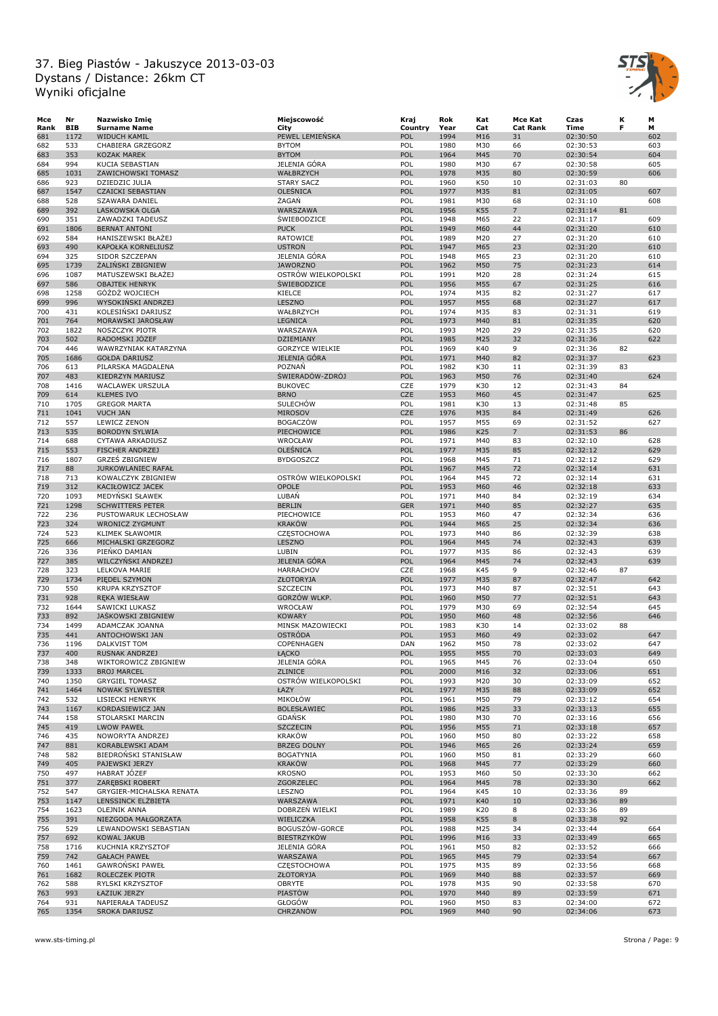

| Mce  | Nr         | Nazwisko Imię             | Miejscowość            | Kraj       | Rok  | Kat | Mce Kat         | Czas     | к  | М   |
|------|------------|---------------------------|------------------------|------------|------|-----|-----------------|----------|----|-----|
| Rank | <b>BIB</b> | <b>Surname Name</b>       | City                   | Country    | Year | Cat | <b>Cat Rank</b> | Time     | F  | м   |
| 681  | 1172       | <b>WIDUCH KAMIL</b>       | PEWEL LEMIENSKA        | POL        | 1994 | M16 | 31              | 02:30:50 |    | 602 |
| 682  | 533        | CHABIERA GRZEGORZ         | <b>BYTOM</b>           | POL        | 1980 | M30 | 66              | 02:30:53 |    | 603 |
|      | 353        |                           | <b>BYTOM</b>           | POL        | 1964 | M45 | 70              | 02:30:54 |    | 604 |
| 683  |            | KOZAK MAREK               |                        |            |      |     |                 |          |    |     |
| 684  | 994        | KUCIA SEBASTIAN           | JELENIA GÓRA           | POL        | 1980 | M30 | 67              | 02:30:58 |    | 605 |
| 685  | 1031       | ZAWICHOWSKI TOMASZ        | WAŁBRZYCH              | POL        | 1978 | M35 | 80              | 02:30:59 |    | 606 |
| 686  | 923        | DZIEDZIC JULIA            | <b>STARY SACZ</b>      | POL        | 1960 | K50 | 10              | 02:31:03 | 80 |     |
| 687  | 1547       | <b>CZAICKI SEBASTIAN</b>  | OLEŚNICA               | POL        | 1977 | M35 | 81              | 02:31:05 |    | 607 |
| 688  | 528        | <b>SZAWARA DANIEL</b>     | ŻAGAŃ                  | POL        | 1981 | M30 | 68              | 02:31:10 |    | 608 |
| 689  | 392        | LASKOWSKA OLGA            | WARSZAWA               | POL        | 1956 | K55 | $\overline{7}$  | 02:31:14 | 81 |     |
| 690  | 351        | ZAWADZKI TADEUSZ          | <b>SWIEBODZICE</b>     | POL        | 1948 | M65 | 22              | 02:31:17 |    | 609 |
| 691  | 1806       | <b>BERNAT ANTONI</b>      | <b>PUCK</b>            | POL        | 1949 | M60 | 44              | 02:31:20 |    | 610 |
|      |            |                           |                        |            |      |     |                 |          |    |     |
| 692  | 584        | HANISZEWSKI BŁAŻEJ        | RATOWICE               | POL        | 1989 | M20 | 27              | 02:31:20 |    | 610 |
| 693  | 490        | KAPOŁKA KORNELIUSZ        | <b>USTRON</b>          | POL        | 1947 | M65 | 23              | 02:31:20 |    | 610 |
| 694  | 325        | SIDOR SZCZEPAN            | JELENIA GÓRA           | POL        | 1948 | M65 | 23              | 02:31:20 |    | 610 |
| 695  | 1739       | <b>ŻALIŃSKI ZBIGNIEW</b>  | <b>JAWORZNO</b>        | POL        | 1962 | M50 | 75              | 02:31:23 |    | 614 |
| 696  | 1087       | MATUSZEWSKI BŁAŻEJ        | OSTRÓW WIELKOPOLSKI    | POL        | 1991 | M20 | 28              | 02:31:24 |    | 615 |
| 697  | 586        | <b>OBAJTEK HENRYK</b>     | <b>SWIEBODZICE</b>     | POL        | 1956 | M55 | 67              | 02:31:25 |    | 616 |
| 698  | 1258       | GÓŹDŹ WOJCIECH            | KIELCE                 | POL        | 1974 | M35 | 82              | 02:31:27 |    | 617 |
| 699  | 996        | WYSOKINSKI ANDRZEJ        | LESZNO                 | POL        | 1957 | M55 | 68              | 02:31:27 |    | 617 |
| 700  | 431        | KOLESINSKI DARIUSZ        | WAŁBRZYCH              | POL        | 1974 | M35 | 83              | 02:31:31 |    | 619 |
|      |            |                           |                        |            |      |     |                 |          |    |     |
| 701  | 764        | MORAWSKI JAROSŁAW         | <b>LEGNICA</b>         | POL        | 1973 | M40 | 81              | 02:31:35 |    | 620 |
| 702  | 1822       | NOSZCZYK PIOTR            | WARSZAWA               | POL        | 1993 | M20 | 29              | 02:31:35 |    | 620 |
| 703  | 502        | RADOMSKI JÓZEF            | DZIEMIANY              | POL        | 1985 | M25 | 32              | 02:31:36 |    | 622 |
| 704  | 446        | WAWRZYNIAK KATARZYNA      | <b>GORZYCE WIELKIE</b> | POL        | 1969 | K40 | 9               | 02:31:36 | 82 |     |
| 705  | 1686       | <b>GOŁDA DARIUSZ</b>      | JELENIA GÓRA           | POL        | 1971 | M40 | 82              | 02:31:37 |    | 623 |
| 706  | 613        | PILARSKA MAGDALENA        | POZNAŃ                 | POL        | 1982 | K30 | 11              | 02:31:39 | 83 |     |
| 707  | 483        | KIEDRZYN MARIUSZ          | ŚWIERADÓW-ZDRÓJ        | POL        | 1963 | M50 | 76              | 02:31:40 |    | 624 |
| 708  | 1416       | WACLAWEK URSZULA          | <b>BUKOVEC</b>         | CZE        | 1979 | K30 | 12              | 02:31:43 | 84 |     |
|      |            |                           |                        |            |      |     |                 |          |    |     |
| 709  | 614        | <b>KLEMES IVO</b>         | <b>BRNO</b>            | CZE        | 1953 | M60 | 45              | 02:31:47 |    | 625 |
| 710  | 1705       | <b>GREGOR MARTA</b>       | <b>SULECHOW</b>        | POL        | 1981 | K30 | 13              | 02:31:48 | 85 |     |
| 711  | 1041       | <b>VUCH JAN</b>           | <b>MIROSOV</b>         | <b>CZE</b> | 1976 | M35 | 84              | 02:31:49 |    | 626 |
| 712  | 557        | LEWICZ ZENON              | <b>BOGACZÓW</b>        | POL        | 1957 | M55 | 69              | 02:31:52 |    | 627 |
| 713  | 535        | <b>BORODYN SYLWIA</b>     | PIECHOWICE             | POL        | 1986 | K25 | $\overline{7}$  | 02:31:53 | 86 |     |
| 714  | 688        | CYTAWA ARKADIUSZ          | WROCŁAW                | POL        | 1971 | M40 | 83              | 02:32:10 |    | 628 |
| 715  | 553        | <b>FISCHER ANDRZEJ</b>    | OLEŚNICA               | POL        | 1977 | M35 | 85              | 02:32:12 |    | 629 |
| 716  | 1807       | <b>GRZES ZBIGNIEW</b>     | <b>BYDGOSZCZ</b>       | POL        | 1968 | M45 | 71              | 02:32:12 |    | 629 |
|      |            |                           |                        |            |      |     |                 |          |    |     |
| 717  | 88         | <b>JURKOWLANIEC RAFAŁ</b> |                        | POL        | 1967 | M45 | 72              | 02:32:14 |    | 631 |
| 718  | 713        | KOWALCZYK ZBIGNIEW        | OSTRÓW WIELKOPOLSKI    | POL        | 1964 | M45 | 72              | 02:32:14 |    | 631 |
| 719  | 312        | KACIŁOWICZ JACEK          | OPOLE                  | POL        | 1953 | M60 | 46              | 02:32:18 |    | 633 |
| 720  | 1093       | MEDYNSKI SŁAWEK           | LUBAŃ                  | POL        | 1971 | M40 | 84              | 02:32:19 |    | 634 |
| 721  | 1298       | <b>SCHWITTERS PETER</b>   | <b>BERLIN</b>          | <b>GER</b> | 1971 | M40 | 85              | 02:32:27 |    | 635 |
| 722  | 236        | PUSTOWARUK LECHOSŁAW      | PIECHOWICE             | POL        | 1953 | M60 | 47              | 02:32:34 |    | 636 |
| 723  | 324        | <b>WRONICZ ZYGMUNT</b>    | <b>KRAKÓW</b>          | POL        | 1944 | M65 | 25              | 02:32:34 |    | 636 |
| 724  | 523        | <b>KLIMEK SŁAWOMIR</b>    |                        | POL        | 1973 | M40 | 86              |          |    | 638 |
|      |            |                           | CZĘSTOCHOWA            |            |      |     |                 | 02:32:39 |    |     |
| 725  | 666        | MICHALSKI GRZEGORZ        | LESZNO                 | POL        | 1964 | M45 | 74              | 02:32:43 |    | 639 |
| 726  | 336        | PIENKO DAMIAN             | LUBIN                  | POL        | 1977 | M35 | 86              | 02:32:43 |    | 639 |
| 727  | 385        | WILCZYNSKI ANDRZEJ        | <b>JELENIA GÓRA</b>    | POL        | 1964 | M45 | 74              | 02:32:43 |    | 639 |
| 728  | 323        | LELKOVA MARIE             | <b>HARRACHOV</b>       | CZE        | 1968 | K45 | 9               | 02:32:46 | 87 |     |
| 729  | 1734       | PIEDEL SZYMON             | <b>ZŁOTORYJA</b>       | POL        | 1977 | M35 | 87              | 02:32:47 |    | 642 |
| 730  | 550        | KRUPA KRZYSZTOF           | <b>SZCZECIN</b>        | POL        | 1973 | M40 | 87              | 02:32:51 |    | 643 |
| 731  | 928        | RĘKA WIESŁAW              | GORZÓW WLKP.           | POL        | 1960 | M50 | 77              | 02:32:51 |    | 643 |
| 732  | 1644       | SAWICKI LUKASZ            | WROCŁAW                | POL        | 1979 | M30 | 69              | 02:32:54 |    | 645 |
|      |            |                           |                        |            |      |     |                 |          |    |     |
| 733  | 892        | JAŚKOWSKI ZBIGNIEW        | <b>KOWARY</b>          | POL        | 1950 | M60 | 48              | 02:32:56 |    | 646 |
| 734  | 1499       | ADAMCZAK JOANNA           | MINSK MAZOWIECKI       | POL        | 1983 | K30 | 14              | 02:33:02 | 88 |     |
| 735  | 441        | ANTOCHOWSKI JAN           | <b>OSTRÓDA</b>         | POL        | 1953 | M60 | 49              | 02:33:02 |    | 647 |
| 736  | 1196       | DALKVIST TOM              | COPENHAGEN             | DAN        | 1962 | M50 | 78              | 02:33:02 |    | 647 |
| 737  | 400        | RUSNAK ANDRZEI            | ŁĄCKO                  | <b>POL</b> | 1955 | M55 | 70              | 02:33:03 |    | 649 |
| 738  | 348        | WIKTOROWICZ ZBIGNIEW      | JELENIA GÓRA           | POL        | 1965 | M45 | 76              | 02:33:04 |    | 650 |
| 739  | 1333       | <b>BROJ MARCEL</b>        | ZLINICE                | POL        | 2000 | M16 | 32              | 02:33:06 |    | 651 |
| 740  | 1350       | <b>GRYGIEL TOMASZ</b>     | OSTRÓW WIELKOPOLSKI    | POL        | 1993 | M20 | 30              | 02:33:09 |    | 652 |
| 741  | 1464       | NOWAK SYLWESTER           | ŁAZY                   | POL        | 1977 | M35 | 88              | 02:33:09 |    | 652 |
|      |            |                           |                        |            |      |     |                 |          |    |     |
| 742  | 532        | LISIECKI HENRYK           | MIKOŁÓW                | POL        | 1961 | M50 | 79              | 02:33:12 |    | 654 |
| 743  | 1167       | KORDASIEWICZ JAN          | <b>BOLESŁAWIEC</b>     | POL        | 1986 | M25 | 33              | 02:33:13 |    | 655 |
| 744  | 158        | STOLARSKI MARCIN          | <b>GDAŃSK</b>          | POL        | 1980 | M30 | 70              | 02:33:16 |    | 656 |
| 745  | 419        | <b>LWOW PAWEŁ</b>         | <b>SZCZECIN</b>        | POL        | 1956 | M55 | 71              | 02:33:18 |    | 657 |
| 746  | 435        | NOWORYTA ANDRZEJ          | <b>KRAKÓW</b>          | POL        | 1960 | M50 | 80              | 02:33:22 |    | 658 |
| 747  | 881        | KORABLEWSKI ADAM          | <b>BRZEG DOLNY</b>     | POL        | 1946 | M65 | 26              | 02:33:24 |    | 659 |
| 748  | 582        | BIEDROŃSKI STANISŁAW      | <b>BOGATYNIA</b>       | POL        | 1960 | M50 | 81              | 02:33:29 |    | 660 |
| 749  | 405        | PAJEWSKI JERZY            | <b>KRAKÓW</b>          | POL        | 1968 | M45 | 77              | 02:33:29 |    | 660 |
|      |            |                           |                        |            |      |     |                 |          |    |     |
| 750  | 497        | HABRAT JÓZEF              | <b>KROSNO</b>          | POL        | 1953 | M60 | 50              | 02:33:30 |    | 662 |
| 751  | 377        | ZARĘBSKI ROBERT           | ZGORZELEC              | POL        | 1964 | M45 | 78              | 02:33:30 |    | 662 |
| 752  | 547        | GRYGIER-MICHALSKA RENATA  | LESZNO                 | POL        | 1964 | K45 | 10              | 02:33:36 | 89 |     |
| 753  | 1147       | LENSSINCK ELŻBIETA        | WARSZAWA               | POL        | 1971 | K40 | 10              | 02:33:36 | 89 |     |
| 754  | 1623       | <b>OLEJNIK ANNA</b>       | DOBRZEŃ WIELKI         | POL        | 1989 | K20 | 8               | 02:33:36 | 89 |     |
| 755  | 391        | NIEZGODA MAŁGORZATA       | WIELICZKA              | POL        | 1958 | K55 | 8               | 02:33:38 | 92 |     |
| 756  | 529        | LEWANDOWSKI SEBASTIAN     | BOGUSZÓW-GORCE         | POL        | 1988 | M25 | 34              | 02:33:44 |    | 664 |
| 757  | 692        | <b>KOWAL JAKUB</b>        | <b>BIESTRZYKÓW</b>     | POL        | 1996 | M16 | 33              | 02:33:49 |    | 665 |
|      |            |                           |                        |            |      |     |                 |          |    |     |
| 758  | 1716       | KUCHNIA KRZYSZTOF         | JELENIA GÓRA           | POL        | 1961 | M50 | 82              | 02:33:52 |    | 666 |
| 759  | 742        | <b>GAŁACH PAWEŁ</b>       | WARSZAWA               | POL        | 1965 | M45 | 79              | 02:33:54 |    | 667 |
| 760  | 1461       | GAWRONSKI PAWEŁ           | <b>CZESTOCHOWA</b>     | POL        | 1975 | M35 | 89              | 02:33:56 |    | 668 |
| 761  | 1682       | ROLECZEK PIOTR            | <b>ZŁOTORYJA</b>       | POL        | 1969 | M40 | 88              | 02:33:57 |    | 669 |
| 762  | 588        | RYLSKI KRZYSZTOF          | OBRYTE                 | POL        | 1978 | M35 | 90              | 02:33:58 |    | 670 |
| 763  | 993        | ŁAZIUK JERZY              | PIASTÓW                | POL        | 1970 | M40 | 89              | 02:33:59 |    | 671 |
| 764  | 931        | NAPIERAŁA TADEUSZ         | GŁOGÓW                 | POL        | 1960 | M50 | 83              | 02:34:00 |    | 672 |
| 765  | 1354       | SROKA DARIUSZ             | CHRZANÓW               | POL        | 1969 | M40 | 90              | 02:34:06 |    | 673 |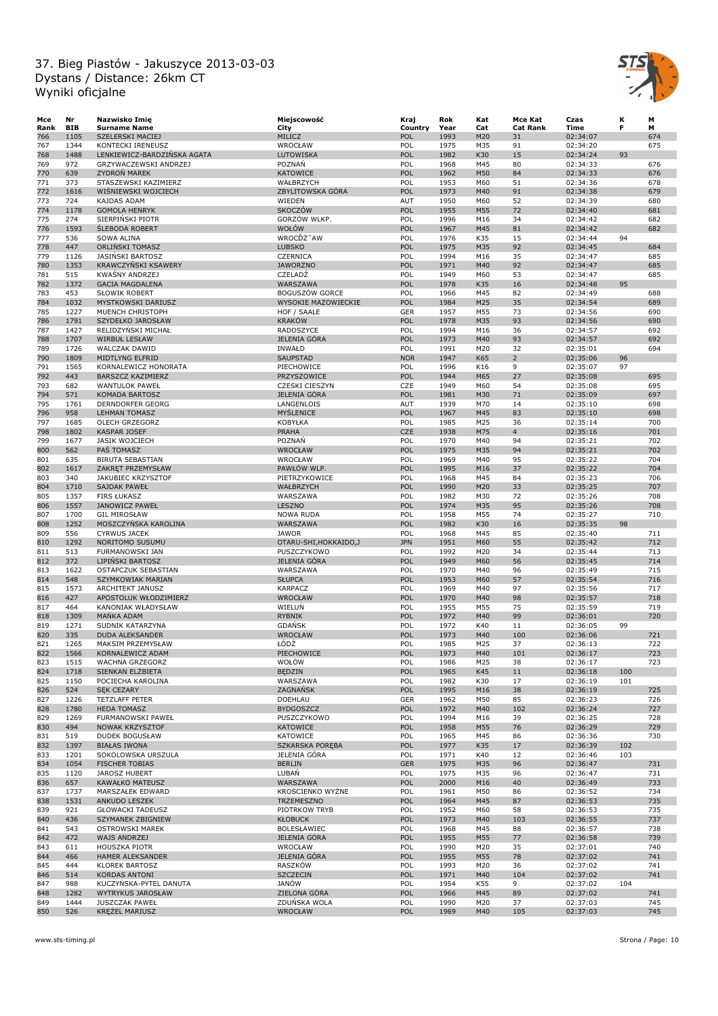

| Mce  | Nr         | Nazwisko Imię               | Miejscowość            | Kraj       | Rok  | Kat | Mce Kat         | Czas     | κ   | М   |
|------|------------|-----------------------------|------------------------|------------|------|-----|-----------------|----------|-----|-----|
| Rank | <b>BIB</b> | <b>Surname Name</b>         | City                   | Country    | Year | Cat | <b>Cat Rank</b> | Time     | F   | м   |
| 766  | 1105       | SZELERSKI MACIEJ            | MILICZ                 | POL        | 1993 | M20 | 31              | 02:34:07 |     | 674 |
| 767  | 1344       | KONTECKI IRENEUSZ           | WROCŁAW                | POL        | 1975 | M35 | 91              | 02:34:20 |     | 675 |
| 768  | 1488       | LENKIEWICZ-BARDZIŃSKA AGATA | LUTOWISKA              | POL        | 1982 | K30 | 15              | 02:34:24 | 93  |     |
| 769  | 972        | GRZYWACZEWSKI ANDRZEJ       | POZNAŃ                 | POL        | 1968 | M45 | 80              | 02:34:33 |     | 676 |
| 770  | 639        | ZYDROŃ MAREK                | <b>KATOWICE</b>        | POL        | 1962 | M50 | 84              | 02:34:33 |     | 676 |
| 771  | 373        | STASZEWSKI KAZIMIERZ        | WAŁBRZYCH              | POL        | 1953 | M60 | 51              | 02:34:36 |     | 678 |
| 772  | 1616       | WIŚNIEWSKI WOJCIECH         | ZBYLITOWSKA GÓRA       | POL        | 1973 | M40 | 91              | 02:34:38 |     | 679 |
| 773  | 724        | <b>KAJDAS ADAM</b>          | WIEDEN                 | AUT        | 1950 | M60 | 52              | 02:34:39 |     | 680 |
|      |            |                             |                        |            |      |     |                 |          |     |     |
| 774  | 1178       | <b>GOMOLA HENRYK</b>        | <b>SKOCZÓW</b>         | POL        | 1955 | M55 | 72              | 02:34:40 |     | 681 |
| 775  | 274        | SIERPIŃSKI PIOTR            | GORZÓW WLKP.           | POL        | 1996 | M16 | 34              | 02:34:42 |     | 682 |
| 776  | 1593       | <b>SLEBODA ROBERT</b>       | WOŁÓW                  | POL        | 1967 | M45 | 81              | 02:34:42 |     | 682 |
| 777  | 536        | <b>SOWA ALINA</b>           | WROCĎŻ"AW              | POL        | 1976 | K35 | 15              | 02:34:44 | 94  |     |
| 778  | 447        | ORLIŃSKI TOMASZ             | <b>LUBSKO</b>          | POL        | 1975 | M35 | 92              | 02:34:45 |     | 684 |
| 779  | 1126       | JASIŃSKI BARTOSZ            | CZERNICA               | POL        | 1994 | M16 | 35              | 02:34:47 |     | 685 |
| 780  | 1353       | <b>KRAWCZYŃSKI KSAWERY</b>  | <b>JAWORZNO</b>        | POL        | 1971 | M40 | 92              | 02:34:47 |     | 685 |
| 781  | 515        | <b>KWAŚNY ANDRZEJ</b>       | CZELADŹ                | POL        | 1949 | M60 | 53              | 02:34:47 |     | 685 |
| 782  | 1372       | <b>GACIA MAGDALENA</b>      | WARSZAWA               | POL        | 1978 | K35 | 16              | 02:34:48 | 95  |     |
| 783  | 453        | SŁOWIK ROBERT               | <b>BOGUSZÓW GORCE</b>  | POL        | 1966 | M45 | 82              | 02:34:49 |     | 688 |
| 784  | 1032       | MYSTKOWSKI DARIUSZ          | WYSOKIE MAZOWIECKIE    | POL        | 1984 | M25 | 35              | 02:34:54 |     | 689 |
| 785  | 1227       | MUENCH CHRISTOPH            |                        | GER        | 1957 | M55 | 73              |          |     | 690 |
|      |            |                             | HOF / SAALE            |            |      |     |                 | 02:34:56 |     |     |
| 786  | 1791       | SZYDEŁKO JAROSŁAW           | <b>KRAKÓW</b>          | POL        | 1978 | M35 | 93              | 02:34:56 |     | 690 |
| 787  | 1427       | RELIDZYŃSKI MICHAŁ          | RADOSZYCE              | POL        | 1994 | M16 | 36              | 02:34:57 |     | 692 |
| 788  | 1707       | <b>WIRBUŁ LESŁAW</b>        | JELENIA GÓRA           | POL        | 1973 | M40 | 93              | 02:34:57 |     | 692 |
| 789  | 1726       | WALCZAK DAWID               | <b>INWAŁD</b>          | POL        | 1991 | M20 | 32              | 02:35:01 |     | 694 |
| 790  | 1809       | MIDTLYNG ELFRID             | <b>SAUPSTAD</b>        | <b>NOR</b> | 1947 | K65 | $\overline{2}$  | 02:35:06 | 96  |     |
| 791  | 1565       | KORNALEWICZ HONORATA        | PIECHOWICE             | POL        | 1996 | K16 | 9               | 02:35:07 | 97  |     |
| 792  | 443        | BARSZCZ KAZIMIERZ           | PRZYSZOWICE            | POL        | 1944 | M65 | 27              | 02:35:08 |     | 695 |
| 793  | 682        | WANTULOK PAWEŁ              | <b>CZESKI CIESZYN</b>  | CZE        | 1949 | M60 | 54              | 02:35:08 |     | 695 |
| 794  | 571        | KOMADA BARTOSZ              | JELENIA GÓRA           | POL        | 1981 | M30 | 71              | 02:35:09 |     | 697 |
|      |            |                             |                        |            |      |     |                 |          |     |     |
| 795  | 1761       | DERNDORFER GEORG            | LANGENLOIS             | <b>AUT</b> | 1939 | M70 | 14              | 02:35:10 |     | 698 |
| 796  | 958        | <b>LEHMAN TOMASZ</b>        | MYŚLENICE              | POL        | 1967 | M45 | 83              | 02:35:10 |     | 698 |
| 797  | 1685       | <b>OLECH GRZEGORZ</b>       | KOBYŁKA                | POL        | 1985 | M25 | 36              | 02:35:14 |     | 700 |
| 798  | 1802       | <b>KASPAR JOSEF</b>         | PRAHA                  | <b>CZE</b> | 1938 | M75 | $\overline{4}$  | 02:35:16 |     | 701 |
| 799  | 1677       | JASIK WOJCIECH              | POZNAŃ                 | POL        | 1970 | M40 | 94              | 02:35:21 |     | 702 |
| 800  | 562        | PAS TOMASZ                  | <b>WROCŁAW</b>         | POL        | 1975 | M35 | 94              | 02:35:21 |     | 702 |
| 801  | 635        | BIRUTA SEBASTIAN            | WROCŁAW                | POL        | 1969 | M40 | 95              | 02:35:22 |     | 704 |
| 802  | 1617       | ZAKRĘT PRZEMYSŁAW           | PAWŁÓW WLP.            | POL        | 1995 | M16 | 37              | 02:35:22 |     | 704 |
| 803  | 340        | JAKUBIEC KRZYSZTOF          | PIETRZYKOWICE          | POL        | 1968 | M45 | 84              | 02:35:23 |     | 706 |
|      |            |                             |                        |            |      |     |                 |          |     |     |
| 804  | 1710       | <b>SAJDAK PAWEŁ</b>         | WAŁBRZYCH              | POL        | 1990 | M20 | 33              | 02:35:25 |     | 707 |
| 805  | 1357       | <b>FIRS ŁUKASZ</b>          | WARSZAWA               | POL        | 1982 | M30 | 72              | 02:35:26 |     | 708 |
| 806  | 1557       | <b>JANOWICZ PAWEŁ</b>       | LESZNO                 | POL        | 1974 | M35 | 95              | 02:35:26 |     | 708 |
| 807  | 1700       | <b>GIL MIROSŁAW</b>         | <b>NOWA RUDA</b>       | POL        | 1958 | M55 | 74              | 02:35:27 |     | 710 |
| 808  | 1252       | MOSZCZYŃSKA KAROLINA        | WARSZAWA               | POL        | 1982 | K30 | 16              | 02:35:35 | 98  |     |
| 809  | 556        | <b>CYRWUS JACEK</b>         | <b>JAWOR</b>           | POL        | 1968 | M45 | 85              | 02:35:40 |     | 711 |
| 810  | 1292       | NORITOMO SUSUMU             | OTARU-SHI, HOKKAIDO, J | <b>JPN</b> | 1951 | M60 | 55              | 02:35:42 |     | 712 |
| 811  | 513        | FURMANOWSKI JAN             | PUSZCZYKOWO            | POL        | 1992 | M20 | 34              | 02:35:44 |     | 713 |
| 812  | 372        | LIPINSKI BARTOSZ            | <b>JELENIA GÓRA</b>    | POL        | 1949 | M60 | 56              | 02:35:45 |     | 714 |
| 813  | 1622       | OSTAPCZUK SEBASTIAN         | WARSZAWA               | POL        | 1970 | M40 | 96              | 02:35:49 |     | 715 |
| 814  | 548        | SZYMKOWIAK MARIAN           | <b>SŁUPCA</b>          | POL        | 1953 | M60 | 57              | 02:35:54 |     | 716 |
|      | 1573       |                             | <b>KARPACZ</b>         | POL        | 1969 | M40 | 97              | 02:35:56 |     | 717 |
| 815  |            | ARCHITEKT JANUSZ            |                        |            |      |     |                 |          |     |     |
| 816  | 427        | APOSTOLUK WŁODZIMIERZ       | WROCŁAW                | POL        | 1970 | M40 | 98              | 02:35:57 |     | 718 |
| 817  | 464        | KANONIAK WŁADYSŁAW          | WIELUŃ                 | POL        | 1955 | M55 | 75              | 02:35:59 |     | 719 |
| 818  | 1309       | MANKA ADAM                  | <b>RYBNIK</b>          | POL        | 1972 | M40 | 99              | 02:36:01 |     | 720 |
| 819  | 1271       | SUDNIK KATARZYNA            | <b>GDAŃSK</b>          | POL        | 1972 | K40 | 11              | 02:36:05 | 99  |     |
| 820  | 335        | <b>DUDA ALEKSANDER</b>      | <b>WROCŁAW</b>         | POL        | 1973 | M40 | 100             | 02:36:06 |     | 721 |
| 821  | 1265       | MAKSIM PRZEMYSŁAW           | ŁÓDŹ                   | POL        | 1985 | M25 | 37              | 02:36:13 |     | 722 |
| 822  | 1566       | KORNALEWICZ ADAM            | PIECHOWICE             | POL        | 1973 | M40 | 101             | 02:36:17 |     | 723 |
| 823  | 1515       | WACHNA GRZEGORZ             | WOŁÓW                  | POL        | 1986 | M25 | 38              | 02:36:17 |     | 723 |
| 824  | 1718       | SIENKAN ELŻBIETA            | <b>BEDZIN</b>          | POL        | 1965 | K45 | 11              | 02:36:18 | 100 |     |
| 825  | 1150       | POCIECHA KAROLINA           | WARSZAWA               | POL        | 1982 | K30 | 17              | 02:36:19 | 101 |     |
| 826  | 524        | <b>SEK CEZARY</b>           | ZAGNAŃSK               | POL        | 1995 | M16 | 38              | 02:36:19 |     | 725 |
| 827  | 1226       |                             | <b>DOEHLAU</b>         | GER        | 1962 | M50 | 85              | 02:36:23 |     | 726 |
|      | 1780       | <b>TETZLAFF PETER</b>       |                        | POL        |      |     |                 |          |     | 727 |
| 828  |            | <b>HEDA TOMASZ</b>          | <b>BYDGOSZCZ</b>       |            | 1972 | M40 | 102             | 02:36:24 |     |     |
| 829  | 1269       | FURMANOWSKI PAWEŁ           | PUSZCZYKOWO            | POL        | 1994 | M16 | 39              | 02:36:25 |     | 728 |
| 830  | 494        | NOWAK KRZYSZTOF             | KATOWICE               | POL        | 1958 | M55 | 76              | 02:36:29 |     | 729 |
| 831  | 519        | DUDEK BOGUSŁAW              | KATOWICE               | POL        | 1965 | M45 | 86              | 02:36:36 |     | 730 |
| 832  | 1397       | <b>BIAŁAS IWONA</b>         | SZKARSKA PORĘBA        | POL        | 1977 | K35 | 17              | 02:36:39 | 102 |     |
| 833  | 1201       | SOKOLOWSKA URSZULA          | JELENIA GÓRA           | POL        | 1971 | K40 | 12              | 02:36:46 | 103 |     |
| 834  | 1054       | <b>FISCHER TOBIAS</b>       | <b>BERLIN</b>          | <b>GER</b> | 1975 | M35 | 96              | 02:36:47 |     | 731 |
| 835  | 1120       | <b>JAROSZ HUBERT</b>        | LUBAŃ                  | POL        | 1975 | M35 | 96              | 02:36:47 |     | 731 |
| 836  | 657        | KAWAŁKO MATEUSZ             | WARSZAWA               | POL        | 2000 | M16 | 40              | 02:36:49 |     | 733 |
| 837  | 1737       | MARSZAŁEK EDWARD            | KROŚCIENKO WYŻNE       | POL        | 1961 | M50 | 86              | 02:36:52 |     | 734 |
| 838  | 1531       | ANKUDO LESZEK               | TRZEMESZNO             | POL        | 1964 | M45 | 87              | 02:36:53 |     | 735 |
|      |            | <b>GŁOWACKI TADEUSZ</b>     |                        |            |      |     |                 |          |     |     |
| 839  | 921        |                             | PIOTRKOW TRYB          | POL        | 1952 | M60 | 58              | 02:36:53 |     | 735 |
| 840  | 436        | SZYMANEK ZBIGNIEW           | <b>KŁOBUCK</b>         | POL        | 1973 | M40 | 103             | 02:36:55 |     | 737 |
| 841  | 543        | <b>OSTROWSKI MAREK</b>      | BOLESŁAWIEC            | POL        | 1968 | M45 | 88              | 02:36:57 |     | 738 |
| 842  | 472        | WAJS ANDRZEJ                | JELENIA GÓRA           | POL        | 1955 | M55 | 77              | 02:36:58 |     | 739 |
| 843  | 611        | HOUSZKA PIOTR               | WROCŁAW                | POL        | 1990 | M20 | 35              | 02:37:01 |     | 740 |
| 844  | 466        | HAMER ALEKSANDER            | JELENIA GÓRA           | POL        | 1955 | M55 | 78              | 02:37:02 |     | 741 |
| 845  | 444        | <b>KLOREK BARTOSZ</b>       | RASZKÓW                | POL        | 1993 | M20 | 36              | 02:37:02 |     | 741 |
| 846  | 514        | <b>KORDAS ANTONI</b>        | <b>SZCZECIN</b>        | POL        | 1971 | M40 | 104             | 02:37:02 |     | 741 |
| 847  | 988        | KUCZYNSKA-PYTEL DANUTA      | JANÓW                  | POL        | 1954 | K55 | 9               | 02:37:02 | 104 |     |
| 848  | 1282       | <b>WYTRYKUS JAROSŁAW</b>    | ZIELONA GÓRA           | POL        | 1966 | M45 | 89              | 02:37:02 |     | 741 |
| 849  | 1444       | <b>JUSZCZAK PAWEŁ</b>       | ZDUŃSKA WOLA           | POL        | 1990 | M20 | 37              |          |     | 745 |
|      |            |                             |                        |            |      |     |                 | 02:37:03 |     |     |
| 850  | 526        | KRĘŻEL MARIUSZ              | WROCŁAW                | POL        | 1969 | M40 | 105             | 02:37:03 |     | 745 |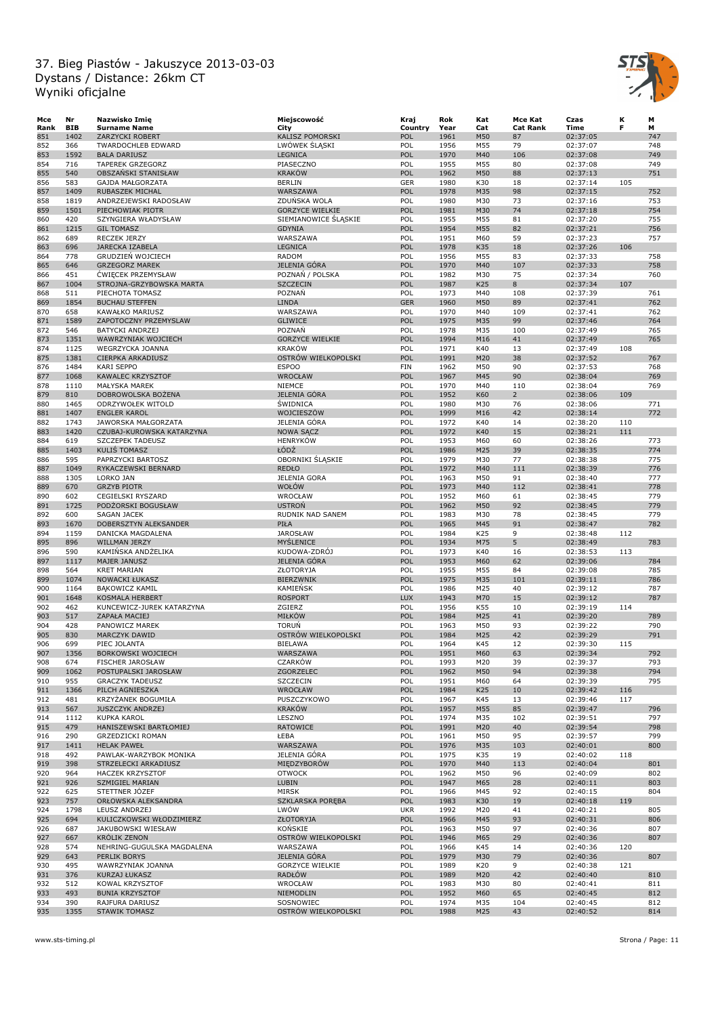

| Мсе        | Nr         | Nazwisko Imię                          | Miejscowość             | Kraj       | Rok  | Kat | Mce Kat         | Czas     | к   | М   |
|------------|------------|----------------------------------------|-------------------------|------------|------|-----|-----------------|----------|-----|-----|
| Rank       | <b>BIB</b> | <b>Surname Name</b>                    | City                    | Country    | Year | Cat | <b>Cat Rank</b> | Time     | F   | м   |
| 851        | 1402       | ZARZYCKI ROBERT                        | KALISZ POMORSKI         | POL        | 1961 | M50 | 87              | 02:37:05 |     | 747 |
| 852        | 366        | <b>TWARDOCHLEB EDWARD</b>              | LWOWEK SLĄSKI           | POL        | 1956 | M55 | 79              | 02:37:07 |     | 748 |
| 853        | 1592       | <b>BALA DARIUSZ</b>                    | <b>LEGNICA</b>          | POL        | 1970 | M40 | 106             | 02:37:08 |     | 749 |
| 854        | 716        | TAPEREK GRZEGORZ                       | PIASECZNO               | POL        | 1955 | M55 | 80              | 02:37:08 |     | 749 |
| 855        | 540        | OBSZAŃSKI STANISŁAW                    | <b>KRAKÓW</b>           | POL        | 1962 | M50 | 88              | 02:37:13 |     | 751 |
| 856        | 583        | GAJDA MAŁGORZATA                       | <b>BERLIN</b>           | GER        | 1980 | K30 | 18              | 02:37:14 | 105 |     |
| 857        | 1409       | RUBASZEK MICHAL                        | WARSZAWA                | POL        | 1978 | M35 | 98              | 02:37:15 |     | 752 |
| 858        | 1819       | ANDRZEJEWSKI RADOSŁAW                  | ZDUŃSKA WOLA            | POL        | 1980 | M30 | 73              | 02:37:16 |     | 753 |
| 859        | 1501       | PIECHOWIAK PIOTR                       | <b>GORZYCE WIELKIE</b>  | POL        | 1981 | M30 | 74              | 02:37:18 |     | 754 |
| 860        | 420        | SZYNGIERA WŁADYSŁAW                    | SIEMIANOWICE SLĄSKIE    | POL        | 1955 | M55 | 81              | 02:37:20 |     | 755 |
| 861        | 1215       | <b>GIL TOMASZ</b>                      | <b>GDYNIA</b>           | POL        | 1954 | M55 | 82              | 02:37:21 |     | 756 |
| 862        | 689        | RECZEK JERZY                           | WARSZAWA                | POL        | 1951 | M60 | 59              | 02:37:23 |     | 757 |
| 863        | 696        | <b>JARECKA IZABELA</b>                 | <b>LEGNICA</b>          | POL        | 1978 | K35 | 18              | 02:37:26 | 106 |     |
| 864        | 778        | <b>GRUDZIEN WOJCIECH</b>               | RADOM                   | POL        | 1956 | M55 | 83              | 02:37:33 |     | 758 |
| 865        | 646        | <b>GRZEGORZ MAREK</b>                  | JELENIA GÓRA            | POL        | 1970 | M40 | 107             | 02:37:33 |     | 758 |
| 866        | 451        | <b>CWIĘCEK PRZEMYSŁAW</b>              | POZNAŃ / POLSKA         | POL        | 1982 | M30 | 75              | 02:37:34 |     | 760 |
| 867        | 1004       | STROJNA-GRZYBOWSKA MARTA               | <b>SZCZECIN</b>         | POL        | 1987 | K25 | 8               | 02:37:34 | 107 |     |
| 868        | 511        | PIECHOTA TOMASZ                        | POZNAŃ                  | POL        | 1973 | M40 | 108             | 02:37:39 |     | 761 |
| 869        | 1854       | <b>BUCHAU STEFFEN</b>                  | <b>LINDA</b>            | <b>GER</b> | 1960 | M50 | 89              | 02:37:41 |     | 762 |
| 870        | 658        | KAWAŁKO MARIUSZ                        | WARSZAWA                | POL        | 1970 | M40 | 109             | 02:37:41 |     | 762 |
| 871        | 1589       | ZAPOTOCZNY PRZEMYSLAW                  | <b>GLIWICE</b>          | POL        | 1975 | M35 | 99              | 02:37:46 |     | 764 |
| 872        | 546        | <b>BATYCKI ANDRZEJ</b>                 | POZNAŃ                  | POL        | 1978 | M35 | 100             | 02:37:49 |     | 765 |
| 873        | 1351       | WAWRZYNIAK WOJCIECH                    | <b>GORZYCE WIELKIE</b>  | POL        | 1994 | M16 | 41              | 02:37:49 |     | 765 |
| 874        | 1125       | <b>WEGRZYCKA JOANNA</b>                | <b>KRAKÓW</b>           | POL        | 1971 | K40 | 13              |          | 108 |     |
|            | 1381       |                                        | OSTRÓW WIELKOPOLSKI     | POL        | 1991 | M20 | 38              | 02:37:49 |     | 767 |
| 875<br>876 | 1484       | CIERPKA ARKADIUSZ<br><b>KARI SEPPO</b> | <b>ESPOO</b>            | <b>FIN</b> | 1962 | M50 | 90              | 02:37:52 |     | 768 |
|            |            |                                        |                         |            |      |     |                 | 02:37:53 |     |     |
| 877        | 1068       | <b>KAWALEC KRZYSZTOF</b>               | <b>WROCŁAW</b>          | POL        | 1967 | M45 | 90              | 02:38:04 |     | 769 |
| 878        | 1110       | MAŁYSKA MAREK                          | NIEMCE                  | POL        | 1970 | M40 | 110             | 02:38:04 |     | 769 |
| 879        | 810        | DOBROWOLSKA BOŻENA                     | JELENIA GÓRA            | POL        | 1952 | K60 | $2^{\circ}$     | 02:38:06 | 109 |     |
| 880        | 1465       | ODRZYWOŁEK WITOLD                      | <b>SWIDNICA</b>         | POL        | 1980 | M30 | 76              | 02:38:06 |     | 771 |
| 881        | 1407       | <b>ENGLER KAROL</b>                    | WOJCIESZÓW              | POL        | 1999 | M16 | 42              | 02:38:14 |     | 772 |
| 882        | 1743       | JAWORSKA MAŁGORZATA                    | JELENIA GÓRA            | POL        | 1972 | K40 | 14              | 02:38:20 | 110 |     |
| 883        | 1420       | CZUBAJ-KUROWSKA KATARZYNA              | <b>NOWA SĄCZ</b>        | POL        | 1972 | K40 | 15              | 02:38:21 | 111 |     |
| 884        | 619        | SZCZEPEK TADEUSZ                       | <b>HENRYKÓW</b>         | POL        | 1953 | M60 | 60              | 02:38:26 |     | 773 |
| 885        | 1403       | KULIS TOMASZ                           | ŁÓDŹ                    | POL        | 1986 | M25 | 39              | 02:38:35 |     | 774 |
| 886        | 595        | PAPRZYCKI BARTOSZ                      | OBORNIKI ŚLĄSKIE        | POL        | 1979 | M30 | 77              | 02:38:38 |     | 775 |
| 887        | 1049       | RYKACZEWSKI BERNARD                    | <b>REDŁO</b>            | POL        | 1972 | M40 | 111             | 02:38:39 |     | 776 |
| 888        | 1305       | LORKO JAN                              | <b>JELENIA GORA</b>     | POL        | 1963 | M50 | 91              | 02:38:40 |     | 777 |
| 889        | 670        | <b>GRZYB PIOTR</b>                     | WOŁÓW                   | POL        | 1973 | M40 | 112             | 02:38:41 |     | 778 |
| 890        | 602        | CEGIELSKI RYSZARD                      | WROCŁAW                 | POL        | 1952 | M60 | 61              | 02:38:45 |     | 779 |
| 891        | 1725       | PODŻORSKI BOGUSŁAW                     | <b>USTRON</b>           | POL        | 1962 | M50 | 92              | 02:38:45 |     | 779 |
| 892        | 600        | <b>SAGAN JACEK</b>                     | RUDNIK NAD SANEM        | POL        | 1983 | M30 | 78              | 02:38:45 |     | 779 |
| 893        | 1670       | DOBERSZTYN ALEKSANDER                  | PIŁA                    | POL        | 1965 | M45 | 91              | 02:38:47 |     | 782 |
| 894        | 1159       | DANICKA MAGDALENA                      | <b>JAROSŁAW</b>         | POL        | 1984 | K25 | 9               | 02:38:48 | 112 |     |
| 895        | 896        | WILLMAN JERZY                          | MYŚLENICE               | POL        | 1934 | M75 | 5               | 02:38:49 |     | 783 |
| 896        | 590        | KAMIŃSKA ANDŻELIKA                     | KUDOWA-ZDRÓJ            | POL        | 1973 | K40 | 16              | 02:38:53 | 113 |     |
| 897        | 1117       | <b>MAJER JANUSZ</b>                    | JELENIA GÓRA            | POL        | 1953 | M60 | 62              | 02:39:06 |     | 784 |
| 898        | 564        | <b>KRET MARIAN</b>                     | ZŁOTORYJA               | POL        | 1955 | M55 | 84              | 02:39:08 |     | 785 |
| 899        | 1074       | <b>NOWACKI ŁUKASZ</b>                  | <b>BIERZWNIK</b>        | POL        | 1975 | M35 | 101             | 02:39:11 |     | 786 |
| 900        | 1164       | <b>BAKOWICZ KAMIL</b>                  | <b>KAMIEŃSK</b>         | POL        | 1986 | M25 | 40              | 02:39:12 |     | 787 |
| 901        | 1648       | KOSMALA HERBERT                        | <b>ROSPORT</b>          | <b>LUX</b> | 1943 | M70 | 15              | 02:39:12 |     | 787 |
| 902        | 462        | KUNCEWICZ-JUREK KATARZYNA              | ZGIERZ                  | POL        | 1956 | K55 | 10              | 02:39:19 | 114 |     |
| 903        | 517        | ZAPAŁA MACIEJ                          | <b>MIŁKÓW</b>           | POL        | 1984 | M25 | 41              | 02:39:20 |     | 789 |
| 904        | 428        | PANOWICZ MAREK                         | <b>TORUŃ</b>            | POL        | 1963 | M50 | 93              | 02:39:22 |     | 790 |
| 905        | 830        | MARCZYK DAWID                          | OSTRÓW WIELKOPOLSKI     | POL        | 1984 | M25 | 42              | 02:39:29 |     | 791 |
| 906        | 699        | PIEC JOLANTA                           | <b>BIELAWA</b>          | POL        | 1964 | K45 | 12              | 02:39:30 | 115 |     |
| 907        | 1356       | <b>BORKOWSKI WOJCIECH</b>              | WARSZAWA                | <b>POL</b> | 1951 | M60 | 63              | 02:39:34 |     | 792 |
| 908        | 674        | <b>FISCHER JAROSŁAW</b>                | <b>CZARKÓW</b>          | POL        | 1993 | M20 | 39              | 02:39:37 |     | 793 |
| 909        | 1062       | POSTUPALSKI JAROSŁAW                   | ZGORZELEC               | POL        | 1962 | M50 | 94              | 02:39:38 |     | 794 |
| 910        | 955        | <b>GRACZYK TADEUSZ</b>                 | <b>SZCZECIN</b>         | POL        | 1951 | M60 | 64              | 02:39:39 |     | 795 |
| 911        | 1366       | PILCH AGNIESZKA                        | WROCŁAW                 | POL        | 1984 | K25 | 10              | 02:39:42 | 116 |     |
| 912        | 481        | KRZYŻANEK BOGUMIŁA                     | PUSZCZYKOWO             | POL        | 1967 | K45 | 13              | 02:39:46 | 117 |     |
| 913        | 567        | <b>JUSZCZYK ANDRZEJ</b>                | <b>KRAKÓW</b>           | POL        | 1957 | M55 | 85              | 02:39:47 |     | 796 |
| 914        | 1112       | KUPKA KAROL                            | LESZNO                  | POL        | 1974 | M35 | 102             | 02:39:51 |     | 797 |
| 915        | 479        | HANISZEWSKI BARTŁOMIEJ                 | <b>RATOWICE</b>         | POL        | 1991 | M20 | 40              | 02:39:54 |     | 798 |
| 916        | 290        | GRZEDZICKI ROMAN                       | ŁEBA                    | POL        | 1961 | M50 | 95              | 02:39:57 |     | 799 |
| 917        | 1411       | <b>HELAK PAWEŁ</b>                     | WARSZAWA                | POL        | 1976 | M35 | 103             | 02:40:01 |     | 800 |
| 918        | 492        | PAWLAK-WARZYBOK MONIKA                 | JELENIA GÓRA            | POL        | 1975 | K35 | 19              | 02:40:02 | 118 |     |
| 919        | 398        | STRZELECKI ARKADIUSZ                   | MIEDZYBORÓW             | POL        | 1970 | M40 | 113             | 02:40:04 |     | 801 |
| 920        | 964        | <b>HACZEK KRZYSZTOF</b>                | <b>OTWOCK</b>           | POL        | 1962 | M50 | 96              | 02:40:09 |     | 802 |
| 921        | 926        | SZMIGIEL MARIAN                        | LUBIN                   | POL        | 1947 | M65 | 28              | 02:40:11 |     | 803 |
| 922        | 625        | STETTNER JÓZEF                         | MIRSK                   | POL        | 1966 | M45 | 92              | 02:40:15 |     | 804 |
|            | 757        |                                        | <b>SZKLARSKA POREBA</b> | POL        | 1983 |     |                 |          | 119 |     |
| 923        | 1798       | ORŁOWSKA ALEKSANDRA                    | LWÓW                    |            |      | K30 | 19              | 02:40:18 |     |     |
| 924        |            | LEUSZ ANDRZEJ                          |                         | <b>UKR</b> | 1992 | M20 | 41              | 02:40:21 |     | 805 |
| 925        | 694        | KULICZKOWSKI WŁODZIMIERZ               | <b>ZŁOTORYJA</b>        | POL        | 1966 | M45 | 93              | 02:40:31 |     | 806 |
| 926        | 687        | JAKUBOWSKI WIESŁAW                     | KONSKIE                 | POL        | 1963 | M50 | 97              | 02:40:36 |     | 807 |
| 927        | 667        | <b>KROLIK ZENON</b>                    | OSTRÓW WIELKOPOLSKI     | POL        | 1946 | M65 | 29              | 02:40:36 |     | 807 |
| 928        | 574        | NEHRING-GUGULSKA MAGDALENA             | WARSZAWA                | POL        | 1966 | K45 | 14              | 02:40:36 | 120 |     |
| 929        | 643        | PERLIK BORYS                           | <b>JELENIA GÓRA</b>     | POL        | 1979 | M30 | 79              | 02:40:36 |     | 807 |
| 930        | 495        | WAWRZYNIAK JOANNA                      | <b>GORZYCE WIELKIE</b>  | POL        | 1989 | K20 | 9               | 02:40:38 | 121 |     |
| 931        | 376        | KURZAJ ŁUKASZ                          | <b>RADŁÓW</b>           | POL        | 1989 | M20 | 42              | 02:40:40 |     | 810 |
| 932        | 512        | KOWAL KRZYSZTOF                        | WROCŁAW                 | POL        | 1983 | M30 | 80              | 02:40:41 |     | 811 |
| 933        | 493        | <b>BUNIA KRZYSZTOF</b>                 | NIEMODLIN               | POL        | 1952 | M60 | 65              | 02:40:45 |     | 812 |
| 934        | 390        | RAJFURA DARIUSZ                        | SOSNOWIEC               | POL        | 1974 | M35 | 104             | 02:40:45 |     | 812 |
| 935        | 1355       | <b>STAWIK TOMASZ</b>                   | OSTRÓW WIELKOPOLSKI     | POL        | 1988 | M25 | 43              | 02:40:52 |     | 814 |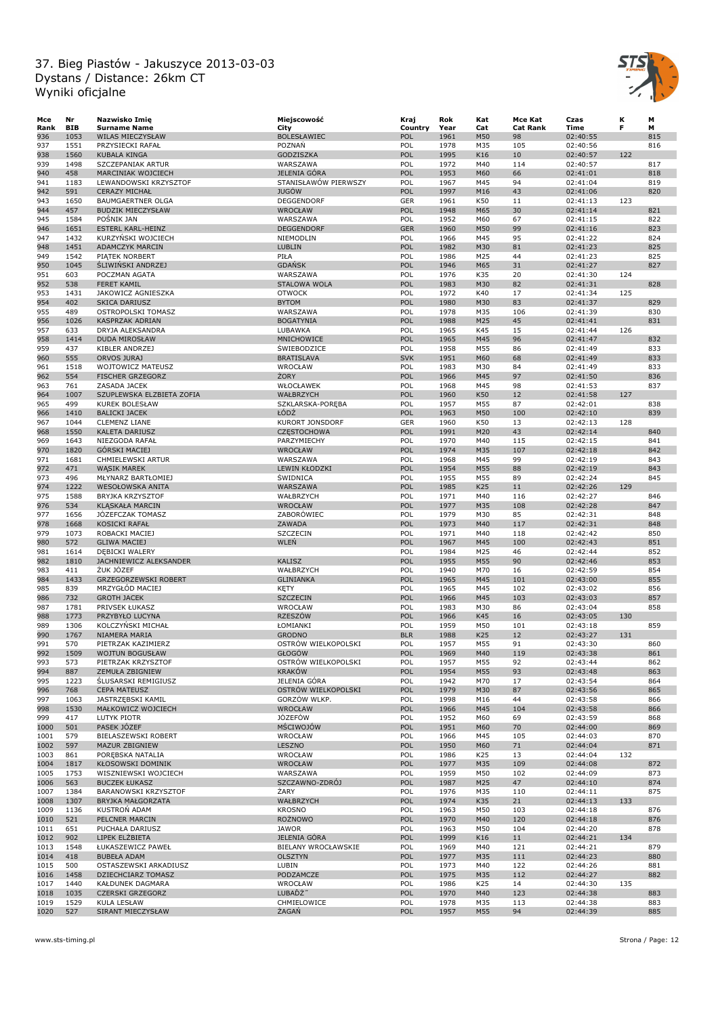

| Mce  | Nr         | Nazwisko Imię               | Miejscowość            | Kraj       | Rok  | Kat | Mce Kat         | Czas     | к   | М   |
|------|------------|-----------------------------|------------------------|------------|------|-----|-----------------|----------|-----|-----|
| Rank | <b>BIB</b> | <b>Surname Name</b>         | City                   | Country    | Year | Cat | <b>Cat Rank</b> | Time     | F   | м   |
| 936  | 1053       | <b>WILAS MIECZYSŁAW</b>     | <b>BOLESŁAWIEC</b>     | POL        | 1961 | M50 | 98              | 02:40:55 |     | 815 |
| 937  | 1551       | PRZYSIECKI RAFAŁ            | POZNAŃ                 | POL        | 1978 | M35 | 105             | 02:40:56 |     | 816 |
| 938  | 1560       | KUBALA KINGA                | GODZISZKA              | POL        | 1995 | K16 | 10              | 02:40:57 | 122 |     |
| 939  | 1498       | SZCZEPANIAK ARTUR           | WARSZAWA               | POL        | 1972 | M40 | 114             | 02:40:57 |     | 817 |
| 940  | 458        | MARCINIAK WOJCIECH          | JELENIA GÓRA           | POL        | 1953 | M60 | 66              | 02:41:01 |     | 818 |
| 941  | 1183       | LEWANDOWSKI KRZYSZTOF       | STANISŁAWÓW PIERWSZY   | POL        | 1967 | M45 | 94              | 02:41:04 |     | 819 |
| 942  | 591        | <b>CERAZY MICHAŁ</b>        | <b>JUGÓW</b>           | POL        | 1997 | M16 | 43              | 02:41:06 |     | 820 |
| 943  | 1650       | <b>BAUMGAERTNER OLGA</b>    | DEGGENDORF             | <b>GER</b> | 1961 | K50 | 11              | 02:41:13 | 123 |     |
|      |            |                             |                        |            |      |     |                 |          |     |     |
| 944  | 457        | <b>BUDZIK MIECZYSŁAW</b>    | <b>WROCŁAW</b>         | POL        | 1948 | M65 | 30              | 02:41:14 |     | 821 |
| 945  | 1584       | POŚNIK JAN                  | WARSZAWA               | POL        | 1952 | M60 | 67              | 02:41:15 |     | 822 |
| 946  | 1651       | <b>ESTERL KARL-HEINZ</b>    | <b>DEGGENDORF</b>      | <b>GER</b> | 1960 | M50 | 99              | 02:41:16 |     | 823 |
| 947  | 1432       | KURZYŃSKI WOJCIECH          | NIEMODLIN              | POL        | 1966 | M45 | 95              | 02:41:22 |     | 824 |
| 948  | 1451       | <b>ADAMCZYK MARCIN</b>      | LUBLIN                 | POL        | 1982 | M30 | 81              | 02:41:23 |     | 825 |
| 949  | 1542       | PIATEK NORBERT              | PIŁA                   | POL        | 1986 | M25 | 44              | 02:41:23 |     | 825 |
| 950  | 1045       | <b>SLIWINSKI ANDRZEJ</b>    | <b>GDAŃSK</b>          | POL        | 1946 | M65 | 31              | 02:41:27 |     | 827 |
| 951  | 603        | POCZMAN AGATA               | WARSZAWA               | POL        | 1976 | K35 | 20              | 02:41:30 | 124 |     |
| 952  | 538        | <b>FERET KAMIL</b>          | STALOWA WOLA           | POL        | 1983 | M30 | 82              | 02:41:31 |     | 828 |
| 953  | 1431       | JAKOWICZ AGNIESZKA          | <b>OTWOCK</b>          | POL        | 1972 | K40 | 17              | 02:41:34 | 125 |     |
| 954  | 402        | <b>SKICA DARIUSZ</b>        | <b>BYTOM</b>           | POL        | 1980 | M30 | 83              | 02:41:37 |     | 829 |
| 955  | 489        | OSTROPOLSKI TOMASZ          | WARSZAWA               | POL        | 1978 | M35 | 106             | 02:41:39 |     | 830 |
| 956  | 1026       | KASPRZAK ADRIAN             | <b>BOGATYNIA</b>       | POL        | 1988 | M25 | 45              | 02:41:41 |     | 831 |
|      | 633        |                             | LUBAWKA                | POL        | 1965 | K45 |                 |          | 126 |     |
| 957  |            | DRYJA ALEKSANDRA            |                        |            |      |     | 15              | 02:41:44 |     |     |
| 958  | 1414       | DUDA MIROSŁAW               | MNICHOWICE             | POL        | 1965 | M45 | 96              | 02:41:47 |     | 832 |
| 959  | 437        | KIBLER ANDRZEJ              | ŚWIEBODZICE            | POL        | 1958 | M55 | 86              | 02:41:49 |     | 833 |
| 960  | 555        | ORVOS JURAJ                 | <b>BRATISLAVA</b>      | <b>SVK</b> | 1951 | M60 | 68              | 02:41:49 |     | 833 |
| 961  | 1518       | WOJTOWICZ MATEUSZ           | WROCŁAW                | POL        | 1983 | M30 | 84              | 02:41:49 |     | 833 |
| 962  | 554        | <b>FISCHER GRZEGORZ</b>     | ŻORY                   | POL        | 1966 | M45 | 97              | 02:41:50 |     | 836 |
| 963  | 761        | ZASADA JACEK                | WŁOCŁAWEK              | POL        | 1968 | M45 | 98              | 02:41:53 |     | 837 |
| 964  | 1007       | SZUPLEWSKA ELZBIETA ZOFIA   | WAŁBRZYCH              | POL        | 1960 | K50 | 12              | 02:41:58 | 127 |     |
| 965  | 499        | <b>KUREK BOLESŁAW</b>       | SZKLARSKA-PORĘBA       | POL        | 1957 | M55 | 87              | 02:42:01 |     | 838 |
|      | 1410       | <b>BALICKI JACEK</b>        | ŁÓDŻ                   | POL        | 1963 | M50 | 100             | 02:42:10 |     | 839 |
| 966  |            |                             |                        |            |      |     |                 |          |     |     |
| 967  | 1044       | <b>CLEMENZ LIANE</b>        | <b>KURORT JONSDORF</b> | <b>GER</b> | 1960 | K50 | 13              | 02:42:13 | 128 |     |
| 968  | 1550       | KALETA DARIUSZ              | <b>CZĘSTOCHOWA</b>     | POL        | 1991 | M20 | 43              | 02:42:14 |     | 840 |
| 969  | 1643       | NIEZGODA RAFAŁ              | PARZYMIECHY            | POL        | 1970 | M40 | 115             | 02:42:15 |     | 841 |
| 970  | 1820       | <b>GÓRSKI MACIEJ</b>        | WROCŁAW                | POL        | 1974 | M35 | 107             | 02:42:18 |     | 842 |
| 971  | 1681       | CHMIELEWSKI ARTUR           | WARSZAWA               | POL        | 1968 | M45 | 99              | 02:42:19 |     | 843 |
| 972  | 471        | <b>WASIK MAREK</b>          | LEWIN KŁODZKI          | POL        | 1954 | M55 | 88              | 02:42:19 |     | 843 |
| 973  | 496        | MŁYNARZ BARTŁOMIEJ          | <b>SWIDNICA</b>        | POL        | 1955 | M55 | 89              | 02:42:24 |     | 845 |
| 974  | 1222       | WESOŁOWSKA ANITA            | WARSZAWA               | POL        | 1985 | K25 | 11              | 02:42:26 | 129 |     |
| 975  | 1588       | <b>BRYJKA KRZYSZTOF</b>     | WAŁBRZYCH              | POL        | 1971 | M40 | 116             | 02:42:27 |     | 846 |
|      |            |                             |                        |            |      |     |                 |          |     |     |
| 976  | 534        | <b>KLĄSKAŁA MARCIN</b>      | WROCŁAW                | POL        | 1977 | M35 | 108             | 02:42:28 |     | 847 |
| 977  | 1656       | JÓZEFCZAK TOMASZ            | ZABORÓWIEC             | POL        | 1979 | M30 | 85              | 02:42:31 |     | 848 |
| 978  | 1668       | KOSICKI RAFAŁ               | ZAWADA                 | POL        | 1973 | M40 | 117             | 02:42:31 |     | 848 |
| 979  | 1073       | ROBACKI MACIEJ              | SZCZECIN               | POL        | 1971 | M40 | 118             | 02:42:42 |     | 850 |
| 980  | 572        | <b>GLIWA MACIEJ</b>         | WLEŃ                   | POL        | 1967 | M45 | 100             | 02:42:43 |     | 851 |
| 981  | 1614       | DĘBICKI WALERY              |                        | POL        | 1984 | M25 | 46              | 02:42:44 |     | 852 |
| 982  | 1810       | JACHNIEWICZ ALEKSANDER      | <b>KALISZ</b>          | POL        | 1955 | M55 | 90              | 02:42:46 |     | 853 |
| 983  | 411        | ŻUK JÓZEF                   | WAŁBRZYCH              | POL        | 1940 | M70 | 16              | 02:42:59 |     | 854 |
| 984  | 1433       | <b>GRZEGORZEWSKI ROBERT</b> | <b>GLINIANKA</b>       | POL        | 1965 | M45 | 101             | 02:43:00 |     | 855 |
| 985  | 839        | MRZYGŁÓD MACIEJ             | KĘTY                   | POL        | 1965 | M45 | 102             | 02:43:02 |     | 856 |
| 986  | 732        | <b>GROTH JACEK</b>          | <b>SZCZECIN</b>        | POL        | 1966 | M45 | 103             | 02:43:03 |     | 857 |
|      |            |                             |                        |            |      |     |                 |          |     |     |
| 987  | 1781       | PRIVSEK ŁUKASZ              | WROCŁAW                | POL        | 1983 | M30 | 86              | 02:43:04 |     | 858 |
| 988  | 1773       | PRZYBYŁO LUCYNA             | <b>RZESZÓW</b>         | POL        | 1966 | K45 | 16              | 02:43:05 | 130 |     |
| 989  | 1306       | KOLCZYŃSKI MICHAŁ           | ŁOMIANKI               | POL        | 1959 | M50 | 101             | 02:43:18 |     | 859 |
| 990  | 1767       | NIAMERA MARIA               | <b>GRODNO</b>          | <b>BLR</b> | 1988 | K25 | 12              | 02:43:27 | 131 |     |
| 991  | 570        | PIETRZAK KAZIMIERZ          | OSTRÓW WIELKOPOLSKI    | POL        | 1957 | M55 | 91              | 02:43:30 |     | 860 |
| 992  | 1509       | <b>WOJTUN BOGUSŁAW</b>      | GŁOGÓW                 | POL        | 1969 | M40 | 119             | 02:43:38 |     | 861 |
| 993  | 573        | PIETRZAK KRZYSZTOF          | OSTRÓW WIELKOPOLSKI    | POL        | 1957 | M55 | 92              | 02:43:44 |     | 862 |
| 994  | 887        | ZEMUŁA ZBIGNIEW             | <b>KRAKÓW</b>          | POL        | 1954 | M55 | 93              | 02:43:48 |     | 863 |
| 995  | 1223       | <b>SLUSARSKI REMIGIUSZ</b>  | JELENIA GÓRA           | POL        | 1942 | M70 | 17              | 02:43:54 |     | 864 |
| 996  | 768        | <b>CEPA MATEUSZ</b>         | OSTRÓW WIELKOPOLSKI    | POL        | 1979 | M30 | 87              | 02:43:56 |     | 865 |
| 997  | 1063       | JASTRZĘBSKI KAMIL           | GORZÓW WLKP.           | POL        | 1998 | M16 | 44              | 02:43:58 |     | 866 |
| 998  | 1530       | MAŁKOWICZ WOJCIECH          | WROCŁAW                | POL        | 1966 | M45 | 104             | 02:43:58 |     | 866 |
|      |            |                             |                        |            |      |     |                 |          |     |     |
| 999  | 417        | LUTYK PIOTR                 | JÓZEFÓW                | POL        | 1952 | M60 | 69              | 02:43:59 |     | 868 |
| 1000 | 501        | PASEK JOZEF                 | MŚCIWOJÓW              | POL        | 1951 | M60 | 70              | 02:44:00 |     | 869 |
| 1001 | 579        | BIELASZEWSKI ROBERT         | WROCŁAW                | POL        | 1966 | M45 | 105             | 02:44:03 |     | 870 |
| 1002 | 597        | MAZUR ZBIGNIEW              | LESZNO                 | POL        | 1950 | M60 | 71              | 02:44:04 |     | 871 |
| 1003 | 861        | POREBSKA NATALIA            | WROCŁAW                | POL        | 1986 | K25 | 13              | 02:44:04 | 132 |     |
| 1004 | 1817       | <b>KŁOSOWSKI DOMINIK</b>    | <b>WROCŁAW</b>         | POL        | 1977 | M35 | 109             | 02:44:08 |     | 872 |
| 1005 | 1753       | WISZNIEWSKI WOJCIECH        | WARSZAWA               | POL        | 1959 | M50 | 102             | 02:44:09 |     | 873 |
| 1006 | 563        | <b>BUCZEK ŁUKASZ</b>        | SZCZAWNO-ZDRÓJ         | POL        | 1987 | M25 | 47              | 02:44:10 |     | 874 |
| 1007 | 1384       | BARANOWSKI KRZYSZTOF        | ŻARY                   | POL        | 1976 | M35 | 110             | 02:44:11 |     | 875 |
|      |            | BRYJKA MAŁGORZATA           |                        |            |      |     |                 |          |     |     |
| 1008 | 1307       |                             | WAŁBRZYCH              | POL        | 1974 | K35 | 21              | 02:44:13 | 133 |     |
| 1009 | 1136       | <b>KUSTRON ADAM</b>         | <b>KROSNO</b>          | POL        | 1963 | M50 | 103             | 02:44:18 |     | 876 |
| 1010 | 521        | PELCNER MARCIN              | <b>ROŻNOWO</b>         | POL        | 1970 | M40 | 120             | 02:44:18 |     | 876 |
| 1011 | 651        | PUCHAŁA DARIUSZ             | <b>JAWOR</b>           | POL        | 1963 | M50 | 104             | 02:44:20 |     | 878 |
| 1012 | 902        | LIPEK ELZBIETA              | <b>JELENIA GÓRA</b>    | POL        | 1999 | K16 | 11              | 02:44:21 | 134 |     |
| 1013 | 1548       | ŁUKASZEWICZ PAWEŁ           | BIELANY WROCŁAWSKIE    | POL        | 1969 | M40 | 121             | 02:44:21 |     | 879 |
| 1014 | 418        | <b>BUBEŁA ADAM</b>          | <b>OLSZTYN</b>         | POL        | 1977 | M35 | 111             | 02:44:23 |     | 880 |
| 1015 | 500        | OSTASZEWSKI ARKADIUSZ       | LUBIN                  | POL        | 1973 | M40 | 122             | 02:44:26 |     | 881 |
| 1016 | 1458       | DZIECHCIARZ TOMASZ          | PODZAMCZE              | POL        | 1975 | M35 | 112             | 02:44:27 |     | 882 |
|      |            |                             |                        |            |      |     |                 |          |     |     |
| 1017 | 1440       | KAŁDUNEK DAGMARA            | WROCŁAW                | POL        | 1986 | K25 | 14              | 02:44:30 | 135 |     |
| 1018 | 1035       | CZERSKI GRZEGORZ            | LUBAĎŻ"                | POL        | 1970 | M40 | 123             | 02:44:38 |     | 883 |
| 1019 | 1529       | KULA LESŁAW                 | CHMIELOWICE            | POL        | 1978 | M35 | 113             | 02:44:38 |     | 883 |
| 1020 | 527        | SIRANT MIECZYSŁAW           | ŻAGAŃ                  | POL        | 1957 | M55 | 94              | 02:44:39 |     | 885 |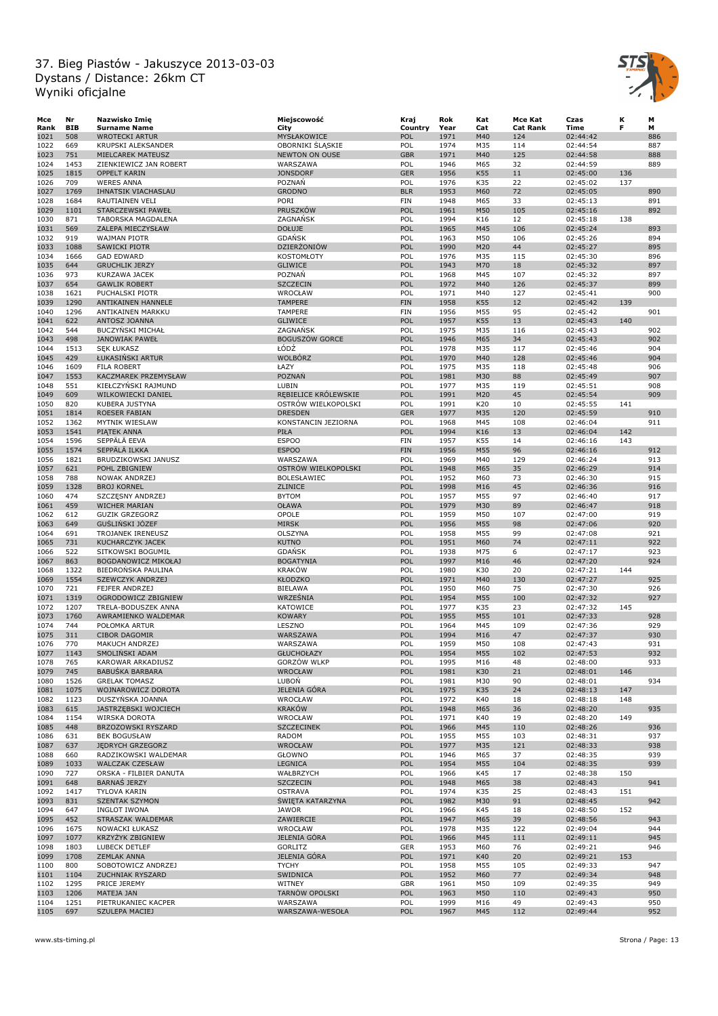

| Мсе  | Nr         | Nazwisko Imię               | Miejscowość                 | Kraj       | Rok  | Kat        | Mce Kat         | Czas                 | к   | м   |
|------|------------|-----------------------------|-----------------------------|------------|------|------------|-----------------|----------------------|-----|-----|
| Rank | <b>BIB</b> | <b>Surname Name</b>         | City                        | Country    | Year | Cat        | <b>Cat Rank</b> | Time                 | F   | м   |
| 1021 | 508        | <b>WROTECKI ARTUR</b>       | MYSŁAKOWICE                 | POL        | 1971 | M40        | 124             | 02:44:42             |     | 886 |
| 1022 | 669        | KRUPSKI ALEKSANDER          | OBORNIKI SLASKIE            | POL        | 1974 | M35        | 114             | 02:44:54             |     | 887 |
| 1023 | 751        | MIELCAREK MATEUSZ           | <b>NEWTON ON OUSE</b>       | <b>GBR</b> | 1971 | M40        | 125             | 02:44:58             |     | 888 |
| 1024 | 1453       | ZIENKIEWICZ JAN ROBERT      | WARSZAWA                    | POL        | 1946 | M65        | 32              | 02:44:59             |     | 889 |
| 1025 | 1815       | <b>OPPELT KARIN</b>         | <b>JONSDORF</b>             | <b>GER</b> | 1956 | K55        | 11              | 02:45:00             | 136 |     |
| 1026 | 709        | <b>WERES ANNA</b>           | POZNAŃ                      | POL        | 1976 | K35        | 22              | 02:45:02             | 137 |     |
| 1027 | 1769       | IHNATSIK VIACHASLAU         | <b>GRODNO</b>               | <b>BLR</b> | 1953 | M60        | 72              | 02:45:05             |     | 890 |
| 1028 | 1684       | RAUTIAINEN VELI             | PORI                        | <b>FIN</b> | 1948 | M65        | 33              | 02:45:13             |     | 891 |
| 1029 | 1101       | STARCZEWSKI PAWEŁ           | PRUSZKÓW                    | POL        | 1961 | M50        | 105             | 02:45:16             |     | 892 |
| 1030 | 871        | TABORSKA MAGDALENA          | ZAGNAŃSK                    | POL        | 1994 | K16        | 12              | 02:45:18             | 138 |     |
| 1031 | 569        | ZALEPA MIECZYSŁAW           | <b>DOŁUJE</b>               | POL        | 1965 | M45        | 106             | 02:45:24             |     | 893 |
| 1032 | 919        | <b>WAJMAN PIOTR</b>         | <b>GDAŃSK</b>               | POL        | 1963 | M50        | 106             | 02:45:26             |     | 894 |
| 1033 | 1088       | <b>SAWICKI PIOTR</b>        | DZIERŻONIÓW                 | POL        | 1990 | M20        | 44              | 02:45:27             |     | 895 |
| 1034 | 1666       | <b>GAD EDWARD</b>           | <b>KOSTOMŁOTY</b>           | POL        | 1976 | M35        | 115             | 02:45:30             |     | 896 |
| 1035 | 644        | <b>GRUCHLIK JERZY</b>       | <b>GLIWICE</b>              | POL        | 1943 | M70        | 18              | 02:45:32             |     | 897 |
| 1036 | 973        | KURZAWA JACEK               | POZNAŃ                      | POL        | 1968 | M45        | 107             | 02:45:32             |     | 897 |
| 1037 | 654        | <b>GAWLIK ROBERT</b>        | <b>SZCZECIN</b>             | POL        | 1972 | M40        | 126             | 02:45:37             |     | 899 |
| 1038 | 1621       | PUCHALSKI PIOTR             | WROCŁAW                     | POL        | 1971 | M40        | 127             | 02:45:41             |     | 900 |
| 1039 | 1290       | ANTIKAINEN HANNELE          | <b>TAMPERE</b>              | <b>FIN</b> | 1958 | K55        | 12              | 02:45:42             | 139 |     |
| 1040 | 1296       | ANTIKAINEN MARKKU           | <b>TAMPERE</b>              | <b>FIN</b> | 1956 | M55        | 95              | 02:45:42             |     | 901 |
| 1041 | 622        | ANTOSZ JOANNA               | <b>GLIWICE</b>              | POL        | 1957 | K55        | 13              | 02:45:43             | 140 |     |
| 1042 | 544        | <b>BUCZYNSKI MICHAŁ</b>     | ZAGNAŃSK                    | POL        | 1975 | M35        | 116             | 02:45:43             |     | 902 |
| 1043 | 498        | <b>JANOWIAK PAWEŁ</b>       | <b>BOGUSZÓW GORCE</b>       | POL        | 1946 | M65        | 34              | 02:45:43             |     | 902 |
| 1044 | 1513       | <b>SEK ŁUKASZ</b>           | ŁÓDŹ                        | POL        | 1978 | M35        | 117             | 02:45:46             |     | 904 |
| 1045 | 429        | ŁUKASIŃSKI ARTUR            | <b>WOLBÓRZ</b>              | POL        | 1970 | M40        | 128             | 02:45:46             |     | 904 |
| 1046 | 1609       | <b>FILA ROBERT</b>          | ŁAZY                        | POL        | 1975 | M35        | 118             | 02:45:48             |     | 906 |
| 1047 | 1553       | KACZMAREK PRZEMYSŁAW        | POZNAŃ                      | POL        | 1981 | M30        | 88              | 02:45:49             |     | 907 |
| 1048 | 551        | KIEŁCZYŃSKI RAJMUND         | LUBIN                       | POL        | 1977 | M35        | 119             | 02:45:51             |     | 908 |
| 1049 | 609        | WILKOWIECKI DANIEL          | REBIELICE KRÓLEWSKIE        | POL        | 1991 | M20        | 45              | 02:45:54             |     | 909 |
| 1050 | 820        | KUBERA JUSTYNA              | OSTRÓW WIELKOPOLSKI         | POL        | 1991 | K20        | 10              | 02:45:55             | 141 |     |
| 1051 | 1814       | ROESER FABIAN               | <b>DRESDEN</b>              | <b>GER</b> | 1977 | M35        | 120             | 02:45:59             |     | 910 |
| 1052 | 1362       |                             |                             | POL        | 1968 | M45        | 108             |                      |     | 911 |
| 1053 | 1541       | MYTNIK WIESLAW              | KONSTANCIN JEZIORNA<br>PIŁA | POL        | 1994 | K16        | 13              | 02:46:04<br>02:46:04 | 142 |     |
|      |            | PIATEK ANNA<br>SEPPÄLÄ EEVA |                             |            |      |            |                 |                      |     |     |
| 1054 | 1596       |                             | <b>ESPOO</b>                | FIN        | 1957 | K55        | 14              | 02:46:16             | 143 |     |
| 1055 | 1574       | SEPPÄLÄ ILKKA               | <b>ESPOO</b>                | <b>FIN</b> | 1956 | M55        | 96              | 02:46:16             |     | 912 |
| 1056 | 1821       | BRUDZIKOWSKI JANUSZ         | WARSZAWA                    | POL        | 1969 | M40        | 129             | 02:46:24             |     | 913 |
| 1057 | 621        | POHL ZBIGNIEW               | OSTRÓW WIELKOPOLSKI         | POL        | 1948 | M65        | 35              | 02:46:29             |     | 914 |
| 1058 | 788        | NOWAK ANDRZEJ               | BOLESŁAWIEC                 | POL        | 1952 | M60        | 73              | 02:46:30             |     | 915 |
| 1059 | 1328       | <b>BROJ KORNEL</b>          | ZLINICE                     | POL        | 1998 | M16        | 45              | 02:46:36             |     | 916 |
| 1060 | 474        | SZCZĘSNY ANDRZEJ            | <b>BYTOM</b>                | POL        | 1957 | M55        | 97              | 02:46:40             |     | 917 |
| 1061 | 459        | WICHER MARIAN               | OŁAWA                       | POL        | 1979 | M30        | 89              | 02:46:47             |     | 918 |
| 1062 | 612        | <b>GUZIK GRZEGORZ</b>       | OPOLE                       | POL        | 1959 | M50        | 107             | 02:47:00             |     | 919 |
| 1063 | 649        | GUSLINSKI JÓZEF             | <b>MIRSK</b>                | POL        | 1956 | M55        | 98              | 02:47:06             |     | 920 |
| 1064 | 691        | TROJANEK IRENEUSZ           | OLSZYNA                     | POL        | 1958 | M55        | 99              | 02:47:08             |     | 921 |
| 1065 | 731        | KUCHARCZYK JACEK            | <b>KUTNO</b>                | POL        | 1951 | M60        | 74              | 02:47:11             |     | 922 |
| 1066 | 522        | SITKOWSKI BOGUMIŁ           | <b>GDAŃSK</b>               | POL        | 1938 | M75        | 6               | 02:47:17             |     | 923 |
| 1067 | 863        | BOGDANOWICZ MIKOŁAJ         | <b>BOGATYNIA</b>            | POL        | 1997 | M16        | 46              | 02:47:20             |     | 924 |
| 1068 | 1322       | BIEDRONSKA PAULINA          | <b>KRAKÓW</b>               | POL        | 1980 | K30        | 20              | 02:47:21             | 144 |     |
| 1069 | 1554       | <b>SZEWCZYK ANDRZEJ</b>     | <b>KŁODZKO</b>              | POL        | 1971 | M40        | 130             | 02:47:27             |     | 925 |
| 1070 | 721        | <b>FEJFER ANDRZEJ</b>       | <b>BIELAWA</b>              | POL        | 1950 | M60        | 75              | 02:47:30             |     | 926 |
| 1071 | 1319       | OGRODOWICZ ZBIGNIEW         | WRZEŚNIA                    | POL        | 1954 | M55        | 100             | 02:47:32             |     | 927 |
| 1072 | 1207       | TRELA-BODUSZEK ANNA         | KATOWICE                    | POL        | 1977 | K35        | 23              | 02:47:32             | 145 |     |
| 1073 | 1760       | AWRAMIENKO WALDEMAR         | <b>KOWARY</b>               | POL        | 1955 | M55        | 101             | 02:47:33             |     | 928 |
| 1074 | 744        | POŁOMKA ARTUR               | LESZNO                      | POL        | 1964 | M45        | 109             | 02:47:36             |     | 929 |
| 1075 | 311        | <b>CIBOR DAGOMIR</b>        | WARSZAWA                    | POL        | 1994 | M16        | 47              | 02:47:37             |     | 930 |
| 1076 | 770        | MAKUCH ANDRZEJ              | WARSZAWA                    | POL        | 1959 | M50        | 108             | 02:47:43             |     | 931 |
| 1077 | 1143       | SMOLINSKI ADAM              | <b>GŁUCHOŁAZY</b>           | POL        | 1954 | M55        | 102             | 02:47:53             |     | 932 |
| 1078 | 765        | KAROWAR ARKADIUSZ           | <b>GORZÓW WLKP</b>          | POL        | 1995 | M16        | 48              | 02:48:00             |     | 933 |
| 1079 | 745        | <b>BABUSKA BARBARA</b>      | <b>WROCŁAW</b>              | POL        | 1981 | K30        | 21              | 02:48:01             | 146 |     |
| 1080 | 1526       | <b>GRELAK TOMASZ</b>        | LUBON                       | POL        | 1981 | M30        | 90              | 02:48:01             |     | 934 |
| 1081 | 1075       | WOJNAROWICZ DOROTA          | JELENIA GÓRA                | POL        | 1975 | K35        | 24              | 02:48:13             | 147 |     |
| 1082 | 1123       | DUSZYŃSKA JOANNA            | WROCŁAW                     | POL        | 1972 | K40        | 18              | 02:48:18             | 148 |     |
| 1083 | 615        | JASTRZĘBSKI WOJCIECH        | <b>KRAKÓW</b>               | POL        | 1948 | M65        | 36              | 02:48:20             |     | 935 |
| 1084 | 1154       | WIRSKA DOROTA               | WROCŁAW                     | POL        | 1971 | K40        | 19              | 02:48:20             | 149 |     |
| 1085 | 448        | BRZOZOWSKI RYSZARD          | <b>SZCZECINEK</b>           | POL        | 1966 | M45        | 110             | 02:48:26             |     | 936 |
| 1086 | 631        | <b>BEK BOGUSŁAW</b>         | RADOM                       | POL        | 1955 | M55        | 103             | 02:48:31             |     | 937 |
| 1087 | 637        | <b>JEDRYCH GRZEGORZ</b>     | WROCŁAW                     | POL        | 1977 | M35        | 121             | 02:48:33             |     | 938 |
| 1088 | 660        | RADZIKOWSKI WALDEMAR        | GŁOWNO                      | POL        | 1946 | M65        | 37              | 02:48:35             |     | 939 |
| 1089 | 1033       | <b>WALCZAK CZESŁAW</b>      | <b>LEGNICA</b>              | POL        | 1954 | M55        | 104             | 02:48:35             |     | 939 |
| 1090 | 727        | ORSKA - FILBIER DANUTA      | WAŁBRZYCH                   | POL        | 1966 | K45        | 17              | 02:48:38             | 150 |     |
| 1091 | 648        | <b>BARNAS JERZY</b>         | <b>SZCZECIN</b>             | POL        | 1948 | M65        | 38              | 02:48:43             |     | 941 |
| 1092 | 1417       | TYLOVA KARIN                | <b>OSTRAVA</b>              | POL        | 1974 | K35        | 25              | 02:48:43             | 151 |     |
| 1093 | 831        | <b>SZENTAK SZYMON</b>       | ŚWIĘTA KATARZYNA            | POL        | 1982 | M30        | 91              | 02:48:45             |     | 942 |
| 1094 | 647        | <b>INGLOT IWONA</b>         | JAWOR                       | POL        | 1966 | K45        | 18              | 02:48:50             | 152 |     |
| 1095 | 452        | STRASZAK WALDEMAR           | ZAWIERCIE                   | POL        | 1947 | M65        | 39              | 02:48:56             |     | 943 |
| 1096 | 1675       | NOWACKI ŁUKASZ              | WROCŁAW                     | POL        | 1978 | M35        | 122             | 02:49:04             |     | 944 |
| 1097 | 1077       | <b>KRZYZYK ZBIGNIEW</b>     | <b>JELENIA GÓRA</b>         | POL        | 1966 | M45        | 111             | 02:49:11             |     | 945 |
| 1098 | 1803       | LUBECK DETLEF               | GORLITZ                     | GER        | 1953 | M60        | 76              | 02:49:21             |     | 946 |
| 1099 | 1708       | <b>ZEMLAK ANNA</b>          | <b>JELENIA GÓRA</b>         | POL        | 1971 | K40        | 20              | 02:49:21             | 153 |     |
| 1100 | 800        | SOBOTOWICZ ANDRZEJ          | <b>TYCHY</b>                | POL        | 1958 | M55        | 105             | 02:49:33             |     | 947 |
|      | 1104       |                             |                             | POL        | 1952 |            |                 |                      |     | 948 |
| 1101 | 1295       | ZUCHNIAK RYSZARD            | SWIDNICA<br>WITNEY          | GBR        | 1961 | M60<br>M50 | 77<br>109       | 02:49:34<br>02:49:35 |     | 949 |
| 1102 | 1206       | PRICE JEREMY                | TARNÓW OPOLSKI              | POL        | 1963 | M50        | 110             |                      |     | 950 |
| 1103 |            | MATEJA JAN                  |                             |            |      |            |                 | 02:49:43             |     |     |
| 1104 | 1251       | PIETRUKANIEC KACPER         | WARSZAWA                    | POL        | 1999 | M16        | 49              | 02:49:43             |     | 950 |
| 1105 | 697        | SZULEPA MACIEJ              | WARSZAWA-WESOŁA             | <b>POL</b> | 1967 | M45        | 112             | 02:49:44             |     | 952 |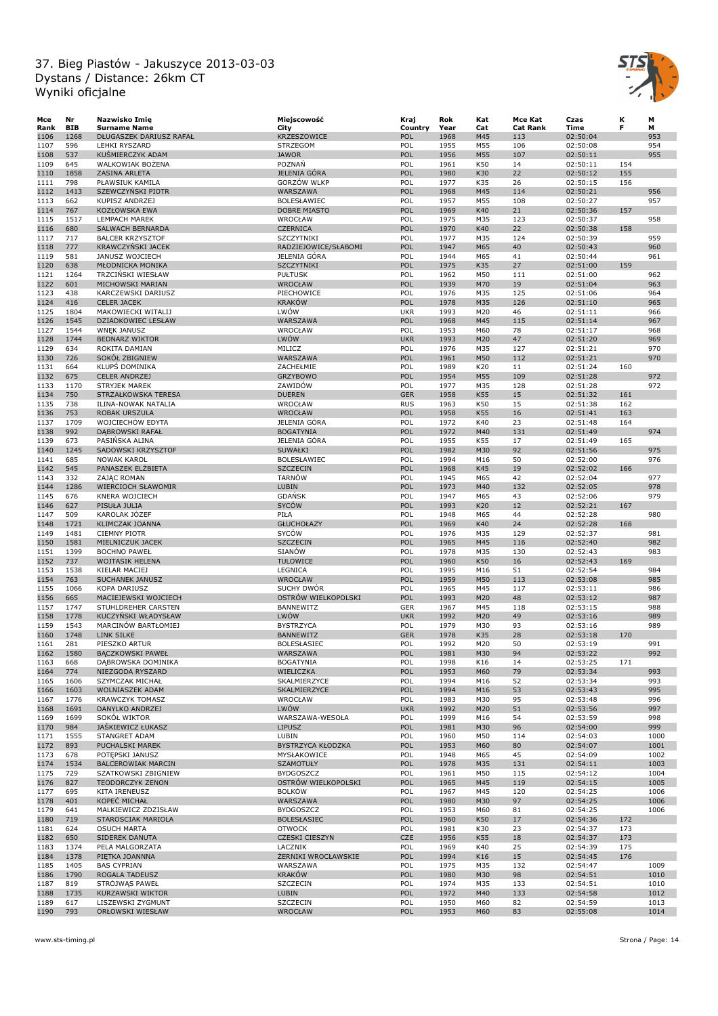

| Mce  | Nr         | Nazwisko Imię             | Miejscowość              | Kraj       | Rok  | Kat | Mce Kat         | Czas        | κ   | М    |
|------|------------|---------------------------|--------------------------|------------|------|-----|-----------------|-------------|-----|------|
| Rank | <b>BIB</b> | <b>Surname Name</b>       | City                     | Country    | Year | Cat | <b>Cat Rank</b> | <b>Time</b> | F   | М    |
| 1106 | 1268       | DŁUGASZEK DARIUSZ RAFAŁ   | <b>KRZESZOWICE</b>       | POL        | 1968 | M45 | 113             | 02:50:04    |     | 953  |
| 1107 | 596        | <b>LEHKI RYSZARD</b>      | <b>STRZEGOM</b>          | POL        | 1955 | M55 | 106             | 02:50:08    |     | 954  |
| 1108 | 537        | KUŚMIERCZYK ADAM          | <b>JAWOR</b>             | POL        | 1956 | M55 | 107             | 02:50:11    |     | 955  |
| 1109 | 645        | WALKOWIAK BOŻENA          | POZNAŃ                   | POL        | 1961 | K50 | 14              | 02:50:11    | 154 |      |
| 1110 | 1858       | ZASINA ARLETA             | JELENIA GÓRA             | POL        | 1980 | K30 | 22              | 02:50:12    | 155 |      |
| 1111 | 798        | PŁAWSIUK KAMILA           | GORZÓW WLKP              | POL        | 1977 | K35 | 26              | 02:50:15    | 156 |      |
| 1112 | 1413       | SZEWCZYŃSKI PIOTR         | WARSZAWA                 | POL        | 1968 | M45 | 114             | 02:50:21    |     | 956  |
| 1113 | 662        | <b>KUPISZ ANDRZEJ</b>     | BOLESŁAWIEC              | POL        | 1957 | M55 | 108             | 02:50:27    |     | 957  |
|      |            |                           |                          |            |      |     |                 |             |     |      |
| 1114 | 767        | KOZŁOWSKA EWA             | <b>DOBRE MIASTO</b>      | POL        | 1969 | K40 | 21              | 02:50:36    | 157 |      |
| 1115 | 1517       | <b>LEMPACH MAREK</b>      | WROCŁAW                  | POL        | 1975 | M35 | 123             | 02:50:37    |     | 958  |
| 1116 | 680        | SALWACH BERNARDA          | <b>CZERNICA</b>          | POL        | 1970 | K40 | 22              | 02:50:38    | 158 |      |
| 1117 | 717        | <b>BALCER KRZYSZTOF</b>   | SZCZYTNIKI               | POL        | 1977 | M35 | 124             | 02:50:39    |     | 959  |
| 1118 | 777        | <b>KRAWCZYŃSKI JACEK</b>  | RADZIEJOWICE/SŁABOMI     | POL        | 1947 | M65 | 40              | 02:50:43    |     | 960  |
| 1119 | 581        | JANUSZ WOJCIECH           | JELENIA GÓRA             | POL        | 1944 | M65 | 41              | 02:50:44    |     | 961  |
| 1120 | 638        | MŁODNICKA MONIKA          | SZCZYTNIKI               | POL        | 1975 | K35 | 27              | 02:51:00    | 159 |      |
| 1121 | 1264       | TRZCINSKI WIESŁAW         | <b>PUŁTUSK</b>           | POL        | 1962 | M50 | 111             | 02:51:00    |     | 962  |
| 1122 | 601        | MICHOWSKI MARIAN          | WROCŁAW                  | POL        | 1939 | M70 | 19              | 02:51:04    |     | 963  |
| 1123 | 438        | KARCZEWSKI DARIUSZ        | PIECHOWICE               | POL        | 1976 | M35 | 125             | 02:51:06    |     | 964  |
| 1124 | 416        | <b>CELER JACEK</b>        | <b>KRAKÓW</b>            | POL        | 1978 | M35 | 126             | 02:51:10    |     | 965  |
| 1125 | 1804       |                           | LWÓW                     |            |      |     |                 |             |     |      |
|      |            | MAKOWIECKI WITALIJ        |                          | <b>UKR</b> | 1993 | M20 | 46              | 02:51:11    |     | 966  |
| 1126 | 1545       | DZIADKOWIEC LESŁAW        | WARSZAWA                 | POL        | 1968 | M45 | 115             | 02:51:14    |     | 967  |
| 1127 | 1544       | <b>WNĘK JANUSZ</b>        | WROCŁAW                  | POL        | 1953 | M60 | 78              | 02:51:17    |     | 968  |
| 1128 | 1744       | <b>BEDNARZ WIKTOR</b>     | LWÓW                     | <b>UKR</b> | 1993 | M20 | 47              | 02:51:20    |     | 969  |
| 1129 | 634        | ROKITA DAMIAN             | MILICZ                   | POL        | 1976 | M35 | 127             | 02:51:21    |     | 970  |
| 1130 | 726        | SOKÓŁ ZBIGNIEW            | WARSZAWA                 | POL        | 1961 | M50 | 112             | 02:51:21    |     | 970  |
| 1131 | 664        | KLUPS DOMINIKA            | ZACHEŁMIE                | POL        | 1989 | K20 | 11              | 02:51:24    | 160 |      |
| 1132 | 675        | <b>CELER ANDRZEJ</b>      | <b>GRZYBOWO</b>          | POL        | 1954 | M55 | 109             | 02:51:28    |     | 972  |
| 1133 | 1170       | <b>STRYJEK MAREK</b>      | ZAWIDÓW                  | POL        | 1977 | M35 | 128             | 02:51:28    |     | 972  |
| 1134 | 750        | STRZAŁKOWSKA TERESA       | <b>DUEREN</b>            | <b>GER</b> | 1958 | K55 | 15              | 02:51:32    | 161 |      |
| 1135 | 738        | ILINA-NOWAK NATALIA       | WROCŁAW                  | <b>RUS</b> | 1963 | K50 | 15              | 02:51:38    | 162 |      |
|      |            |                           |                          |            |      |     |                 |             |     |      |
| 1136 | 753        | ROBAK URSZULA             | WROCŁAW                  | POL        | 1958 | K55 | 16              | 02:51:41    | 163 |      |
| 1137 | 1709       | WOJCIECHÓW EDYTA          | JELENIA GÓRA             | POL        | 1972 | K40 | 23              | 02:51:48    | 164 |      |
| 1138 | 992        | DĄBROWSKI RAFAŁ           | <b>BOGATYNIA</b>         | POL        | 1972 | M40 | 131             | 02:51:49    |     | 974  |
| 1139 | 673        | PASIŃSKA ALINA            | JELENIA GÓRA             | POL        | 1955 | K55 | 17              | 02:51:49    | 165 |      |
| 1140 | 1245       | SADOWSKI KRZYSZTOF        | SUWAŁKI                  | POL        | 1982 | M30 | 92              | 02:51:56    |     | 975  |
| 1141 | 685        | <b>NOWAK KAROL</b>        | BOLESŁAWIEC              | POL        | 1994 | M16 | 50              | 02:52:00    |     | 976  |
| 1142 | 545        | PANASZEK ELŻBIETA         | <b>SZCZECIN</b>          | POL        | 1968 | K45 | 19              | 02:52:02    | 166 |      |
| 1143 | 332        | ZAJĄC ROMAN               | <b>TARNÓW</b>            | POL        | 1945 | M65 | 42              | 02:52:04    |     | 977  |
| 1144 | 1286       | WIERCIOCH SŁAWOMIR        | <b>LUBIN</b>             | POL        | 1973 | M40 | 132             | 02:52:05    |     | 978  |
| 1145 | 676        | KNERA WOJCIECH            | <b>GDANSK</b>            | POL        | 1947 | M65 | 43              | 02:52:06    |     | 979  |
|      |            |                           | <b>SYCÓW</b>             | POL        | 1993 |     |                 |             |     |      |
| 1146 | 627        | PISUŁA JULIA              |                          |            |      | K20 | 12              | 02:52:21    | 167 |      |
| 1147 | 509        | KAROLAK JÓZEF             | PIŁA                     | POL        | 1948 | M65 | 44              | 02:52:28    |     | 980  |
| 1148 | 1721       | KLIMCZAK JOANNA           | <b>GŁUCHOŁAZY</b>        | POL        | 1969 | K40 | 24              | 02:52:28    | 168 |      |
| 1149 | 1481       | <b>CIEMNY PIOTR</b>       | SYCÓW                    | POL        | 1976 | M35 | 129             | 02:52:37    |     | 981  |
| 1150 | 1581       | MIELNICZUK JACEK          | <b>SZCZECIN</b>          | POL        | 1965 | M45 | 116             | 02:52:40    |     | 982  |
| 1151 | 1399       | <b>BOCHNO PAWEŁ</b>       | SIANÓW                   | POL        | 1978 | M35 | 130             | 02:52:43    |     | 983  |
| 1152 | 737        | <b>WOJTASIK HELENA</b>    | <b>TULOWICE</b>          | POL        | 1960 | K50 | 16              | 02:52:43    | 169 |      |
| 1153 | 1538       | KIELAR MACIEJ             | LEGNICA                  | POL        | 1995 | M16 | 51              | 02:52:54    |     | 984  |
| 1154 | 763        | <b>SUCHANEK JANUSZ</b>    | <b>WROCŁAW</b>           | POL        | 1959 | M50 | 113             | 02:53:08    |     | 985  |
| 1155 | 1066       | <b>KOPA DARIUSZ</b>       | SUCHY DWÓR               | POL        | 1965 | M45 | 117             | 02:53:11    |     | 986  |
| 1156 | 665        | MACIEJEWSKI WOJCIECH      | OSTRÓW WIELKOPOLSKI      | POL        | 1993 | M20 | 48              | 02:53:12    |     | 987  |
| 1157 | 1747       | STUHLDREHER CARSTEN       | BANNEWITZ                | <b>GER</b> | 1967 | M45 | 118             | 02:53:15    |     | 988  |
|      | 1778       |                           |                          | <b>UKR</b> | 1992 | M20 | 49              |             |     | 989  |
| 1158 |            | KUCZYŃSKI WŁADYSŁAW       | LWÓW                     |            |      |     |                 | 02:53:16    |     |      |
| 1159 | 1543       | MARCINÓW BARTŁOMIEJ       | <b>BYSTRZYCA</b>         | POL        | 1979 | M30 | 93              | 02:53:16    |     | 989  |
| 1160 | 1748       | LINK SILKE                | <b>BANNEWITZ</b>         | <b>GER</b> | 1978 | K35 | 28              | 02:53:18    | 170 |      |
| 1161 | 281        | PIESZKO ARTUR             | <b>BOLESŁASIEC</b>       | POL        | 1992 | M20 | 50              | 02:53:19    |     | 991  |
| 1162 | 1580       | BĄCZKOWSKI PAWEŁ          | WARSZAWA                 | POL        | 1981 | M30 | 94              | 02:53:22    |     | 992  |
| 1163 | 668        | DĄBROWSKA DOMINIKA        | <b>BOGATYNIA</b>         | POL        | 1998 | K16 | 14              | 02:53:25    | 171 |      |
| 1164 | 774        | NIEZGODA RYSZARD          | WIELICZKA                | POL        | 1953 | M60 | 79              | 02:53:34    |     | 993  |
| 1165 | 1606       | SZYMCZAK MICHAŁ           | SKALMIERZYCE             | POL        | 1994 | M16 | 52              | 02:53:34    |     | 993  |
| 1166 | 1603       | WOLNIASZEK ADAM           | SKALMIERZYCE             | POL        | 1994 | M16 | 53              | 02:53:43    |     | 995  |
| 1167 | 1776       | <b>KRAWCZYK TOMASZ</b>    | WROCŁAW                  | POL        | 1983 | M30 | 95              | 02:53:48    |     | 996  |
| 1168 | 1691       | DANYLKO ANDRZEJ           | LWÓW                     | <b>UKR</b> | 1992 | M20 | 51              | 02:53:56    |     | 997  |
| 1169 | 1699       | SOKÓŁ WIKTOR              | WARSZAWA-WESOŁA          | POL        | 1999 | M16 | 54              | 02:53:59    |     | 998  |
| 1170 | 984        | JASKIEWICZ ŁUKASZ         | <b>LIPUSZ</b>            | POL        | 1981 | M30 | 96              | 02:54:00    |     | 999  |
| 1171 | 1555       |                           | LUBIN                    | POL        |      |     | 114             | 02:54:03    |     |      |
|      |            | STANGRET ADAM             |                          |            | 1960 | M50 |                 |             |     | 1000 |
| 1172 | 893        | PUCHALSKI MAREK           | <b>BYSTRZYCA KŁODZKA</b> | POL        | 1953 | M60 | 80              | 02:54:07    |     | 1001 |
| 1173 | 678        | POTĘPSKI JANUSZ           | MYSŁAKOWICE              | POL        | 1948 | M65 | 45              | 02:54:09    |     | 1002 |
| 1174 | 1534       | <b>BALCEROWIAK MARCIN</b> | SZAMOTUŁY                | POL        | 1978 | M35 | 131             | 02:54:11    |     | 1003 |
| 1175 | 729        | SZATKOWSKI ZBIGNIEW       | <b>BYDGOSZCZ</b>         | POL        | 1961 | M50 | 115             | 02:54:12    |     | 1004 |
| 1176 | 827        | <b>TEODORCZYK ZENON</b>   | OSTRÓW WIELKOPOLSKI      | POL        | 1965 | M45 | 119             | 02:54:15    |     | 1005 |
| 1177 | 695        | KITA IRENEUSZ             | <b>BOLKÓW</b>            | POL        | 1967 | M45 | 120             | 02:54:25    |     | 1006 |
| 1178 | 401        | KOPEĆ MICHAŁ              | WARSZAWA                 | POL        | 1980 | M30 | 97              | 02:54:25    |     | 1006 |
| 1179 | 641        | MALKIEWICZ ZDZISŁAW       | <b>BYDGOSZCZ</b>         | POL        | 1953 | M60 | 81              | 02:54:25    |     | 1006 |
| 1180 | 719        | STAROSCIAK MARIOLA        | <b>BOLESŁASIEC</b>       | POL        | 1960 | K50 | 17              | 02:54:36    | 172 |      |
| 1181 | 624        | <b>OSUCH MARTA</b>        | <b>OTWOCK</b>            | POL        | 1981 | K30 | 23              | 02:54:37    | 173 |      |
|      |            |                           |                          | <b>CZE</b> |      |     |                 |             |     |      |
| 1182 | 650        | SIDEREK DANUTA            | <b>CZESKI CIESZYN</b>    |            | 1956 | K55 | 18              | 02:54:37    | 173 |      |
| 1183 | 1374       | PELA MALGORZATA           | LACZNIK                  | POL        | 1969 | K40 | 25              | 02:54:39    | 175 |      |
| 1184 | 1378       | PIĘTKA JOANNNA            | ŻERNIKI WROCŁAWSKIE      | POL        | 1994 | K16 | 15              | 02:54:45    | 176 |      |
| 1185 | 1405       | <b>BAS CYPRIAN</b>        | WARSZAWA                 | POL        | 1975 | M35 | 132             | 02:54:47    |     | 1009 |
| 1186 | 1790       | ROGALA TADEUSZ            | <b>KRAKÓW</b>            | POL        | 1980 | M30 | 98              | 02:54:51    |     | 1010 |
| 1187 | 819        | STRÓJWĄS PAWEŁ            | SZCZECIN                 | POL        | 1974 | M35 | 133             | 02:54:51    |     | 1010 |
| 1188 | 1735       | KURZAWSKI WIKTOR          | LUBIN                    | POL        | 1972 | M40 | 133             | 02:54:58    |     | 1012 |
| 1189 | 617        | LISZEWSKI ZYGMUNT         | SZCZECIN                 | POL        | 1950 | M60 | 82              | 02:54:59    |     | 1013 |
| 1190 | 793        | ORŁOWSKI WIESŁAW          | WROCŁAW                  | POL        | 1953 | M60 | 83              | 02:55:08    |     | 1014 |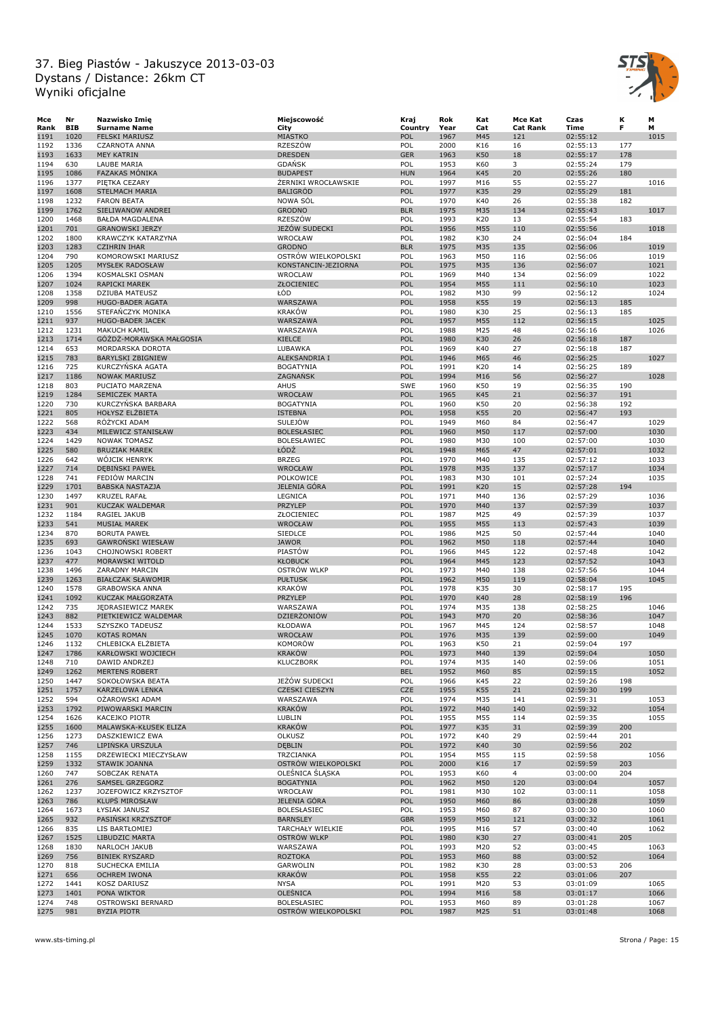

| Mce          | Nr           | Nazwisko Imię                               | Miejscowość                            | Kraj       | Rok          | Kat        | Mce Kat         | Czas                 | к          | M            |
|--------------|--------------|---------------------------------------------|----------------------------------------|------------|--------------|------------|-----------------|----------------------|------------|--------------|
| Rank         | <b>BIB</b>   | <b>Surname Name</b>                         | City                                   | Country    | Year         | Cat        | <b>Cat Rank</b> | Time                 | F          | М            |
| 1191         | 1020         | <b>FELSKI MARIUSZ</b>                       | MIASTKO                                | POL        | 1967         | M45        | 121             | 02:55:12             |            | 1015         |
| 1192         | 1336         | CZARNOTA ANNA                               | RZESZÓW                                | POL        | 2000         | K16        | 16              | 02:55:13             | 177        |              |
| 1193         | 1633         | <b>MEY KATRIN</b>                           | <b>DRESDEN</b>                         | <b>GER</b> | 1963         | K50        | 18              | 02:55:17             | 178        |              |
| 1194         | 630          | LAUBE MARIA                                 | <b>GDANSK</b>                          | POL        | 1953         | K60        | 3               | 02:55:24             | 179        |              |
| 1195         | 1086         | <b>FAZAKAS MÓNIKA</b>                       | <b>BUDAPEST</b><br>ŻERNIKI WROCŁAWSKIE | <b>HUN</b> | 1964         | K45        | 20              | 02:55:26             | 180        |              |
| 1196<br>1197 | 1377<br>1608 | PIĘTKA CEZARY                               | <b>BALIGRÓD</b>                        | POL<br>POL | 1997<br>1977 | M16<br>K35 | 55<br>29        | 02:55:27<br>02:55:29 | 181        | 1016         |
| 1198         | 1232         | <b>STELMACH MARIA</b><br><b>FARON BEATA</b> | NOWA SÓL                               | POL        | 1970         | K40        | 26              | 02:55:38             | 182        |              |
| 1199         | 1762         | SIELIWANOW ANDREI                           | <b>GRODNO</b>                          | <b>BLR</b> | 1975         | M35        | 134             | 02:55:43             |            | 1017         |
| 1200         | 1468         | BAŁDA MAGDALENA                             | RZESZÓW                                | POL        | 1993         | K20        | 13              | 02:55:54             | 183        |              |
| 1201         | 701          | <b>GRANOWSKI JERZY</b>                      | JEŻÓW SUDECKI                          | POL        | 1956         | M55        | 110             | 02:55:56             |            | 1018         |
| 1202         | 1800         | KRAWCZYK KATARZYNA                          | WROCŁAW                                | POL        | 1982         | K30        | 24              | 02:56:04             | 184        |              |
| 1203         | 1283         | <b>CZIHRIN IHAR</b>                         | <b>GRODNO</b>                          | <b>BLR</b> | 1975         | M35        | 135             | 02:56:06             |            | 1019         |
| 1204         | 790          | KOMOROWSKI MARIUSZ                          | OSTRÓW WIELKOPOLSKI                    | POL        | 1963         | M50        | 116             | 02:56:06             |            | 1019         |
| 1205         | 1205         | <b>MYSŁEK RADOSŁAW</b>                      | KONSTANCIN-JEZIORNA                    | POL        | 1975         | M35        | 136             | 02:56:07             |            | 1021         |
| 1206         | 1394         | KOSMALSKI OSMAN                             | <b>WROCLAW</b>                         | POL        | 1969         | M40        | 134             | 02:56:09             |            | 1022         |
| 1207         | 1024         | RAPICKI MAREK                               | ZŁOCIENIEC                             | POL        | 1954         | M55        | 111             | 02:56:10             |            | 1023         |
| 1208         | 1358         | <b>DZIUBA MATEUSZ</b>                       | ŁÓD                                    | POL        | 1982         | M30        | 99              | 02:56:12             |            | 1024         |
| 1209         | 998          | HUGO-BADER AGATA                            | WARSZAWA                               | POL        | 1958         | K55        | 19              | 02:56:13             | 185        |              |
| 1210         | 1556         | STEFANCZYK MONIKA                           | <b>KRAKÓW</b>                          | POL        | 1980         | K30        | 25              | 02:56:13             | 185        |              |
| 1211         | 937          | HUGO-BADER JACEK                            | WARSZAWA                               | POL        | 1957         | M55        | 112             | 02:56:15             |            | 1025         |
| 1212         | 1231         | MAKUCH KAMIL                                | WARSZAWA                               | POL        | 1988         | M25        | 48              | 02:56:16             |            | 1026         |
| 1213         | 1714         | GÓŻDŻ-MORAWSKA MAŁGOSIA                     | KIELCE                                 | POL        | 1980         | K30        | 26              | 02:56:18             | 187        |              |
| 1214         | 653          | MORDARSKA DOROTA                            | LUBAWKA                                | POL        | 1969         | K40        | 27              | 02:56:18             | 187        |              |
| 1215         | 783          | <b>BARYLSKI ZBIGNIEW</b>                    | ALEKSANDRIA I                          | POL        | 1946         | M65        | 46              | 02:56:25             |            | 1027         |
| 1216         | 725          | KURCZYNSKA AGATA                            | <b>BOGATYNIA</b>                       | POL        | 1991         | K20        | 14              | 02:56:25             | 189        |              |
| 1217         | 1186         | <b>NOWAK MARIUSZ</b>                        | ZAGNAŃSK                               | POL        | 1994         | M16        | 56              | 02:56:27             |            | 1028         |
| 1218         | 803          | PUCIATO MARZENA                             | AHUS<br>WROCŁAW                        | SWE        | 1960         | K50        | 19              | 02:56:35             | 190        |              |
| 1219         | 1284         | SEMICZEK MARTA                              |                                        | POL        | 1965         | K45        | 21              | 02:56:37             | 191        |              |
| 1220<br>1221 | 730<br>805   | KURCZYŃSKA BARBARA<br>HOŁYSZ ELŻBIETA       | <b>BOGATYNIA</b><br><b>ISTEBNA</b>     | POL<br>POL | 1960<br>1958 | K50<br>K55 | 20<br>20        | 02:56:38<br>02:56:47 | 192<br>193 |              |
| 1222         | 568          | RÓŻYCKI ADAM                                | <b>SULEJÓW</b>                         | POL        | 1949         | M60        | 84              | 02:56:47             |            | 1029         |
| 1223         | 434          | MILEWICZ STANISŁAW                          | <b>BOLESŁASIEC</b>                     | POL        | 1960         | M50        | 117             | 02:57:00             |            | 1030         |
| 1224         | 1429         | <b>NOWAK TOMASZ</b>                         | <b>BOLESŁAWIEC</b>                     | POL        | 1980         | M30        | 100             | 02:57:00             |            | 1030         |
| 1225         | 580          | <b>BRUZIAK MAREK</b>                        | ŁÓDŹ                                   | POL        | 1948         | M65        | 47              | 02:57:01             |            | 1032         |
| 1226         | 642          | WÓJCIK HENRYK                               | <b>BRZEG</b>                           | POL        | 1970         | M40        | 135             | 02:57:12             |            | 1033         |
| 1227         | 714          | DĘBIŃSKI PAWEŁ                              | <b>WROCŁAW</b>                         | POL        | 1978         | M35        | 137             | 02:57:17             |            | 1034         |
| 1228         | 741          | FEDIÓW MARCIN                               | POLKOWICE                              | POL        | 1983         | M30        | 101             | 02:57:24             |            | 1035         |
| 1229         | 1701         | <b>BABSKA NASTAZJA</b>                      | <b>JELENIA GÓRA</b>                    | POL        | 1991         | K20        | 15              | 02:57:28             | 194        |              |
| 1230         | 1497         | KRUZEL RAFAŁ                                | LEGNICA                                | POL        | 1971         | M40        | 136             | 02:57:29             |            | 1036         |
| 1231         | 901          | KUCZAK WALDEMAR                             | PRZYLEP                                | POL        | 1970         | M40        | 137             | 02:57:39             |            | 1037         |
| 1232         | 1184         | RAGIEL JAKUB                                | ZŁOCIENIEC                             | POL        | 1987         | M25        | 49              | 02:57:39             |            | 1037         |
| 1233         | 541          | <b>MUSIAŁ MAREK</b>                         | WROCŁAW                                | POL        | 1955         | M55        | 113             | 02:57:43             |            | 1039         |
| 1234         | 870          | <b>BORUTA PAWEŁ</b>                         | <b>SIEDLCE</b>                         | POL        | 1986         | M25        | 50              | 02:57:44             |            | 1040         |
| 1235         | 693          | <b>GAWRONSKI WIESŁAW</b>                    | <b>JAWOR</b>                           | POL        | 1962         | M50        | 118             | 02:57:44             |            | 1040         |
| 1236         | 1043         | CHOJNOWSKI ROBERT                           | PIASTÓW                                | POL        | 1966         | M45        | 122             | 02:57:48             |            | 1042         |
| 1237         | 477          | <b>MORAWSKI WITOLD</b>                      | <b>KŁOBUCK</b>                         | POL        | 1964         | M45        | 123             | 02:57:52             |            | 1043         |
| 1238         | 1496         | ZARADNY MARCIN                              | <b>OSTRÓW WLKP</b>                     | POL        | 1973         | M40        | 138             | 02:57:56             |            | 1044         |
| 1239         | 1263         | <b>BIAŁCZAK SŁAWOMIR</b>                    | <b>PUŁTUSK</b>                         | POL        | 1962         | M50        | 119             | 02:58:04             |            | 1045         |
| 1240         | 1578         | <b>GRABOWSKA ANNA</b>                       | <b>KRAKÓW</b>                          | POL        | 1978         | K35        | 30              | 02:58:17             | 195        |              |
| 1241         | 1092         | KUCZAK MAŁGORZATA                           | PRZYLEP                                | POL        | 1970         | K40        | 28              | 02:58:19             | 196        |              |
| 1242         | 735          | JĘDRASIEWICZ MAREK                          | WARSZAWA                               | POL        | 1974         | M35        | 138             | 02:58:25             |            | 1046         |
| 1243         | 882          | PIETKIEWICZ WALDEMAR                        | DZIERŻONIÓW                            | POL        | 1943         | M70        | 20              | 02:58:36             |            | 1047         |
| 1244         | 1533<br>1070 | SZYSZKO TADEUSZ<br><b>KOTAS ROMAN</b>       | KŁODAWA                                | POL<br>POL | 1967         | M45<br>M35 | 124<br>139      | 02:58:57             |            | 1048<br>1049 |
| 1245<br>1246 | 1132         |                                             | WROCŁAW<br><b>KOMORÓW</b>              | POL        | 1976<br>1963 | K50        | 21              | 02:59:00<br>02:59:04 | 197        |              |
| 1247         | 1786         | CHLEBICKA ELŻBIETA<br>KARŁOWSKI WOJCIECH    | <b>KRAKÓW</b>                          | POL        | 1973         | M40        | 139             | 02:59:04             |            | 1050         |
| 1248         | 710          | DAWID ANDRZEJ                               | <b>KLUCZBORK</b>                       | POL        | 1974         | M35        | 140             | 02:59:06             |            | 1051         |
| 1249         | 1262         | <b>MERTENS ROBERT</b>                       |                                        | <b>BEL</b> | 1952         | M60        | 85              | 02:59:15             |            | 1052         |
| 1250         | 1447         | SOKOŁOWSKA BEATA                            | JEŻÓW SUDECKI                          | POL        | 1966         | K45        | 22              | 02:59:26             | 198        |              |
| 1251         | 1757         | KARZELOWA LENKA                             | <b>CZESKI CIESZYN</b>                  | CZE        | 1955         | K55        | 21              | 02:59:30             | 199        |              |
| 1252         | 594          | OZAROWSKI ADAM                              | WARSZAWA                               | POL        | 1974         | M35        | 141             | 02:59:31             |            | 1053         |
| 1253         | 1792         | PIWOWARSKI MARCIN                           | <b>KRAKÓW</b>                          | POL        | 1972         | M40        | 140             | 02:59:32             |            | 1054         |
| 1254         | 1626         | KACEJKO PIOTR                               | LUBLIN                                 | POL        | 1955         | M55        | 114             | 02:59:35             |            | 1055         |
| 1255         | 1600         | MALAWSKA-KŁUSEK ELIZA                       | <b>KRAKÓW</b>                          | POL        | 1977         | K35        | 31              | 02:59:39             | 200        |              |
| 1256         | 1273         | DASZKIEWICZ EWA                             | OLKUSZ                                 | POL        | 1972         | K40        | 29              | 02:59:44             | 201        |              |
| 1257         | 746          | LIPIŃSKA URSZULA                            | <b>DEBLIN</b>                          | POL        | 1972         | K40        | 30              | 02:59:56             | 202        |              |
| 1258         | 1155         | DRZEWIECKI MIECZYSŁAW                       | TRZCIANKA                              | POL        | 1954         | M55        | 115             | 02:59:58             |            | 1056         |
| 1259         | 1332         | STAWIK JOANNA                               | OSTRÓW WIELKOPOLSKI                    | POL        | 2000         | K16        | 17              | 02:59:59             | 203        |              |
| 1260         | 747          | SOBCZAK RENATA                              | OLEŚNICA ŚLĄSKA                        | POL        | 1953         | K60        | $\overline{4}$  | 03:00:00             | 204        |              |
| 1261         | 276          | SAMSEL GRZEGORZ                             | <b>BOGATYNIA</b>                       | POL        | 1962         | M50        | 120             | 03:00:04             |            | 1057         |
| 1262         | 1237         | JOZEFOWICZ KRZYSZTOF                        | WROCŁAW                                | POL        | 1981         | M30        | 102             | 03:00:11             |            | 1058         |
| 1263         | 786          | <b>KLUPS MIROSŁAW</b>                       | <b>JELENIA GÓRA</b>                    | POL        | 1950         | M60        | 86              | 03:00:28             |            | 1059         |
| 1264         | 1673         | ŁYSIAK JANUSZ                               | <b>BOLESŁASIEC</b>                     | POL        | 1953         | M60        | 87              | 03:00:30             |            | 1060         |
| 1265         | 932          | PASINSKI KRZYSZTOF                          | <b>BARNSLEY</b>                        | <b>GBR</b> | 1959         | M50        | 121             | 03:00:32             |            | 1061         |
| 1266         | 835          | LIS BARTŁOMIEJ                              | TARCHAŁY WIELKIE                       | POL        | 1995         | M16        | 57              | 03:00:40             |            | 1062         |
| 1267         | 1525         | LIBUDZIC MARTA                              | <b>OSTRÓW WLKP</b>                     | POL        | 1980         | K30        | 27              | 03:00:41             | 205        |              |
| 1268         | 1830         | NARLOCH JAKUB                               | WARSZAWA                               | POL        | 1993         | M20        | 52              | 03:00:45             |            | 1063         |
| 1269         | 756          | <b>BINIEK RYSZARD</b>                       | <b>ROZTOKA</b>                         | POL        | 1953         | M60        | 88              | 03:00:52             |            | 1064         |
| 1270         | 818          | SUCHECKA EMILIA                             | GARWOLIN                               | POL        | 1982         | K30        | 28              | 03:00:53             | 206        |              |
| 1271         | 656<br>1441  | <b>OCHREM IWONA</b>                         | <b>KRAKÓW</b>                          | POL<br>POL | 1958         | K55        | 22              | 03:01:06             | 207        |              |
| 1272<br>1273 | 1401         | KOSZ DARIUSZ<br>PONA WIKTOR                 | <b>NYSA</b><br>OLEŚNICA                | POL        | 1991<br>1994 | M20<br>M16 | 53<br>58        | 03:01:09<br>03:01:17 |            | 1065<br>1066 |
| 1274         | 748          | OSTROWSKI BERNARD                           | <b>BOLESŁASIEC</b>                     | POL        | 1953         | M60        | 89              | 03:01:28             |            | 1067         |
| 1275         | 981          | BYZIA PIOTR                                 | OSTRÓW WIELKOPOLSKI                    | POL        | 1987         | M25        | 51              | 03:01:48             |            | 1068         |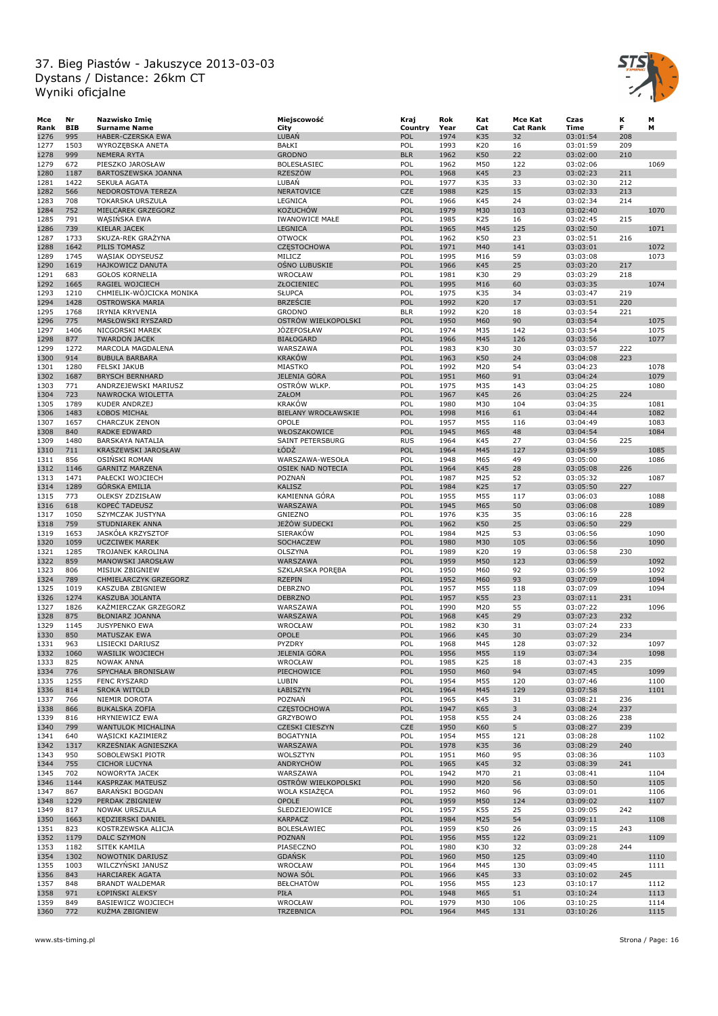

| Mce  | Nr         | Nazwisko Imię            | Miejscowość                | Kraj       | Rok  | Kat        | Mce Kat         | Czas     | к   | М    |
|------|------------|--------------------------|----------------------------|------------|------|------------|-----------------|----------|-----|------|
| Rank | <b>BIB</b> | <b>Surname Name</b>      | City                       | Country    | Year | Cat        | <b>Cat Rank</b> | Time     | F   | М    |
| 1276 | 995        | <b>HABER-CZERSKA EWA</b> | LUBAŃ                      | POL        | 1974 | K35        | 32              | 03:01:54 | 208 |      |
| 1277 | 1503       | WYROZĘBSKA ANETA         | BAŁKI                      | POL        | 1993 | K20        | 16              | 03:01:59 | 209 |      |
| 1278 | 999        | <b>NEMERA RYTA</b>       | <b>GRODNO</b>              | <b>BLR</b> | 1962 | <b>K50</b> | 22              | 03:02:00 | 210 |      |
| 1279 | 672        | PIESZKO JAROSŁAW         | <b>BOLESŁASIEC</b>         | POL        | 1962 | M50        | 122             | 03:02:06 |     | 1069 |
| 1280 | 1187       | BARTOSZEWSKA JOANNA      | <b>RZESZÓW</b>             | POL        | 1968 | K45        | 23              | 03:02:23 | 211 |      |
| 1281 | 1422       | SEKUŁA AGATA             | LUBAŃ                      | POL        | 1977 | K35        | 33              | 03:02:30 | 212 |      |
| 1282 | 566        | NEDOROSTOVA TEREZA       | NERATOVICE                 | <b>CZE</b> | 1988 | K25        | 15              | 03:02:33 | 213 |      |
| 1283 | 708        | <b>TOKARSKA URSZULA</b>  | LEGNICA                    | POL        | 1966 | K45        | 24              | 03:02:34 | 214 |      |
| 1284 | 752        | MIELCAREK GRZEGORZ       | <b>KOŻUCHÓW</b>            | POL        | 1979 | M30        | 103             | 03:02:40 |     | 1070 |
| 1285 | 791        | WASIŃSKA EWA             | <b>IWANOWICE MAŁE</b>      | POL        | 1985 | K25        | 16              | 03:02:45 | 215 |      |
| 1286 | 739        | <b>KIELAR JACEK</b>      | <b>LEGNICA</b>             | POL        | 1965 | M45        | 125             | 03:02:50 |     | 1071 |
| 1287 | 1733       | SKUZA-REK GRAŻYNA        | <b>OTWOCK</b>              | POL        | 1962 | K50        | 23              | 03:02:51 | 216 |      |
| 1288 | 1642       | PILIS TOMASZ             | <b>CZĘSTOCHOWA</b>         | POL        | 1971 | M40        | 141             | 03:03:01 |     | 1072 |
| 1289 | 1745       | WĄSIAK ODYSEUSZ          | MILICZ                     | POL        | 1995 | M16        | 59              | 03:03:08 |     | 1073 |
| 1290 | 1619       | HAJKOWICZ DANUTA         | OŚNO LUBUSKIE              | POL        | 1966 | K45        | 25              | 03:03:20 | 217 |      |
| 1291 | 683        | <b>GOŁOS KORNELIA</b>    | WROCŁAW                    | POL        | 1981 | K30        | 29              | 03:03:29 | 218 |      |
| 1292 | 1665       | RAGIEL WOJCIECH          | ZŁOCIENIEC                 | POL        | 1995 | M16        | 60              | 03:03:35 |     | 1074 |
| 1293 | 1210       | CHMIELIK-WÓJCICKA MONIKA | <b>SŁUPCA</b>              | POL        | 1975 | K35        | 34              | 03:03:47 | 219 |      |
| 1294 | 1428       | <b>OSTROWSKA MARIA</b>   | <b>BRZEŚCIE</b>            | POL        | 1992 | K20        | 17              | 03:03:51 | 220 |      |
| 1295 | 1768       | IRYNIA KRYVENIA          | <b>GRODNO</b>              | <b>BLR</b> | 1992 | K20        | 18              | 03:03:54 | 221 |      |
| 1296 | 775        | MASŁOWSKI RYSZARD        | OSTRÓW WIELKOPOLSKI        | POL        | 1950 | M60        | 90              | 03:03:54 |     | 1075 |
| 1297 | 1406       | NICGORSKI MAREK          | <b>JOZEFOSŁAW</b>          | POL        | 1974 | M35        | 142             | 03:03:54 |     | 1075 |
| 1298 | 877        | <b>TWARDON JACEK</b>     | <b>BIAŁOGARD</b>           | POL        | 1966 | M45        | 126             | 03:03:56 |     | 1077 |
| 1299 | 1272       | MARCOLA MAGDALENA        | WARSZAWA                   | POL        | 1983 | K30        | 30              | 03:03:57 | 222 |      |
| 1300 | 914        | <b>BUBULA BARBARA</b>    | <b>KRAKÓW</b>              | POL        | 1963 | K50        | 24              | 03:04:08 | 223 |      |
| 1301 | 1280       | <b>FELSKI JAKUB</b>      | MIASTKO                    | POL        | 1992 | M20        | 54              | 03:04:23 |     | 1078 |
| 1302 | 1687       | <b>BRYSCH BERNHARD</b>   | JELENIA GÓRA               | POL        | 1951 | M60        | 91              | 03:04:24 |     | 1079 |
| 1303 | 771        | ANDRZEJEWSKI MARIUSZ     | OSTRÓW WLKP.               | POL        | 1975 | M35        | 143             | 03:04:25 |     | 1080 |
| 1304 | 723        | NAWROCKA WIOLETTA        | ZAŁOM                      | POL        | 1967 | K45        | 26              | 03:04:25 | 224 |      |
| 1305 | 1789       | KUDER ANDRZEJ            | <b>KRAKÓW</b>              | POL        | 1980 | M30        | 104             | 03:04:35 |     | 1081 |
| 1306 | 1483       | ŁOBOS MICHAŁ             | <b>BIELANY WROCŁAWSKIE</b> | POL        | 1998 | M16        | 61              | 03:04:44 |     | 1082 |
| 1307 | 1657       | CHARCZUK ZENON           | <b>OPOLE</b>               | POL        | 1957 | M55        | 116             | 03:04:49 |     | 1083 |
| 1308 | 840        | <b>RADKE EDWARD</b>      | WŁOSZAKOWICE               | POL        | 1945 | M65        | 48              | 03:04:54 |     | 1084 |
| 1309 | 1480       | BARSKAYA NATALIA         | <b>SAINT PETERSBURG</b>    | <b>RUS</b> | 1964 | K45        | 27              | 03:04:56 | 225 |      |
| 1310 | 711        | KRASZEWSKI JAROSŁAW      | ŁÓDŹ                       | POL        | 1964 | M45        | 127             | 03:04:59 |     | 1085 |
| 1311 | 856        | OSIŃSKI ROMAN            | WARSZAWA-WESOŁA            | POL        | 1948 | M65        | 49              | 03:05:00 |     | 1086 |
| 1312 | 1146       | <b>GARNITZ MARZENA</b>   | <b>OSIEK NAD NOTECIA</b>   | POL        | 1964 | K45        | 28              | 03:05:08 | 226 |      |
| 1313 | 1471       | PAŁECKI WOJCIECH         | POZNAŃ                     | POL        | 1987 | M25        | 52              | 03:05:32 |     | 1087 |
| 1314 | 1289       | GÓRSKA EMILIA            | <b>KALISZ</b>              | POL        | 1984 | K25        | 17              | 03:05:50 | 227 |      |
| 1315 | 773        | <b>OLEKSY ZDZISŁAW</b>   | KAMIENNA GÓRA              | POL        | 1955 | M55        | 117             | 03:06:03 |     | 1088 |
| 1316 | 618        | KOPEĆ TADEUSZ            | WARSZAWA                   | POL        | 1945 | M65        | 50              | 03:06:08 |     | 1089 |
| 1317 | 1050       | SZYMCZAK JUSTYNA         | GNIEZNO                    | POL        | 1976 | K35        | 35              | 03:06:16 | 228 |      |
| 1318 | 759        | STUDNIAREK ANNA          | JEŻÓW SUDECKI              | POL        | 1962 | K50        | 25              | 03:06:50 | 229 |      |
| 1319 | 1653       | JASKÓŁA KRZYSZTOF        | <b>SIERAKÓW</b>            | POL        | 1984 | M25        | 53              | 03:06:56 |     | 1090 |
| 1320 | 1059       | <b>UCZCIWEK MAREK</b>    | SOCHACZEW                  | POL        | 1980 | M30        | 105             | 03:06:56 |     | 1090 |
| 1321 | 1285       | TROJANEK KAROLINA        | OLSZYNA                    | POL        | 1989 | K20        | 19              | 03:06:58 | 230 |      |
| 1322 | 859        | MANOWSKI JAROSŁAW        | WARSZAWA                   | POL        | 1959 | M50        | 123             | 03:06:59 |     | 1092 |
| 1323 | 806        | MISIUK ZBIGNIEW          | SZKLARSKA PORĘBA           | POL        | 1950 | M60        | 92              | 03:06:59 |     | 1092 |
| 1324 | 789        | CHMIELARCZYK GRZEGORZ    | <b>RZEPIN</b>              | POL        | 1952 | M60        | 93              | 03:07:09 |     | 1094 |
| 1325 | 1019       | KASZUBA ZBIGNIEW         | DEBRZNO                    | POL        | 1957 | M55        | 118             | 03:07:09 |     | 1094 |
| 1326 | 1274       | KASZUBA JOLANTA          | <b>DEBRZNO</b>             | POL        | 1957 | K55        | 23              | 03:07:11 | 231 |      |
| 1327 | 1826       | KAŻMIERCZAK GRZEGORZ     | WARSZAWA                   | POL        | 1990 | M20        | 55              | 03:07:22 |     | 1096 |
| 1328 | 875        | <b>BŁONIARZ JOANNA</b>   | WARSZAWA                   | POL        | 1968 | K45        | 29              | 03:07:23 | 232 |      |
| 1329 | 1145       | <b>JUSYPENKO EWA</b>     | WROCŁAW                    | POL        | 1982 | K30        | 31              | 03:07:24 | 233 |      |
| 1330 | 850        | MATUSZAK EWA             | OPOLE                      | POL        | 1966 | K45        | 30              | 03:07:29 | 234 |      |
| 1331 | 963        | LISIECKI DARIUSZ         | PYZDRY                     | POL        | 1968 | M45        | 128             | 03:07:32 |     | 1097 |
| 1332 | 1060       | WASILIK WOJCIECH         | <b>JELENIA GÓRA</b>        | POL        | 1956 | M55        | 119             | 03:07:34 |     | 1098 |
| 1333 | 825        | <b>NOWAK ANNA</b>        | WROCŁAW                    | POL        | 1985 | K25        | 18              | 03:07:43 | 235 |      |
| 1334 | 776        | SPYCHAŁA BRONISŁAW       | PIECHOWICE                 | POL        | 1950 | M60        | 94              | 03:07:45 |     | 1099 |
| 1335 | 1255       | <b>FENC RYSZARD</b>      | LUBIN                      | POL        | 1954 | M55        | 120             | 03:07:46 |     | 1100 |
| 1336 | 814        | <b>SROKA WITOLD</b>      | ŁABISZYN                   | POL        | 1964 | M45        | 129             | 03:07:58 |     | 1101 |
| 1337 | 766        | NIEMIR DOROTA            | POZNAŃ                     | POL        | 1965 | K45        | 31              | 03:08:21 | 236 |      |
| 1338 | 866        | <b>BUKALSKA ZOFIA</b>    | <b>CZESTOCHOWA</b>         | POL        | 1947 | K65        | 3               | 03:08:24 | 237 |      |
| 1339 | 816        | HRYNIEWICZ EWA           | <b>GRZYBOWO</b>            | POL        | 1958 | K55        | 24              | 03:08:26 | 238 |      |
| 1340 | 799        | WANTULOK MICHALINA       | CZESKI CIESZYN             | CZE        | 1950 | K60        | 5               | 03:08:27 | 239 |      |
| 1341 | 640        | WĄSICKI KAZIMIERZ        | <b>BOGATYNIA</b>           | POL        | 1954 | M55        | 121             | 03:08:28 |     | 1102 |
| 1342 | 1317       | KRZEŚNIAK AGNIESZKA      | WARSZAWA                   | POL        | 1978 | K35        | 36              | 03:08:29 | 240 |      |
| 1343 | 950        | SOBOLEWSKI PIOTR         | WOLSZTYN                   | POL        | 1951 | M60        | 95              | 03:08:36 |     | 1103 |
| 1344 | 755        | <b>CICHOR LUCYNA</b>     | <b>ANDRYCHÓW</b>           | POL        | 1965 | K45        | 32              | 03:08:39 | 241 |      |
| 1345 | 702        | NOWORYTA JACEK           | WARSZAWA                   | POL        | 1942 | M70        | 21              | 03:08:41 |     | 1104 |
| 1346 | 1144       | KASPRZAK MATEUSZ         | OSTRÓW WIELKOPOLSKI        | POL        | 1990 | M20        | 56              | 03:08:50 |     | 1105 |
| 1347 | 867        | BARANSKI BOGDAN          | WOLA KSIAŻĘCA              | POL        | 1952 | M60        | 96              | 03:09:01 |     | 1106 |
| 1348 | 1229       | PERDAK ZBIGNIEW          | <b>OPOLE</b>               | POL        | 1959 | M50        | 124             | 03:09:02 |     | 1107 |
| 1349 | 817        | NOWAK URSZULA            | <b>SLEDZIEJOWICE</b>       | POL        | 1957 | K55        | 25              | 03:09:05 | 242 |      |
| 1350 | 1663       | KĘDZIERSKI DANIEL        | KARPACZ                    | POL        | 1984 | M25        | 54              | 03:09:11 |     | 1108 |
| 1351 | 823        | KOSTRZEWSKA ALICJA       | BOLESŁAWIEC                | POL        | 1959 | K50        | 26              | 03:09:15 | 243 |      |
| 1352 | 1179       | DALC SZYMON              | POZNAŃ                     | POL        | 1956 | M55        | 122             | 03:09:21 |     | 1109 |
| 1353 | 1182       | SITEK KAMILA             | PIASECZNO                  | POL        | 1980 | K30        | 32              | 03:09:28 | 244 |      |
| 1354 | 1302       | NOWOTNIK DARIUSZ         | <b>GDANSK</b>              | POL        | 1960 | M50        | 125             | 03:09:40 |     | 1110 |
| 1355 | 1003       | WILCZYŃSKI JANUSZ        | WROCŁAW                    | POL        | 1964 | M45        | 130             | 03:09:45 |     | 1111 |
| 1356 | 843        | <b>HARCIAREK AGATA</b>   | NOWA SÓL                   | POL        | 1966 | K45        | 33              | 03:10:02 | 245 |      |
| 1357 | 848        | <b>BRANDT WALDEMAR</b>   | <b>BEŁCHATÓW</b>           | POL        | 1956 | M55        | 123             | 03:10:17 |     | 1112 |
| 1358 | 971        | ŁOPIŃSKI ALEKSY          | PIŁA                       | POL        | 1948 | M65        | 51              | 03:10:24 |     | 1113 |
| 1359 | 849        | BASIEWICZ WOJCIECH       | WROCŁAW                    | POL        | 1979 | M30        | 106             | 03:10:25 |     | 1114 |
| 1360 | 772        | KUŻMA ZBIGNIEW           | TRZEBNICA                  | POL        | 1964 | M45        | 131             | 03:10:26 |     | 1115 |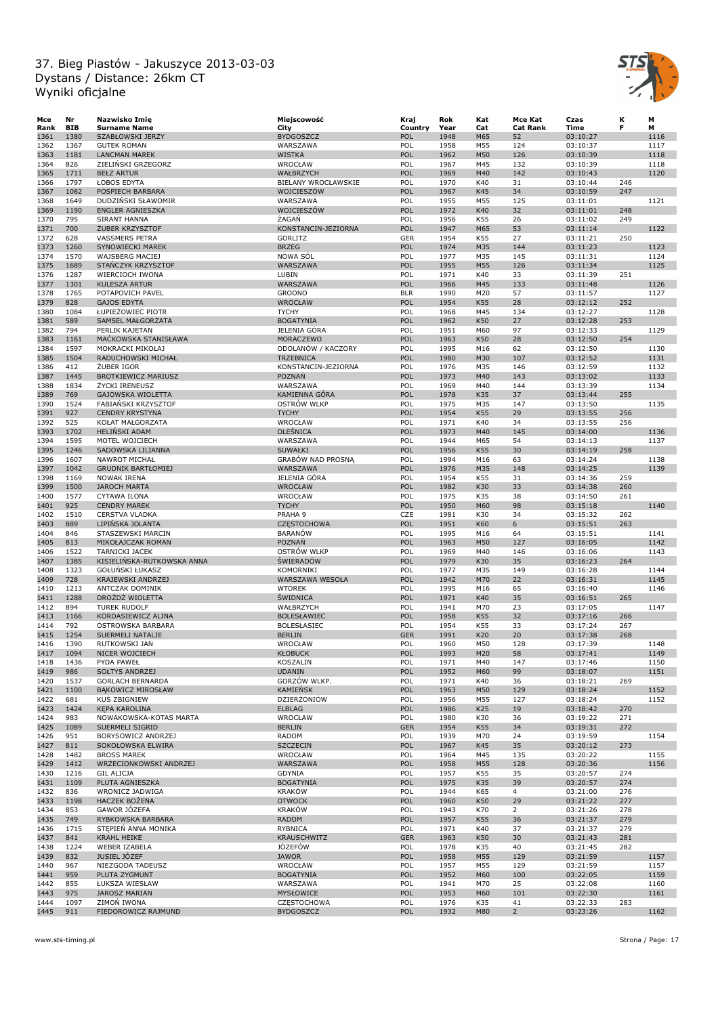

| Мсе  | Nr   | Nazwisko Imię              | Miejscowość              | Kraj       | Rok  | Kat | Mce Kat         | Czas     | к   | М    |
|------|------|----------------------------|--------------------------|------------|------|-----|-----------------|----------|-----|------|
| Rank | BIB  | <b>Surname Name</b>        | City                     | Country    | Year | Cat | <b>Cat Rank</b> | Time     | F   | М    |
| 1361 | 1380 | SZABŁOWSKI JERZY           | <b>BYDGOSZCZ</b>         | POL        | 1948 | M65 | 52              | 03:10:27 |     | 1116 |
| 1362 | 1367 | <b>GUTEK ROMAN</b>         | WARSZAWA                 | POL        | 1958 | M55 | 124             | 03:10:37 |     | 1117 |
| 1363 | 1181 | <b>LANCMAN MAREK</b>       | <b>WISTKA</b>            | POL        | 1962 | M50 | 126             | 03:10:39 |     | 1118 |
| 1364 | 826  | ZIELINSKI GRZEGORZ         | WROCŁAW                  | POL        | 1967 | M45 | 132             | 03:10:39 |     | 1118 |
| 1365 | 1711 | <b>BEŁZ ARTUR</b>          | WAŁBRZYCH                | POL        | 1969 | M40 | 142             | 03:10:43 |     | 1120 |
| 1366 | 1797 | ŁOBOS EDYTA                | BIELANY WROCŁAWSKIE      | POL        | 1970 | K40 | 31              | 03:10:44 | 246 |      |
| 1367 | 1082 | POSPIECH BARBARA           | WOJCIESZÓW               | POL        | 1967 | K45 | 34              | 03:10:59 | 247 |      |
| 1368 | 1649 | DUDZIŃSKI SŁAWOMIR         | WARSZAWA                 | POL        | 1955 | M55 | 125             | 03:11:01 |     | 1121 |
| 1369 | 1190 | <b>ENGLER AGNIESZKA</b>    | WOJCIESZÓW               | POL        | 1972 | K40 | 32              | 03:11:01 | 248 |      |
| 1370 | 795  | SIRANT HANNA               | ŻAGAŃ                    | POL        | 1956 | K55 | 26              | 03:11:02 | 249 |      |
| 1371 | 700  | ZUBER KRZYSZTOF            | KONSTANCIN-JEZIORNA      | POL        | 1947 | M65 | 53              | 03:11:14 |     | 1122 |
| 1372 | 628  | <b>VASSMERS PETRA</b>      | <b>GORLITZ</b>           | <b>GER</b> | 1954 | K55 | 27              | 03:11:21 | 250 |      |
| 1373 | 1260 | <b>SYNOWIECKI MAREK</b>    | <b>BRZEG</b>             | POL        | 1974 | M35 | 144             | 03:11:23 |     | 1123 |
| 1374 | 1570 | <b>WAJSBERG MACIEJ</b>     | NOWA SÓL                 | POL        | 1977 | M35 | 145             | 03:11:31 |     | 1124 |
| 1375 | 1689 | STANCZYK KRZYSZTOF         | WARSZAWA                 | POL        | 1955 | M55 | 126             | 03:11:34 |     | 1125 |
| 1376 | 1287 | WIERCIOCH IWONA            | LUBIN                    | POL        | 1971 | K40 | 33              | 03:11:39 | 251 |      |
| 1377 | 1301 | KULESZA ARTUR              | WARSZAWA                 | POL        | 1966 | M45 | 133             | 03:11:48 |     | 1126 |
| 1378 | 1765 | POTAPOVICH PAVEL           | <b>GRODNO</b>            | <b>BLR</b> | 1990 | M20 | 57              | 03:11:57 |     | 1127 |
| 1379 | 828  | <b>GAJOS EDYTA</b>         | WROCŁAW                  | POL        | 1954 | K55 | 28              | 03:12:12 | 252 |      |
| 1380 | 1084 | ŁUPIEŻOWIEC PIOTR          | <b>TYCHY</b>             | POL        | 1968 | M45 | 134             | 03:12:27 |     | 1128 |
| 1381 | 589  | SAMSEL MAŁGORZATA          | <b>BOGATYNIA</b>         | POL        | 1962 | K50 | 27              | 03:12:28 | 253 |      |
|      | 794  |                            | JELENIA GÓRA             | POL        | 1951 |     | 97              |          |     |      |
| 1382 |      | PERLIK KAJETAN             |                          |            |      | M60 |                 | 03:12:33 |     | 1129 |
| 1383 | 1161 | MAČKOWSKA STANISŁAWA       | MORACZEWO                | POL        | 1963 | K50 | 28              | 03:12:50 | 254 |      |
| 1384 | 1597 | MOKRACKI MIKOŁAJ           | ODOLANÓW / KACZORY       | POL        | 1995 | M16 | 62              | 03:12:50 |     | 1130 |
| 1385 | 1504 | RADUCHOWSKI MICHAŁ         | <b>TRZEBNICA</b>         | POL        | 1980 | M30 | 107             | 03:12:52 |     | 1131 |
| 1386 | 412  | ZUBER IGOR                 | KONSTANCIN-JEZIORNA      | POL        | 1976 | M35 | 146             | 03:12:59 |     | 1132 |
| 1387 | 1445 | <b>BROTKIEWICZ MARIUSZ</b> | <b>POZNAŃ</b>            | POL        | 1973 | M40 | 143             | 03:13:02 |     | 1133 |
| 1388 | 1834 | ŻYCKI IRENEUSZ             | WARSZAWA                 | POL        | 1969 | M40 | 144             | 03:13:39 |     | 1134 |
| 1389 | 769  | GAJOWSKA WIOLETTA          | KAMIENNA GÓRA            | POL        | 1978 | K35 | 37              | 03:13:44 | 255 |      |
| 1390 | 1524 | FABIAŃSKI KRZYSZTOF        | OSTRÓW WLKP              | POL        | 1975 | M35 | 147             | 03:13:50 |     | 1135 |
| 1391 | 927  | <b>CENDRY KRYSTYNA</b>     | <b>TYCHY</b>             | POL        | 1954 | K55 | 29              | 03:13:55 | 256 |      |
| 1392 | 525  | KOŁAT MAŁGORZATA           | WROCŁAW                  | POL        | 1971 | K40 | 34              | 03:13:55 | 256 |      |
| 1393 | 1702 | <b>HELINSKI ADAM</b>       | OLEŚNICA                 | POL        | 1973 | M40 | 145             | 03:14:00 |     | 1136 |
| 1394 | 1595 | MOTEL WOJCIECH             | WARSZAWA                 | POL        | 1944 | M65 | 54              | 03:14:13 |     | 1137 |
| 1395 | 1246 | SADOWSKA LILIANNA          | SUWAŁKI                  | POL        | 1956 | K55 | 30              | 03:14:19 | 258 |      |
| 1396 | 1607 | NAWROT MICHAŁ              | <b>GRABOW NAD PROSNA</b> | POL        | 1994 | M16 | 63              | 03:14:24 |     | 1138 |
| 1397 | 1042 | <b>GRUDNIK BARTŁOMIEJ</b>  | WARSZAWA                 | POL        | 1976 | M35 | 148             | 03:14:25 |     | 1139 |
| 1398 | 1169 | <b>NOWAK IRENA</b>         | JELENIA GÓRA             | POL        | 1954 | K55 | 31              | 03:14:36 | 259 |      |
| 1399 | 1500 | <b>JAROCH MARTA</b>        | <b>WROCŁAW</b>           | POL        | 1982 | K30 | 33              | 03:14:38 | 260 |      |
| 1400 | 1577 | CYTAWA ILONA               | WROCŁAW                  | POL        | 1975 | K35 | 38              | 03:14:50 | 261 |      |
| 1401 | 925  | <b>CENDRY MAREK</b>        | <b>TYCHY</b>             | POL        | 1950 | M60 | 98              | 03:15:18 |     | 1140 |
| 1402 | 1510 | <b>CERSTVA VLADKA</b>      | PRAHA 9                  | CZE        | 1981 | K30 | 34              | 03:15:32 | 262 |      |
| 1403 | 889  | LIPINSKA JOLANTA           | <b>CZĘSTOCHOWA</b>       | POL        | 1951 | K60 | 6               | 03:15:51 | 263 |      |
| 1404 | 846  | STASZEWSKI MARCIN          | <b>BARANÓW</b>           | POL        | 1995 | M16 | 64              | 03:15:51 |     | 1141 |
| 1405 | 813  | MIKOŁAJCZAK ROMAN          | <b>POZNAŃ</b>            | POL        | 1963 | M50 | 127             | 03:16:05 |     | 1142 |
| 1406 | 1522 | <b>TARNICKI JACEK</b>      | <b>OSTRÓW WLKP</b>       | POL        | 1969 | M40 | 146             | 03:16:06 |     | 1143 |
| 1407 | 1385 | KISIELINSKA-RUTKOWSKA ANNA | <b>SWIERADÓW</b>         | POL        | 1979 | K30 | 35              | 03:16:23 | 264 |      |
|      |      |                            |                          |            |      |     |                 |          |     | 1144 |
| 1408 | 1323 | <b>GOŁUNSKI ŁUKASZ</b>     | KOMORNIKI                | POL        | 1977 | M35 | 149             | 03:16:28 |     |      |
| 1409 | 728  | KRAJEWSKI ANDRZEJ          | WARSZAWA WESOŁA          | POL        | 1942 | M70 | 22              | 03:16:31 |     | 1145 |
| 1410 | 1213 | ANTCZAK DOMINIK            | <b>WTÓREK</b>            | POL        | 1995 | M16 | 65              | 03:16:40 |     | 1146 |
| 1411 | 1288 | DROŻDŻ WIOLETTA            | <b>SWIDNICA</b>          | POL        | 1971 | K40 | 35              | 03:16:51 | 265 |      |
| 1412 | 894  | <b>TUREK RUDOLF</b>        | WAŁBRZYCH                | POL        | 1941 | M70 | 23              | 03:17:05 |     | 1147 |
| 1413 | 1166 | KORDASIEWICZ ALINA         | <b>BOLESŁAWIEC</b>       | POL        | 1958 | K55 | 32              | 03:17:16 | 266 |      |
| 1414 | 792  | OSTROWSKA BARBARA          | <b>BOLESŁASIEC</b>       | POL        | 1954 | K55 | 33              | 03:17:24 | 267 |      |
| 1415 | 1254 | SUERMELI NATALIE           | <b>BERLIN</b>            | <b>GER</b> | 1991 | K20 | 20              | 03:17:38 | 268 |      |
| 1416 | 1390 | RUTKOWSKI JAN              | WROCŁAW                  | POL        | 1960 | M50 | 128             | 03:17:39 |     | 1148 |
| 1417 | 1094 | NICER WOJCIECH             | <b>KŁOBUCK</b>           | <b>POL</b> | 1993 | M20 | 58              | 03:17:41 |     | 1149 |
| 1418 | 1436 | PYDA PAWEŁ                 | KOSZALIN                 | POL        | 1971 | M40 | 147             | 03:17:46 |     | 1150 |
| 1419 | 986  | SOŁTYS ANDRZEJ             | <b>UDANIN</b>            | POL        | 1952 | M60 | 99              | 03:18:07 |     | 1151 |
| 1420 | 1537 | <b>GORLACH BERNARDA</b>    | GORZÓW WLKP.             | POL        | 1971 | K40 | 36              | 03:18:21 | 269 |      |
| 1421 | 1100 | <b>BAKOWICZ MIROSŁAW</b>   | <b>KAMIEŃSK</b>          | POL        | 1963 | M50 | 129             | 03:18:24 |     | 1152 |
| 1422 | 681  | <b>KUS ZBIGNIEW</b>        | DZIERŻONIÓW              | POL        | 1956 | M55 | 127             | 03:18:24 |     | 1152 |
| 1423 | 1424 | KĘPA KAROLINA              | <b>ELBLAG</b>            | POL        | 1986 | K25 | 19              | 03:18:42 | 270 |      |
| 1424 | 983  | NOWAKOWSKA-KOTAS MARTA     | WROCŁAW                  | POL        | 1980 | K30 | 36              | 03:19:22 | 271 |      |
| 1425 | 1089 | SUERMELI SIGRID            | <b>BERLIN</b>            | <b>GER</b> | 1954 | K55 | 34              | 03:19:31 | 272 |      |
| 1426 | 951  | BORYSOWICZ ANDRZEJ         | RADOM                    | POL        | 1939 | M70 | 24              | 03:19:59 |     | 1154 |
| 1427 | 811  | SOKOŁOWSKA ELWIRA          | <b>SZCZECIN</b>          | POL        | 1967 | K45 | 35              | 03:20:12 | 273 |      |
| 1428 | 1482 | <b>BROSS MAREK</b>         | WROCŁAW                  | POL        | 1964 | M45 | 135             | 03:20:22 |     | 1155 |
| 1429 | 1412 | WRZECIONKOWSKI ANDRZEJ     | WARSZAWA                 | POL        | 1958 | M55 | 128             | 03:20:36 |     | 1156 |
| 1430 | 1216 | <b>GIL ALICJA</b>          | GDYNIA                   | POL        | 1957 | K55 | 35              | 03:20:57 | 274 |      |
| 1431 | 1109 | PLUTA AGNIESZKA            | <b>BOGATYNIA</b>         | POL        | 1975 | K35 | 39              | 03:20:57 | 274 |      |
| 1432 | 836  | WRONICZ JADWIGA            | <b>KRAKÓW</b>            | POL        | 1944 | K65 | $\overline{4}$  | 03:21:00 | 276 |      |
| 1433 | 1198 | HACZEK BOŻENA              | <b>OTWOCK</b>            | POL        | 1960 | K50 | 29              | 03:21:22 | 277 |      |
| 1434 | 853  | GAWOR JOZEFA               | <b>KRAKÓW</b>            | POL        | 1943 | K70 | $\overline{2}$  | 03:21:26 | 278 |      |
| 1435 | 749  | RYBKOWSKA BARBARA          | <b>RADOM</b>             | POL        | 1957 | K55 |                 | 03:21:37 | 279 |      |
|      |      |                            |                          |            |      |     | 36              |          |     |      |
| 1436 | 1715 | STĘPIEN ANNA MONIKA        | RYBNICA                  | POL        | 1971 | K40 | 37              | 03:21:37 | 279 |      |
| 1437 | 841  | KRAHL HEIKE                | KRAUSCHWITZ              | <b>GER</b> | 1963 | K50 | 30              | 03:21:43 | 281 |      |
| 1438 | 1224 | WEBER IZABELA              | <b>JÓZEFÓW</b>           | POL        | 1978 | K35 | 40              | 03:21:45 | 282 |      |
| 1439 | 832  | JUSIEL JÓZEF               | <b>JAWOR</b>             | POL        | 1958 | M55 | 129             | 03:21:59 |     | 1157 |
| 1440 | 967  | NIEZGODA TADEUSZ           | WROCŁAW                  | POL        | 1957 | M55 | 129             | 03:21:59 |     | 1157 |
| 1441 | 959  | PLUTA ZYGMUNT              | <b>BOGATYNIA</b>         | POL        | 1952 | M60 | 100             | 03:22:05 |     | 1159 |
| 1442 | 855  | ŁUKSZA WIESŁAW             | WARSZAWA                 | POL        | 1941 | M70 | 25              | 03:22:08 |     | 1160 |
| 1443 | 975  | <b>JAROSZ MARIAN</b>       | MYSŁOWICE                | POL        | 1953 | M60 | 101             | 03:22:30 |     | 1161 |
| 1444 | 1097 | ZIMOŃ IWONA                | CZĘSTOCHOWA              | POL        | 1976 | K35 | 41              | 03:22:33 | 283 |      |
| 1445 | 911  | FIEDOROWICZ RAJMUND        | <b>BYDGOSZCZ</b>         | POL        | 1932 | M80 | $\overline{2}$  | 03:23:26 |     | 1162 |